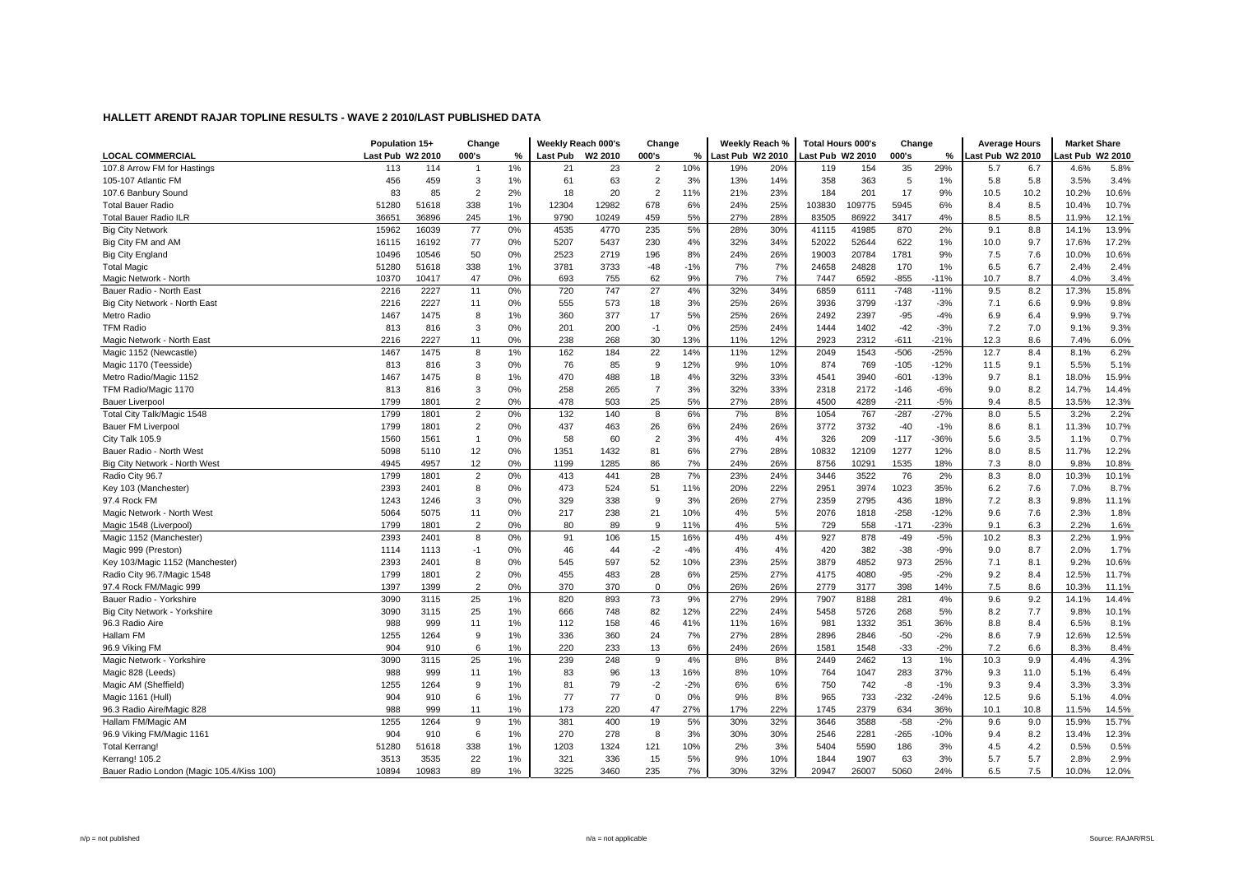| <b>LOCAL COMMERCIAL</b>                   | Population 15+<br>Last Pub W2 2010 |       | Change<br>000's | %  | Weekly Reach 000's<br>Last Pub W2 2010 |       | Change<br>000's | %     | Weekly Reach %<br>Last Pub W2 2010 |     | <b>Total Hours 000's</b><br>Last Pub W2 2010 |        | Change<br>000's | %      | <b>Average Hours</b><br>ast Pub W2 2010 |      | <b>Market Share</b><br>ast Pub W2 2010 |       |
|-------------------------------------------|------------------------------------|-------|-----------------|----|----------------------------------------|-------|-----------------|-------|------------------------------------|-----|----------------------------------------------|--------|-----------------|--------|-----------------------------------------|------|----------------------------------------|-------|
| 107.8 Arrow FM for Hastings               | 113                                | 114   |                 | 1% | 21                                     | 23    | $\overline{2}$  | 10%   | 19%                                | 20% | 119                                          | 154    | 35              | 29%    | 5.7                                     | 6.7  | 4.6%                                   | 5.8%  |
| 105-107 Atlantic FM                       | 456                                | 459   | 3               | 1% | 61                                     | 63    | $\overline{2}$  | 3%    | 13%                                | 14% | 358                                          | 363    | 5               | 1%     | 5.8                                     | 5.8  | 3.5%                                   | 3.4%  |
| 107.6 Banbury Sound                       | 83                                 | 85    | $\overline{2}$  | 2% | 18                                     | 20    | $\overline{2}$  | 11%   | 21%                                | 23% | 184                                          | 201    | 17              | 9%     | 10.5                                    | 10.2 | 10.2%                                  | 10.6% |
| <b>Total Bauer Radio</b>                  | 51280                              | 51618 | 338             | 1% | 12304                                  | 12982 | 678             | 6%    | 24%                                | 25% | 103830                                       | 109775 | 5945            | 6%     | 8.4                                     | 8.5  | 10.4%                                  | 10.7% |
| <b>Total Bauer Radio ILR</b>              | 36651                              | 36896 | 245             | 1% | 9790                                   | 10249 | 459             | 5%    | 27%                                | 28% | 83505                                        | 86922  | 3417            | 4%     | 8.5                                     | 8.5  | 11.9%                                  | 12.1% |
| <b>Big City Network</b>                   | 15962                              | 16039 | 77              | 0% | 4535                                   | 4770  | 235             | 5%    | 28%                                | 30% | 41115                                        | 41985  | 870             | 2%     | 9.1                                     | 8.8  | 14.1%                                  | 13.9% |
| Big City FM and AM                        | 16115                              | 16192 | 77              | 0% | 5207                                   | 5437  | 230             | 4%    | 32%                                | 34% | 52022                                        | 52644  | 622             | 1%     | 10.0                                    | 9.7  | 17.6%                                  | 17.2% |
| <b>Big City England</b>                   | 10496                              | 10546 | 50              | 0% | 2523                                   | 2719  | 196             | 8%    | 24%                                | 26% | 19003                                        | 20784  | 1781            | 9%     | 7.5                                     | 7.6  | 10.0%                                  | 10.6% |
| <b>Total Magic</b>                        | 51280                              | 51618 | 338             | 1% | 3781                                   | 3733  | $-48$           | $-1%$ | 7%                                 | 7%  | 24658                                        | 24828  | 170             | 1%     | 6.5                                     | 6.7  | 2.4%                                   | 2.4%  |
| Magic Network - North                     | 10370                              | 10417 | 47              | 0% | 693                                    | 755   | 62              | 9%    | 7%                                 | 7%  | 7447                                         | 6592   | $-855$          | $-11%$ | 10.7                                    | 8.7  | 4.0%                                   | 3.4%  |
| Bauer Radio - North East                  | 2216                               | 2227  | 11              | 0% | 720                                    | 747   | 27              | 4%    | 32%                                | 34% | 6859                                         | 6111   | $-748$          | $-11%$ | 9.5                                     | 8.2  | 17.3%                                  | 15.8% |
| Big City Network - North East             | 2216                               | 2227  | 11              | 0% | 555                                    | 573   | 18              | 3%    | 25%                                | 26% | 3936                                         | 3799   | $-137$          | $-3%$  | 7.1                                     | 6.6  | 9.9%                                   | 9.8%  |
| Metro Radio                               | 1467                               | 1475  | 8               | 1% | 360                                    | 377   | 17              | 5%    | 25%                                | 26% | 2492                                         | 2397   | $-95$           | $-4%$  | 6.9                                     | 6.4  | 9.9%                                   | 9.7%  |
| <b>TFM Radio</b>                          | 813                                | 816   | 3               | 0% | 201                                    | 200   | $-1$            | 0%    | 25%                                | 24% | 1444                                         | 1402   | $-42$           | $-3%$  | 7.2                                     | 7.0  | 9.1%                                   | 9.3%  |
| Magic Network - North East                | 2216                               | 2227  | 11              | 0% | 238                                    | 268   | 30              | 13%   | 11%                                | 12% | 2923                                         | 2312   | $-611$          | $-21%$ | 12.3                                    | 8.6  | 7.4%                                   | 6.0%  |
| Magic 1152 (Newcastle)                    | 1467                               | 1475  | 8               | 1% | 162                                    | 184   | 22              | 14%   | 11%                                | 12% | 2049                                         | 1543   | $-506$          | $-25%$ | 12.7                                    | 8.4  | 8.1%                                   | 6.2%  |
| Magic 1170 (Teesside)                     | 813                                | 816   | 3               | 0% | 76                                     | 85    | 9               | 12%   | 9%                                 | 10% | 874                                          | 769    | $-105$          | $-12%$ | 11.5                                    | 9.1  | 5.5%                                   | 5.1%  |
| Metro Radio/Magic 1152                    | 1467                               | 1475  | 8               | 1% | 470                                    | 488   | 18              | 4%    | 32%                                | 33% | 4541                                         | 3940   | $-601$          | $-13%$ | 9.7                                     | 8.1  | 18.0%                                  | 15.9% |
| TFM Radio/Magic 1170                      | 813                                | 816   | 3               | 0% | 258                                    | 265   | $\overline{7}$  | 3%    | 32%                                | 33% | 2318                                         | 2172   | $-146$          | $-6%$  | 9.0                                     | 8.2  | 14.7%                                  | 14.4% |
| <b>Bauer Liverpool</b>                    | 1799                               | 1801  | $\overline{2}$  | 0% | 478                                    | 503   | 25              | 5%    | 27%                                | 28% | 4500                                         | 4289   | $-211$          | $-5%$  | 9.4                                     | 8.5  | 13.5%                                  | 12.3% |
| Total City Talk/Magic 1548                | 1799                               | 1801  | $\overline{2}$  | 0% | 132                                    | 140   | 8               | 6%    | 7%                                 | 8%  | 1054                                         | 767    | $-287$          | $-27%$ | 8.0                                     | 5.5  | 3.2%                                   | 2.2%  |
| Bauer FM Liverpool                        | 1799                               | 1801  | $\overline{2}$  | 0% | 437                                    | 463   | 26              | 6%    | 24%                                | 26% | 3772                                         | 3732   | $-40$           | $-1%$  | 8.6                                     | 8.1  | 11.3%                                  | 10.7% |
| City Talk 105.9                           | 1560                               | 1561  | $\overline{1}$  | 0% | 58                                     | 60    | $\overline{2}$  | 3%    | 4%                                 | 4%  | 326                                          | 209    | $-117$          | $-36%$ | 5.6                                     | 3.5  | 1.1%                                   | 0.7%  |
| Bauer Radio - North West                  | 5098                               | 5110  | 12              | 0% | 1351                                   | 1432  | 81              | 6%    | 27%                                | 28% | 10832                                        | 12109  | 1277            | 12%    | 8.0                                     | 8.5  | 11.7%                                  | 12.2% |
| Big City Network - North West             | 4945                               | 4957  | 12              | 0% | 1199                                   | 1285  | 86              | 7%    | 24%                                | 26% | 8756                                         | 10291  | 1535            | 18%    | 7.3                                     | 8.0  | 9.8%                                   | 10.8% |
| Radio City 96.7                           | 1799                               | 1801  | $\overline{2}$  | 0% | 413                                    | 441   | 28              | 7%    | 23%                                | 24% | 3446                                         | 3522   | 76              | 2%     | 8.3                                     | 8.0  | 10.3%                                  | 10.1% |
| Key 103 (Manchester)                      | 2393                               | 2401  | 8               | 0% | 473                                    | 524   | 51              | 11%   | 20%                                | 22% | 2951                                         | 3974   | 1023            | 35%    | 6.2                                     | 7.6  | 7.0%                                   | 8.7%  |
| 97.4 Rock FM                              | 1243                               | 1246  | 3               | 0% | 329                                    | 338   | 9               | 3%    | 26%                                | 27% | 2359                                         | 2795   | 436             | 18%    | 7.2                                     | 8.3  | 9.8%                                   | 11.1% |
| Magic Network - North West                | 5064                               | 5075  | 11              | 0% | 217                                    | 238   | 21              | 10%   | 4%                                 | 5%  | 2076                                         | 1818   | $-258$          | $-12%$ | 9.6                                     | 7.6  | 2.3%                                   | 1.8%  |
| Magic 1548 (Liverpool)                    | 1799                               | 1801  | $\overline{2}$  | 0% | 80                                     | 89    | 9               | 11%   | 4%                                 | 5%  | 729                                          | 558    | $-171$          | $-23%$ | 9.1                                     | 6.3  | 2.2%                                   | 1.6%  |
| Magic 1152 (Manchester)                   | 2393                               | 2401  | 8               | 0% | 91                                     | 106   | 15              | 16%   | 4%                                 | 4%  | 927                                          | 878    | $-49$           | $-5%$  | 10.2                                    | 8.3  | 2.2%                                   | 1.9%  |
| Magic 999 (Preston)                       | 1114                               | 1113  | $-1$            | 0% | 46                                     | 44    | $-2$            | $-4%$ | 4%                                 | 4%  | 420                                          | 382    | $-38$           | $-9%$  | 9.0                                     | 8.7  | 2.0%                                   | 1.7%  |
| Key 103/Magic 1152 (Manchester)           | 2393                               | 2401  | 8               | 0% | 545                                    | 597   | 52              | 10%   | 23%                                | 25% | 3879                                         | 4852   | 973             | 25%    | 7.1                                     | 8.1  | 9.2%                                   | 10.6% |
| Radio City 96.7/Magic 1548                | 1799                               | 1801  | $\overline{2}$  | 0% | 455                                    | 483   | 28              | 6%    | 25%                                | 27% | 4175                                         | 4080   | $-95$           | $-2%$  | 9.2                                     | 8.4  | 12.5%                                  | 11.7% |
| 97.4 Rock FM/Magic 999                    | 1397                               | 1399  | $\overline{2}$  | 0% | 370                                    | 370   | $\mathbf 0$     | 0%    | 26%                                | 26% | 2779                                         | 3177   | 398             | 14%    | 7.5                                     | 8.6  | 10.3%                                  | 11.1% |
| Bauer Radio - Yorkshire                   | 3090                               | 3115  | 25              | 1% | 820                                    | 893   | 73              | 9%    | 27%                                | 29% | 7907                                         | 8188   | 281             | 4%     | 9.6                                     | 9.2  | 14.1%                                  | 14.4% |
| Big City Network - Yorkshire              | 3090                               | 3115  | 25              | 1% | 666                                    | 748   | 82              | 12%   | 22%                                | 24% | 5458                                         | 5726   | 268             | 5%     | 8.2                                     | 7.7  | 9.8%                                   | 10.1% |
| 96.3 Radio Aire                           | 988                                | 999   | 11              | 1% | 112                                    | 158   | 46              | 41%   | 11%                                | 16% | 981                                          | 1332   | 351             | 36%    | 8.8                                     | 8.4  | 6.5%                                   | 8.1%  |
| Hallam FM                                 | 1255                               | 1264  | 9               | 1% | 336                                    | 360   | 24              | 7%    | 27%                                | 28% | 2896                                         | 2846   | $-50$           | $-2%$  | 8.6                                     | 7.9  | 12.6%                                  | 12.5% |
| 96.9 Vikina FM                            | 904                                | 910   | 6               | 1% | 220                                    | 233   | 13              | 6%    | 24%                                | 26% | 1581                                         | 1548   | $-33$           | $-2%$  | 7.2                                     | 6.6  | 8.3%                                   | 8.4%  |
| Magic Network - Yorkshire                 | 3090                               | 3115  | 25              | 1% | 239                                    | 248   | 9               | 4%    | 8%                                 | 8%  | 2449                                         | 2462   | 13              | 1%     | 10.3                                    | 9.9  | 4.4%                                   | 4.3%  |
| Magic 828 (Leeds)                         | 988                                | 999   | 11              | 1% | 83                                     | 96    | 13              | 16%   | 8%                                 | 10% | 764                                          | 1047   | 283             | 37%    | 9.3                                     | 11.0 | 5.1%                                   | 6.4%  |
| Magic AM (Sheffield)                      | 1255                               | 1264  | 9               | 1% | 81                                     | 79    | $-2$            | $-2%$ | 6%                                 | 6%  | 750                                          | 742    | $-8$            | $-1%$  | 9.3                                     | 9.4  | 3.3%                                   | 3.3%  |
| Magic 1161 (Hull)                         | 904                                | 910   | 6               | 1% | 77                                     | 77    | $\mathbf 0$     | 0%    | 9%                                 | 8%  | 965                                          | 733    | $-232$          | $-24%$ | 12.5                                    | 9.6  | 5.1%                                   | 4.0%  |
| 96.3 Radio Aire/Magic 828                 | 988                                | 999   | 11              | 1% | 173                                    | 220   | 47              | 27%   | 17%                                | 22% | 1745                                         | 2379   | 634             | 36%    | 10.1                                    | 10.8 | 11.5%                                  | 14.5% |
| Hallam FM/Magic AM                        | 1255                               | 1264  | 9               | 1% | 381                                    | 400   | 19              | 5%    | 30%                                | 32% | 3646                                         | 3588   | $-58$           | $-2%$  | 9.6                                     | 9.0  | 15.9%                                  | 15.7% |
| 96.9 Viking FM/Magic 1161                 | 904                                | 910   | 6               | 1% | 270                                    | 278   | 8               | 3%    | 30%                                | 30% | 2546                                         | 2281   | $-265$          | $-10%$ | 9.4                                     | 8.2  | 13.4%                                  | 12.3% |
| <b>Total Kerrang!</b>                     | 51280                              | 51618 | 338             | 1% | 1203                                   | 1324  | 121             | 10%   | 2%                                 | 3%  | 5404                                         | 5590   | 186             | 3%     | 4.5                                     | 4.2  | 0.5%                                   | 0.5%  |
| Kerrang! 105.2                            | 3513                               | 3535  | 22              | 1% | 321                                    | 336   | 15              | 5%    | 9%                                 | 10% | 1844                                         | 1907   | 63              | 3%     | 5.7                                     | 5.7  | 2.8%                                   | 2.9%  |
| Bauer Radio London (Magic 105.4/Kiss 100) | 10894                              | 10983 | 89              | 1% | 3225                                   | 3460  | 235             | 7%    | 30%                                | 32% | 20947                                        | 26007  | 5060            | 24%    | 6.5                                     | 7.5  | 10.0%                                  | 12.0% |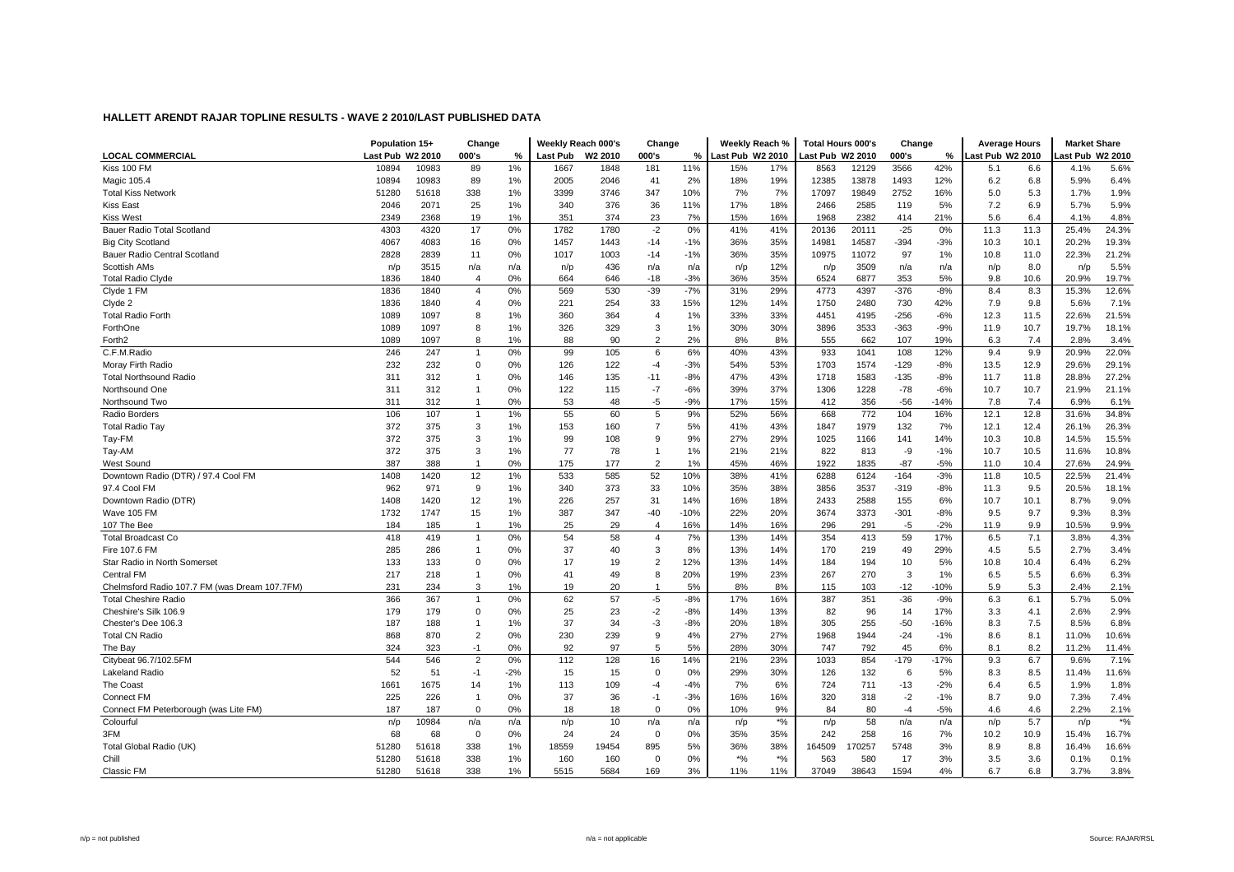| <b>LOCAL COMMERCIAL</b><br>Last Pub W2 2010<br><b>Last Pub</b><br>W <sub>2</sub> 2010<br>000's<br>Last Pub W2 2010<br>ast Pub W2 2010<br>ast Pub W2 2010<br>ast Pub W2 2010<br>000's<br>%<br>000's<br>%<br>%<br>Kiss 100 FM<br>10983<br>1%<br>11%<br>17%<br>12129<br>3566<br>42%<br>5.6%<br>10894<br>89<br>1667<br>1848<br>181<br>15%<br>8563<br>5.1<br>4.1%<br>6.6<br>Magic 105.4<br>10894<br>10983<br>89<br>1%<br>2005<br>2046<br>41<br>2%<br>18%<br>19%<br>12385<br>13878<br>1493<br>12%<br>6.2<br>6.8<br>5.9%<br>6.4%<br>1%<br>3746<br>7%<br>19849<br>16%<br>1.9%<br><b>Total Kiss Network</b><br>51280<br>51618<br>338<br>3399<br>347<br>10%<br>7%<br>17097<br>2752<br>5.0<br>5.3<br>1.7%<br>5.9%<br><b>Kiss East</b><br>2046<br>2071<br>25<br>1%<br>340<br>376<br>36<br>17%<br>18%<br>2585<br>5%<br>7.2<br>6.9<br>5.7%<br>11%<br>2466<br>119<br>2368<br>19<br>1%<br>351<br>23<br>7%<br>15%<br>16%<br>1968<br>2382<br>21%<br>5.6<br>6.4<br>4.1%<br>4.8%<br><b>Kiss West</b><br>2349<br>374<br>414<br>4320<br>17<br>0%<br>1782<br>1780<br>$-2$<br>0%<br>11.3<br>24.3%<br>Bauer Radio Total Scotland<br>4303<br>41%<br>41%<br>20136<br>20111<br>$-25$<br>0%<br>11.3<br>25.4%<br><b>Big City Scotland</b><br>4067<br>4083<br>16<br>0%<br>1457<br>1443<br>$-14$<br>$-1%$<br>36%<br>35%<br>14981<br>14587<br>$-394$<br>$-3%$<br>10.3<br>10.1<br>20.2%<br>19.3%<br>21.2%<br>35%<br>11.0<br>22.3%<br>Bauer Radio Central Scotland<br>2828<br>2839<br>11<br>0%<br>1017<br>1003<br>$-14$<br>$-1%$<br>36%<br>10975<br>11072<br>97<br>1%<br>10.8<br>5.5%<br><b>Scottish AMs</b><br>3515<br>436<br>12%<br>3509<br>n/p<br>8.0<br>n/p<br>n/a<br>n/a<br>n/p<br>n/a<br>n/a<br>n/p<br>n/p<br>n/a<br>n/a<br>n/p<br>0%<br>$-3%$<br>35%<br>353<br>5%<br>10.6<br>20.9%<br>19.7%<br><b>Total Radio Clyde</b><br>1836<br>1840<br>$\overline{4}$<br>664<br>646<br>$-18$<br>36%<br>6524<br>6877<br>9.8<br>569<br>$-7%$<br>Clyde 1 FM<br>0%<br>530<br>$-39$<br>29%<br>4773<br>4397<br>$-376$<br>$-8%$<br>8.4<br>12.6%<br>1836<br>1840<br>$\overline{4}$<br>31%<br>8.3<br>15.3%<br>0%<br>33<br>15%<br>42%<br>7.9<br>9.8<br>7.1%<br>Clyde 2<br>1836<br>1840<br>221<br>254<br>12%<br>14%<br>1750<br>2480<br>730<br>5.6%<br>$\overline{4}$<br>21.5%<br><b>Total Radio Forth</b><br>1089<br>1097<br>1%<br>360<br>364<br>1%<br>33%<br>33%<br>4451<br>4195<br>$-256$<br>$-6%$<br>12.3<br>11.5<br>22.6%<br>8<br>$\overline{4}$<br>ForthOne<br>326<br>3896<br>3533<br>10.7<br>18.1%<br>1089<br>1097<br>8<br>1%<br>329<br>3<br>1%<br>30%<br>30%<br>$-363$<br>$-9%$<br>11.9<br>19.7%<br>1%<br>88<br>90<br>$\overline{2}$<br>2%<br>8%<br>555<br>662<br>19%<br>7.4<br>2.8%<br>3.4%<br>Forth <sub>2</sub><br>1089<br>1097<br>8<br>8%<br>107<br>6.3<br>22.0%<br>C.F.M.Radio<br>246<br>247<br>0%<br>99<br>105<br>6<br>6%<br>40%<br>43%<br>933<br>1041<br>108<br>12%<br>9.4<br>9.9<br>20.9%<br>232<br>232<br>0%<br>122<br>$-3%$<br>53%<br>1574<br>$-129$<br>13.5<br>12.9<br>29.1%<br>Moray Firth Radio<br>$\mathbf 0$<br>126<br>$-4$<br>54%<br>1703<br>$-8%$<br>29.6%<br>27.2%<br>311<br>312<br>0%<br>146<br>135<br>$-11$<br>$-8%$<br>47%<br>43%<br>1718<br>1583<br>$-135$<br>$-8%$<br>11.7<br>11.8<br>28.8%<br><b>Total Northsound Radio</b><br>311<br>$-7$<br>$-6%$<br>37%<br>1228<br>$-78$<br>10.7<br>10.7<br>21.1%<br>Northsound One<br>312<br>0%<br>122<br>115<br>39%<br>1306<br>$-6%$<br>21.9%<br>$\overline{1}$<br>0%<br>53<br>$-5$<br>$-9%$<br>15%<br>7.4<br>6.1%<br>Northsound Two<br>311<br>312<br>48<br>17%<br>412<br>356<br>-56<br>$-14%$<br>7.8<br>6.9%<br>106<br>55<br>9%<br>Radio Borders<br>107<br>1%<br>60<br>5<br>52%<br>56%<br>668<br>772<br>104<br>16%<br>12.1<br>12.8<br>31.6%<br>34.8%<br>$\overline{1}$<br><b>Total Radio Tay</b><br>372<br>375<br>3<br>153<br>5%<br>43%<br>1847<br>1979<br>12.1<br>12.4<br>26.1%<br>26.3%<br>1%<br>160<br>$\overline{7}$<br>41%<br>132<br>7%<br>372<br>10.3<br>15.5%<br>Tay-FM<br>375<br>3<br>1%<br>99<br>108<br>9<br>9%<br>27%<br>29%<br>1025<br>1166<br>141<br>14%<br>10.8<br>14.5%<br>372<br>10.8%<br>375<br>3<br>1%<br>77<br>78<br>1%<br>21%<br>21%<br>822<br>813<br>10.7<br>10.5<br>11.6%<br>Tay-AM<br>-9<br>$-1%$<br>387<br>0%<br>175<br>46%<br>$-87$<br>24.9%<br>388<br>177<br>$\overline{2}$<br>1%<br>45%<br>1922<br>1835<br>$-5%$<br>10.4<br>27.6%<br>West Sound<br>$\overline{1}$<br>11.0<br>Downtown Radio (DTR) / 97.4 Cool FM<br>533<br>52<br>1408<br>1420<br>12<br>1%<br>585<br>10%<br>38%<br>41%<br>6288<br>6124<br>$-164$<br>$-3%$<br>11.8<br>10.5<br>22.5%<br>21.4%<br>97.4 Cool FM<br>9<br>33<br>3537<br>18.1%<br>962<br>971<br>1%<br>340<br>373<br>10%<br>35%<br>38%<br>3856<br>$-319$<br>$-8%$<br>11.3<br>9.5<br>20.5%<br>12<br>1%<br>226<br>31<br>18%<br>2588<br>9.0%<br>Downtown Radio (DTR)<br>1408<br>1420<br>257<br>14%<br>16%<br>2433<br>155<br>6%<br>10.7<br>10.1<br>8.7%<br>Wave 105 FM<br>1732<br>1747<br>15<br>1%<br>387<br>347<br>$-40$<br>$-10%$<br>22%<br>20%<br>3674<br>3373<br>$-301$<br>$-8%$<br>9.5<br>9.7<br>9.3%<br>8.3%<br>9.9%<br>107 The Bee<br>184<br>185<br>1%<br>25<br>29<br>16%<br>14%<br>16%<br>296<br>291<br>$-5$<br>$-2%$<br>11.9<br>9.9<br>10.5%<br>$\overline{1}$<br>$\overline{4}$<br>7.1<br>4.3%<br>418<br>419<br>0%<br>54<br>58<br>7%<br>14%<br>354<br>413<br>59<br>17%<br>6.5<br><b>Total Broadcast Co</b><br>$\overline{4}$<br>13%<br>3.8%<br>$\overline{1}$<br>285<br>3.4%<br>Fire 107.6 FM<br>286<br>0%<br>37<br>40<br>8%<br>13%<br>14%<br>170<br>219<br>49<br>29%<br>4.5<br>5.5<br>2.7%<br>3<br>$\mathbf{1}$<br>133<br>133<br>0%<br>12%<br>13%<br>14%<br>194<br>10<br>10.4<br>6.4%<br>6.2%<br>$\Omega$<br>17<br>19<br>$\overline{2}$<br>184<br>5%<br>10.8<br>Star Radio in North Somerset<br>6.3%<br>217<br>218<br>0%<br>49<br>20%<br>19%<br>23%<br>267<br>270<br>3<br>6.5<br>5.5<br>6.6%<br><b>Central FM</b><br>41<br>8<br>1%<br>$\overline{1}$<br>8%<br>Chelmsford Radio 107.7 FM (was Dream 107.7FM)<br>231<br>234<br>3<br>1%<br>19<br>20<br>$\overline{1}$<br>5%<br>8%<br>115<br>103<br>$-12$<br>$-10%$<br>5.9<br>5.3<br>2.4%<br>2.1%<br>62<br>5.0%<br><b>Total Cheshire Radio</b><br>366<br>367<br>0%<br>57<br>$-5$<br>$-8%$<br>387<br>351<br>$-36$<br>$-9%$<br>6.3<br>6.1<br>5.7%<br>17%<br>16%<br>82<br>2.9%<br>Cheshire's Silk 106.9<br>179<br>179<br>$\mathbf 0$<br>0%<br>25<br>23<br>$-2$<br>$-8%$<br>14%<br>13%<br>96<br>14<br>17%<br>3.3<br>4.1<br>2.6%<br>Chester's Dee 106.3<br>187<br>37<br>34<br>$-3$<br>$-8%$<br>305<br>255<br>$-50$<br>8.3<br>7.5<br>8.5%<br>6.8%<br>188<br>1%<br>20%<br>18%<br>$-16%$<br>-1<br>$\overline{2}$<br>230<br>8.6<br>10.6%<br><b>Total CN Radio</b><br>868<br>870<br>0%<br>239<br>9<br>4%<br>27%<br>27%<br>1968<br>1944<br>$-24$<br>8.1<br>11.0%<br>$-1%$<br>0%<br>92<br>97<br>5%<br>30%<br>45<br>6%<br>8.2<br>11.2%<br>324<br>323<br>$-1$<br>5<br>28%<br>747<br>792<br>8.1<br>11.4%<br>The Bav<br>7.1%<br>Citybeat 96.7/102.5FM<br>544<br>546<br>$\overline{2}$<br>0%<br>112<br>128<br>16<br>14%<br>21%<br>23%<br>1033<br>854<br>$-179$<br>$-17%$<br>9.3<br>6.7<br>9.6%<br>Lakeland Radio<br>52<br>51<br>$-1$<br>$-2%$<br>15<br>15<br>$\Omega$<br>0%<br>29%<br>30%<br>126<br>132<br>6<br>5%<br>8.3<br>11.4%<br>11.6%<br>8.5<br>1675<br>724<br>711<br>$-13$<br>$-2%$<br>6.4<br>6.5<br>1.8%<br>The Coast<br>1661<br>14<br>1%<br>113<br>109<br>$-4$<br>$-4%$<br>7%<br>6%<br>1.9%<br>225<br>0%<br>37<br>$-3%$<br>16%<br>16%<br>320<br>$-2$<br>8.7<br>7.4%<br><b>Connect FM</b><br>226<br>36<br>$-1$<br>318<br>$-1%$<br>9.0<br>7.3%<br>$\overline{1}$<br>Connect FM Peterborough (was Lite FM)<br>187<br>187<br>0%<br>0%<br>9%<br>84<br>80<br>$-5%$<br>2.2%<br>2.1%<br>$\mathbf 0$<br>18<br>18<br>$\mathbf 0$<br>10%<br>$-4$<br>4.6<br>4.6<br>$*9/0$<br>$*$ %<br>Colourful<br>10984<br>58<br>n/p<br>10<br>n/a<br>n/p<br>n/a<br>n/a<br>n/p<br>5.7<br>n/p<br>n/p<br>n/a<br>n/a<br>n/a<br>n/p<br>3FM<br>68<br>$\mathbf 0$<br>0%<br>35%<br>242<br>258<br>16<br>68<br>0%<br>24<br>24<br>$\Omega$<br>35%<br>7%<br>10.9<br>15.4%<br>16.7%<br>10.2<br>Total Global Radio (UK)<br>51280<br>51618<br>338<br>1%<br>18559<br>19454<br>895<br>5%<br>36%<br>38%<br>164509<br>70257<br>5748<br>3%<br>8.9<br>8.8<br>16.6%<br>16.4%<br>$*$ %<br>$*$ %<br>Chill<br>51280<br>51618<br>338<br>1%<br>160<br>160<br>$\mathbf 0$<br>0%<br>563<br>580<br>17<br>3%<br>3.5<br>3.6<br>0.1%<br>0.1% |            | Population 15+ |       | Change |    | Weekly Reach 000's |      | Change |    |     | Weekly Reach % | <b>Total Hours 000's</b> |       | Change |    | <b>Average Hours</b> |     | <b>Market Share</b> |      |
|------------------------------------------------------------------------------------------------------------------------------------------------------------------------------------------------------------------------------------------------------------------------------------------------------------------------------------------------------------------------------------------------------------------------------------------------------------------------------------------------------------------------------------------------------------------------------------------------------------------------------------------------------------------------------------------------------------------------------------------------------------------------------------------------------------------------------------------------------------------------------------------------------------------------------------------------------------------------------------------------------------------------------------------------------------------------------------------------------------------------------------------------------------------------------------------------------------------------------------------------------------------------------------------------------------------------------------------------------------------------------------------------------------------------------------------------------------------------------------------------------------------------------------------------------------------------------------------------------------------------------------------------------------------------------------------------------------------------------------------------------------------------------------------------------------------------------------------------------------------------------------------------------------------------------------------------------------------------------------------------------------------------------------------------------------------------------------------------------------------------------------------------------------------------------------------------------------------------------------------------------------------------------------------------------------------------------------------------------------------------------------------------------------------------------------------------------------------------------------------------------------------------------------------------------------------------------------------------------------------------------------------------------------------------------------------------------------------------------------------------------------------------------------------------------------------------------------------------------------------------------------------------------------------------------------------------------------------------------------------------------------------------------------------------------------------------------------------------------------------------------------------------------------------------------------------------------------------------------------------------------------------------------------------------------------------------------------------------------------------------------------------------------------------------------------------------------------------------------------------------------------------------------------------------------------------------------------------------------------------------------------------------------------------------------------------------------------------------------------------------------------------------------------------------------------------------------------------------------------------------------------------------------------------------------------------------------------------------------------------------------------------------------------------------------------------------------------------------------------------------------------------------------------------------------------------------------------------------------------------------------------------------------------------------------------------------------------------------------------------------------------------------------------------------------------------------------------------------------------------------------------------------------------------------------------------------------------------------------------------------------------------------------------------------------------------------------------------------------------------------------------------------------------------------------------------------------------------------------------------------------------------------------------------------------------------------------------------------------------------------------------------------------------------------------------------------------------------------------------------------------------------------------------------------------------------------------------------------------------------------------------------------------------------------------------------------------------------------------------------------------------------------------------------------------------------------------------------------------------------------------------------------------------------------------------------------------------------------------------------------------------------------------------------------------------------------------------------------------------------------------------------------------------------------------------------------------------------------------------------------------------------------------------------------------------------------------------------------------------------------------------------------------------------------------------------------------------------------------------------------------------------------------------------------------------------------------------------------------------------------------------------------------------------------------------------------------------------------------------------------------------------------------------------------------------------------------------------------------------------------------------------------------------------------------------------------------------------------------------------------------------------------------------------------------------------------------------------------------------------------------------------------------------------------------------------------------------------------------------------------------------------------------------------------------------------------------------------------------------------------------------------------------------------------------------------------------------------------------------------------------------------------------------------------------------------------------------------------------------------------------------------------------------------------------------------------------------------------------------------------------------------------------------------------------------------------------------------------------------------------------------------------------------------------------------------------------------------------------------------------------------------------------------------------------------------------------------------------------------------------------------------------------------------------------------------------------------------------------------------------------------------------------------------------------------------------------------------------------------------------------------------------------------------------------------------------------------------------------------------------------------------------------------------------------------------------------------------------------------------------------------------------------------------------|------------|----------------|-------|--------|----|--------------------|------|--------|----|-----|----------------|--------------------------|-------|--------|----|----------------------|-----|---------------------|------|
|                                                                                                                                                                                                                                                                                                                                                                                                                                                                                                                                                                                                                                                                                                                                                                                                                                                                                                                                                                                                                                                                                                                                                                                                                                                                                                                                                                                                                                                                                                                                                                                                                                                                                                                                                                                                                                                                                                                                                                                                                                                                                                                                                                                                                                                                                                                                                                                                                                                                                                                                                                                                                                                                                                                                                                                                                                                                                                                                                                                                                                                                                                                                                                                                                                                                                                                                                                                                                                                                                                                                                                                                                                                                                                                                                                                                                                                                                                                                                                                                                                                                                                                                                                                                                                                                                                                                                                                                                                                                                                                                                                                                                                                                                                                                                                                                                                                                                                                                                                                                                                                                                                                                                                                                                                                                                                                                                                                                                                                                                                                                                                                                                                                                                                                                                                                                                                                                                                                                                                                                                                                                                                                                                                                                                                                                                                                                                                                                                                                                                                                                                                                                                                                                                                                                                                                                                                                                                                                                                                                                                                                                                                                                                                                                                                                                                                                                                                                                                                                                                                                                                                                                                                                                                                                                                                                                                                                                                                                                                                                                                                                                                                                                                                                                                                                                                                |            |                |       |        |    |                    |      |        |    |     |                |                          |       |        |    |                      |     |                     |      |
|                                                                                                                                                                                                                                                                                                                                                                                                                                                                                                                                                                                                                                                                                                                                                                                                                                                                                                                                                                                                                                                                                                                                                                                                                                                                                                                                                                                                                                                                                                                                                                                                                                                                                                                                                                                                                                                                                                                                                                                                                                                                                                                                                                                                                                                                                                                                                                                                                                                                                                                                                                                                                                                                                                                                                                                                                                                                                                                                                                                                                                                                                                                                                                                                                                                                                                                                                                                                                                                                                                                                                                                                                                                                                                                                                                                                                                                                                                                                                                                                                                                                                                                                                                                                                                                                                                                                                                                                                                                                                                                                                                                                                                                                                                                                                                                                                                                                                                                                                                                                                                                                                                                                                                                                                                                                                                                                                                                                                                                                                                                                                                                                                                                                                                                                                                                                                                                                                                                                                                                                                                                                                                                                                                                                                                                                                                                                                                                                                                                                                                                                                                                                                                                                                                                                                                                                                                                                                                                                                                                                                                                                                                                                                                                                                                                                                                                                                                                                                                                                                                                                                                                                                                                                                                                                                                                                                                                                                                                                                                                                                                                                                                                                                                                                                                                                                                |            |                |       |        |    |                    |      |        |    |     |                |                          |       |        |    |                      |     |                     |      |
|                                                                                                                                                                                                                                                                                                                                                                                                                                                                                                                                                                                                                                                                                                                                                                                                                                                                                                                                                                                                                                                                                                                                                                                                                                                                                                                                                                                                                                                                                                                                                                                                                                                                                                                                                                                                                                                                                                                                                                                                                                                                                                                                                                                                                                                                                                                                                                                                                                                                                                                                                                                                                                                                                                                                                                                                                                                                                                                                                                                                                                                                                                                                                                                                                                                                                                                                                                                                                                                                                                                                                                                                                                                                                                                                                                                                                                                                                                                                                                                                                                                                                                                                                                                                                                                                                                                                                                                                                                                                                                                                                                                                                                                                                                                                                                                                                                                                                                                                                                                                                                                                                                                                                                                                                                                                                                                                                                                                                                                                                                                                                                                                                                                                                                                                                                                                                                                                                                                                                                                                                                                                                                                                                                                                                                                                                                                                                                                                                                                                                                                                                                                                                                                                                                                                                                                                                                                                                                                                                                                                                                                                                                                                                                                                                                                                                                                                                                                                                                                                                                                                                                                                                                                                                                                                                                                                                                                                                                                                                                                                                                                                                                                                                                                                                                                                                                |            |                |       |        |    |                    |      |        |    |     |                |                          |       |        |    |                      |     |                     |      |
|                                                                                                                                                                                                                                                                                                                                                                                                                                                                                                                                                                                                                                                                                                                                                                                                                                                                                                                                                                                                                                                                                                                                                                                                                                                                                                                                                                                                                                                                                                                                                                                                                                                                                                                                                                                                                                                                                                                                                                                                                                                                                                                                                                                                                                                                                                                                                                                                                                                                                                                                                                                                                                                                                                                                                                                                                                                                                                                                                                                                                                                                                                                                                                                                                                                                                                                                                                                                                                                                                                                                                                                                                                                                                                                                                                                                                                                                                                                                                                                                                                                                                                                                                                                                                                                                                                                                                                                                                                                                                                                                                                                                                                                                                                                                                                                                                                                                                                                                                                                                                                                                                                                                                                                                                                                                                                                                                                                                                                                                                                                                                                                                                                                                                                                                                                                                                                                                                                                                                                                                                                                                                                                                                                                                                                                                                                                                                                                                                                                                                                                                                                                                                                                                                                                                                                                                                                                                                                                                                                                                                                                                                                                                                                                                                                                                                                                                                                                                                                                                                                                                                                                                                                                                                                                                                                                                                                                                                                                                                                                                                                                                                                                                                                                                                                                                                                |            |                |       |        |    |                    |      |        |    |     |                |                          |       |        |    |                      |     |                     |      |
|                                                                                                                                                                                                                                                                                                                                                                                                                                                                                                                                                                                                                                                                                                                                                                                                                                                                                                                                                                                                                                                                                                                                                                                                                                                                                                                                                                                                                                                                                                                                                                                                                                                                                                                                                                                                                                                                                                                                                                                                                                                                                                                                                                                                                                                                                                                                                                                                                                                                                                                                                                                                                                                                                                                                                                                                                                                                                                                                                                                                                                                                                                                                                                                                                                                                                                                                                                                                                                                                                                                                                                                                                                                                                                                                                                                                                                                                                                                                                                                                                                                                                                                                                                                                                                                                                                                                                                                                                                                                                                                                                                                                                                                                                                                                                                                                                                                                                                                                                                                                                                                                                                                                                                                                                                                                                                                                                                                                                                                                                                                                                                                                                                                                                                                                                                                                                                                                                                                                                                                                                                                                                                                                                                                                                                                                                                                                                                                                                                                                                                                                                                                                                                                                                                                                                                                                                                                                                                                                                                                                                                                                                                                                                                                                                                                                                                                                                                                                                                                                                                                                                                                                                                                                                                                                                                                                                                                                                                                                                                                                                                                                                                                                                                                                                                                                                                |            |                |       |        |    |                    |      |        |    |     |                |                          |       |        |    |                      |     |                     |      |
|                                                                                                                                                                                                                                                                                                                                                                                                                                                                                                                                                                                                                                                                                                                                                                                                                                                                                                                                                                                                                                                                                                                                                                                                                                                                                                                                                                                                                                                                                                                                                                                                                                                                                                                                                                                                                                                                                                                                                                                                                                                                                                                                                                                                                                                                                                                                                                                                                                                                                                                                                                                                                                                                                                                                                                                                                                                                                                                                                                                                                                                                                                                                                                                                                                                                                                                                                                                                                                                                                                                                                                                                                                                                                                                                                                                                                                                                                                                                                                                                                                                                                                                                                                                                                                                                                                                                                                                                                                                                                                                                                                                                                                                                                                                                                                                                                                                                                                                                                                                                                                                                                                                                                                                                                                                                                                                                                                                                                                                                                                                                                                                                                                                                                                                                                                                                                                                                                                                                                                                                                                                                                                                                                                                                                                                                                                                                                                                                                                                                                                                                                                                                                                                                                                                                                                                                                                                                                                                                                                                                                                                                                                                                                                                                                                                                                                                                                                                                                                                                                                                                                                                                                                                                                                                                                                                                                                                                                                                                                                                                                                                                                                                                                                                                                                                                                                |            |                |       |        |    |                    |      |        |    |     |                |                          |       |        |    |                      |     |                     |      |
|                                                                                                                                                                                                                                                                                                                                                                                                                                                                                                                                                                                                                                                                                                                                                                                                                                                                                                                                                                                                                                                                                                                                                                                                                                                                                                                                                                                                                                                                                                                                                                                                                                                                                                                                                                                                                                                                                                                                                                                                                                                                                                                                                                                                                                                                                                                                                                                                                                                                                                                                                                                                                                                                                                                                                                                                                                                                                                                                                                                                                                                                                                                                                                                                                                                                                                                                                                                                                                                                                                                                                                                                                                                                                                                                                                                                                                                                                                                                                                                                                                                                                                                                                                                                                                                                                                                                                                                                                                                                                                                                                                                                                                                                                                                                                                                                                                                                                                                                                                                                                                                                                                                                                                                                                                                                                                                                                                                                                                                                                                                                                                                                                                                                                                                                                                                                                                                                                                                                                                                                                                                                                                                                                                                                                                                                                                                                                                                                                                                                                                                                                                                                                                                                                                                                                                                                                                                                                                                                                                                                                                                                                                                                                                                                                                                                                                                                                                                                                                                                                                                                                                                                                                                                                                                                                                                                                                                                                                                                                                                                                                                                                                                                                                                                                                                                                                |            |                |       |        |    |                    |      |        |    |     |                |                          |       |        |    |                      |     |                     |      |
|                                                                                                                                                                                                                                                                                                                                                                                                                                                                                                                                                                                                                                                                                                                                                                                                                                                                                                                                                                                                                                                                                                                                                                                                                                                                                                                                                                                                                                                                                                                                                                                                                                                                                                                                                                                                                                                                                                                                                                                                                                                                                                                                                                                                                                                                                                                                                                                                                                                                                                                                                                                                                                                                                                                                                                                                                                                                                                                                                                                                                                                                                                                                                                                                                                                                                                                                                                                                                                                                                                                                                                                                                                                                                                                                                                                                                                                                                                                                                                                                                                                                                                                                                                                                                                                                                                                                                                                                                                                                                                                                                                                                                                                                                                                                                                                                                                                                                                                                                                                                                                                                                                                                                                                                                                                                                                                                                                                                                                                                                                                                                                                                                                                                                                                                                                                                                                                                                                                                                                                                                                                                                                                                                                                                                                                                                                                                                                                                                                                                                                                                                                                                                                                                                                                                                                                                                                                                                                                                                                                                                                                                                                                                                                                                                                                                                                                                                                                                                                                                                                                                                                                                                                                                                                                                                                                                                                                                                                                                                                                                                                                                                                                                                                                                                                                                                                |            |                |       |        |    |                    |      |        |    |     |                |                          |       |        |    |                      |     |                     |      |
|                                                                                                                                                                                                                                                                                                                                                                                                                                                                                                                                                                                                                                                                                                                                                                                                                                                                                                                                                                                                                                                                                                                                                                                                                                                                                                                                                                                                                                                                                                                                                                                                                                                                                                                                                                                                                                                                                                                                                                                                                                                                                                                                                                                                                                                                                                                                                                                                                                                                                                                                                                                                                                                                                                                                                                                                                                                                                                                                                                                                                                                                                                                                                                                                                                                                                                                                                                                                                                                                                                                                                                                                                                                                                                                                                                                                                                                                                                                                                                                                                                                                                                                                                                                                                                                                                                                                                                                                                                                                                                                                                                                                                                                                                                                                                                                                                                                                                                                                                                                                                                                                                                                                                                                                                                                                                                                                                                                                                                                                                                                                                                                                                                                                                                                                                                                                                                                                                                                                                                                                                                                                                                                                                                                                                                                                                                                                                                                                                                                                                                                                                                                                                                                                                                                                                                                                                                                                                                                                                                                                                                                                                                                                                                                                                                                                                                                                                                                                                                                                                                                                                                                                                                                                                                                                                                                                                                                                                                                                                                                                                                                                                                                                                                                                                                                                                                |            |                |       |        |    |                    |      |        |    |     |                |                          |       |        |    |                      |     |                     |      |
|                                                                                                                                                                                                                                                                                                                                                                                                                                                                                                                                                                                                                                                                                                                                                                                                                                                                                                                                                                                                                                                                                                                                                                                                                                                                                                                                                                                                                                                                                                                                                                                                                                                                                                                                                                                                                                                                                                                                                                                                                                                                                                                                                                                                                                                                                                                                                                                                                                                                                                                                                                                                                                                                                                                                                                                                                                                                                                                                                                                                                                                                                                                                                                                                                                                                                                                                                                                                                                                                                                                                                                                                                                                                                                                                                                                                                                                                                                                                                                                                                                                                                                                                                                                                                                                                                                                                                                                                                                                                                                                                                                                                                                                                                                                                                                                                                                                                                                                                                                                                                                                                                                                                                                                                                                                                                                                                                                                                                                                                                                                                                                                                                                                                                                                                                                                                                                                                                                                                                                                                                                                                                                                                                                                                                                                                                                                                                                                                                                                                                                                                                                                                                                                                                                                                                                                                                                                                                                                                                                                                                                                                                                                                                                                                                                                                                                                                                                                                                                                                                                                                                                                                                                                                                                                                                                                                                                                                                                                                                                                                                                                                                                                                                                                                                                                                                                |            |                |       |        |    |                    |      |        |    |     |                |                          |       |        |    |                      |     |                     |      |
|                                                                                                                                                                                                                                                                                                                                                                                                                                                                                                                                                                                                                                                                                                                                                                                                                                                                                                                                                                                                                                                                                                                                                                                                                                                                                                                                                                                                                                                                                                                                                                                                                                                                                                                                                                                                                                                                                                                                                                                                                                                                                                                                                                                                                                                                                                                                                                                                                                                                                                                                                                                                                                                                                                                                                                                                                                                                                                                                                                                                                                                                                                                                                                                                                                                                                                                                                                                                                                                                                                                                                                                                                                                                                                                                                                                                                                                                                                                                                                                                                                                                                                                                                                                                                                                                                                                                                                                                                                                                                                                                                                                                                                                                                                                                                                                                                                                                                                                                                                                                                                                                                                                                                                                                                                                                                                                                                                                                                                                                                                                                                                                                                                                                                                                                                                                                                                                                                                                                                                                                                                                                                                                                                                                                                                                                                                                                                                                                                                                                                                                                                                                                                                                                                                                                                                                                                                                                                                                                                                                                                                                                                                                                                                                                                                                                                                                                                                                                                                                                                                                                                                                                                                                                                                                                                                                                                                                                                                                                                                                                                                                                                                                                                                                                                                                                                                |            |                |       |        |    |                    |      |        |    |     |                |                          |       |        |    |                      |     |                     |      |
|                                                                                                                                                                                                                                                                                                                                                                                                                                                                                                                                                                                                                                                                                                                                                                                                                                                                                                                                                                                                                                                                                                                                                                                                                                                                                                                                                                                                                                                                                                                                                                                                                                                                                                                                                                                                                                                                                                                                                                                                                                                                                                                                                                                                                                                                                                                                                                                                                                                                                                                                                                                                                                                                                                                                                                                                                                                                                                                                                                                                                                                                                                                                                                                                                                                                                                                                                                                                                                                                                                                                                                                                                                                                                                                                                                                                                                                                                                                                                                                                                                                                                                                                                                                                                                                                                                                                                                                                                                                                                                                                                                                                                                                                                                                                                                                                                                                                                                                                                                                                                                                                                                                                                                                                                                                                                                                                                                                                                                                                                                                                                                                                                                                                                                                                                                                                                                                                                                                                                                                                                                                                                                                                                                                                                                                                                                                                                                                                                                                                                                                                                                                                                                                                                                                                                                                                                                                                                                                                                                                                                                                                                                                                                                                                                                                                                                                                                                                                                                                                                                                                                                                                                                                                                                                                                                                                                                                                                                                                                                                                                                                                                                                                                                                                                                                                                                |            |                |       |        |    |                    |      |        |    |     |                |                          |       |        |    |                      |     |                     |      |
|                                                                                                                                                                                                                                                                                                                                                                                                                                                                                                                                                                                                                                                                                                                                                                                                                                                                                                                                                                                                                                                                                                                                                                                                                                                                                                                                                                                                                                                                                                                                                                                                                                                                                                                                                                                                                                                                                                                                                                                                                                                                                                                                                                                                                                                                                                                                                                                                                                                                                                                                                                                                                                                                                                                                                                                                                                                                                                                                                                                                                                                                                                                                                                                                                                                                                                                                                                                                                                                                                                                                                                                                                                                                                                                                                                                                                                                                                                                                                                                                                                                                                                                                                                                                                                                                                                                                                                                                                                                                                                                                                                                                                                                                                                                                                                                                                                                                                                                                                                                                                                                                                                                                                                                                                                                                                                                                                                                                                                                                                                                                                                                                                                                                                                                                                                                                                                                                                                                                                                                                                                                                                                                                                                                                                                                                                                                                                                                                                                                                                                                                                                                                                                                                                                                                                                                                                                                                                                                                                                                                                                                                                                                                                                                                                                                                                                                                                                                                                                                                                                                                                                                                                                                                                                                                                                                                                                                                                                                                                                                                                                                                                                                                                                                                                                                                                                |            |                |       |        |    |                    |      |        |    |     |                |                          |       |        |    |                      |     |                     |      |
|                                                                                                                                                                                                                                                                                                                                                                                                                                                                                                                                                                                                                                                                                                                                                                                                                                                                                                                                                                                                                                                                                                                                                                                                                                                                                                                                                                                                                                                                                                                                                                                                                                                                                                                                                                                                                                                                                                                                                                                                                                                                                                                                                                                                                                                                                                                                                                                                                                                                                                                                                                                                                                                                                                                                                                                                                                                                                                                                                                                                                                                                                                                                                                                                                                                                                                                                                                                                                                                                                                                                                                                                                                                                                                                                                                                                                                                                                                                                                                                                                                                                                                                                                                                                                                                                                                                                                                                                                                                                                                                                                                                                                                                                                                                                                                                                                                                                                                                                                                                                                                                                                                                                                                                                                                                                                                                                                                                                                                                                                                                                                                                                                                                                                                                                                                                                                                                                                                                                                                                                                                                                                                                                                                                                                                                                                                                                                                                                                                                                                                                                                                                                                                                                                                                                                                                                                                                                                                                                                                                                                                                                                                                                                                                                                                                                                                                                                                                                                                                                                                                                                                                                                                                                                                                                                                                                                                                                                                                                                                                                                                                                                                                                                                                                                                                                                                |            |                |       |        |    |                    |      |        |    |     |                |                          |       |        |    |                      |     |                     |      |
|                                                                                                                                                                                                                                                                                                                                                                                                                                                                                                                                                                                                                                                                                                                                                                                                                                                                                                                                                                                                                                                                                                                                                                                                                                                                                                                                                                                                                                                                                                                                                                                                                                                                                                                                                                                                                                                                                                                                                                                                                                                                                                                                                                                                                                                                                                                                                                                                                                                                                                                                                                                                                                                                                                                                                                                                                                                                                                                                                                                                                                                                                                                                                                                                                                                                                                                                                                                                                                                                                                                                                                                                                                                                                                                                                                                                                                                                                                                                                                                                                                                                                                                                                                                                                                                                                                                                                                                                                                                                                                                                                                                                                                                                                                                                                                                                                                                                                                                                                                                                                                                                                                                                                                                                                                                                                                                                                                                                                                                                                                                                                                                                                                                                                                                                                                                                                                                                                                                                                                                                                                                                                                                                                                                                                                                                                                                                                                                                                                                                                                                                                                                                                                                                                                                                                                                                                                                                                                                                                                                                                                                                                                                                                                                                                                                                                                                                                                                                                                                                                                                                                                                                                                                                                                                                                                                                                                                                                                                                                                                                                                                                                                                                                                                                                                                                                                |            |                |       |        |    |                    |      |        |    |     |                |                          |       |        |    |                      |     |                     |      |
|                                                                                                                                                                                                                                                                                                                                                                                                                                                                                                                                                                                                                                                                                                                                                                                                                                                                                                                                                                                                                                                                                                                                                                                                                                                                                                                                                                                                                                                                                                                                                                                                                                                                                                                                                                                                                                                                                                                                                                                                                                                                                                                                                                                                                                                                                                                                                                                                                                                                                                                                                                                                                                                                                                                                                                                                                                                                                                                                                                                                                                                                                                                                                                                                                                                                                                                                                                                                                                                                                                                                                                                                                                                                                                                                                                                                                                                                                                                                                                                                                                                                                                                                                                                                                                                                                                                                                                                                                                                                                                                                                                                                                                                                                                                                                                                                                                                                                                                                                                                                                                                                                                                                                                                                                                                                                                                                                                                                                                                                                                                                                                                                                                                                                                                                                                                                                                                                                                                                                                                                                                                                                                                                                                                                                                                                                                                                                                                                                                                                                                                                                                                                                                                                                                                                                                                                                                                                                                                                                                                                                                                                                                                                                                                                                                                                                                                                                                                                                                                                                                                                                                                                                                                                                                                                                                                                                                                                                                                                                                                                                                                                                                                                                                                                                                                                                                |            |                |       |        |    |                    |      |        |    |     |                |                          |       |        |    |                      |     |                     |      |
|                                                                                                                                                                                                                                                                                                                                                                                                                                                                                                                                                                                                                                                                                                                                                                                                                                                                                                                                                                                                                                                                                                                                                                                                                                                                                                                                                                                                                                                                                                                                                                                                                                                                                                                                                                                                                                                                                                                                                                                                                                                                                                                                                                                                                                                                                                                                                                                                                                                                                                                                                                                                                                                                                                                                                                                                                                                                                                                                                                                                                                                                                                                                                                                                                                                                                                                                                                                                                                                                                                                                                                                                                                                                                                                                                                                                                                                                                                                                                                                                                                                                                                                                                                                                                                                                                                                                                                                                                                                                                                                                                                                                                                                                                                                                                                                                                                                                                                                                                                                                                                                                                                                                                                                                                                                                                                                                                                                                                                                                                                                                                                                                                                                                                                                                                                                                                                                                                                                                                                                                                                                                                                                                                                                                                                                                                                                                                                                                                                                                                                                                                                                                                                                                                                                                                                                                                                                                                                                                                                                                                                                                                                                                                                                                                                                                                                                                                                                                                                                                                                                                                                                                                                                                                                                                                                                                                                                                                                                                                                                                                                                                                                                                                                                                                                                                                                |            |                |       |        |    |                    |      |        |    |     |                |                          |       |        |    |                      |     |                     |      |
|                                                                                                                                                                                                                                                                                                                                                                                                                                                                                                                                                                                                                                                                                                                                                                                                                                                                                                                                                                                                                                                                                                                                                                                                                                                                                                                                                                                                                                                                                                                                                                                                                                                                                                                                                                                                                                                                                                                                                                                                                                                                                                                                                                                                                                                                                                                                                                                                                                                                                                                                                                                                                                                                                                                                                                                                                                                                                                                                                                                                                                                                                                                                                                                                                                                                                                                                                                                                                                                                                                                                                                                                                                                                                                                                                                                                                                                                                                                                                                                                                                                                                                                                                                                                                                                                                                                                                                                                                                                                                                                                                                                                                                                                                                                                                                                                                                                                                                                                                                                                                                                                                                                                                                                                                                                                                                                                                                                                                                                                                                                                                                                                                                                                                                                                                                                                                                                                                                                                                                                                                                                                                                                                                                                                                                                                                                                                                                                                                                                                                                                                                                                                                                                                                                                                                                                                                                                                                                                                                                                                                                                                                                                                                                                                                                                                                                                                                                                                                                                                                                                                                                                                                                                                                                                                                                                                                                                                                                                                                                                                                                                                                                                                                                                                                                                                                                |            |                |       |        |    |                    |      |        |    |     |                |                          |       |        |    |                      |     |                     |      |
|                                                                                                                                                                                                                                                                                                                                                                                                                                                                                                                                                                                                                                                                                                                                                                                                                                                                                                                                                                                                                                                                                                                                                                                                                                                                                                                                                                                                                                                                                                                                                                                                                                                                                                                                                                                                                                                                                                                                                                                                                                                                                                                                                                                                                                                                                                                                                                                                                                                                                                                                                                                                                                                                                                                                                                                                                                                                                                                                                                                                                                                                                                                                                                                                                                                                                                                                                                                                                                                                                                                                                                                                                                                                                                                                                                                                                                                                                                                                                                                                                                                                                                                                                                                                                                                                                                                                                                                                                                                                                                                                                                                                                                                                                                                                                                                                                                                                                                                                                                                                                                                                                                                                                                                                                                                                                                                                                                                                                                                                                                                                                                                                                                                                                                                                                                                                                                                                                                                                                                                                                                                                                                                                                                                                                                                                                                                                                                                                                                                                                                                                                                                                                                                                                                                                                                                                                                                                                                                                                                                                                                                                                                                                                                                                                                                                                                                                                                                                                                                                                                                                                                                                                                                                                                                                                                                                                                                                                                                                                                                                                                                                                                                                                                                                                                                                                                |            |                |       |        |    |                    |      |        |    |     |                |                          |       |        |    |                      |     |                     |      |
|                                                                                                                                                                                                                                                                                                                                                                                                                                                                                                                                                                                                                                                                                                                                                                                                                                                                                                                                                                                                                                                                                                                                                                                                                                                                                                                                                                                                                                                                                                                                                                                                                                                                                                                                                                                                                                                                                                                                                                                                                                                                                                                                                                                                                                                                                                                                                                                                                                                                                                                                                                                                                                                                                                                                                                                                                                                                                                                                                                                                                                                                                                                                                                                                                                                                                                                                                                                                                                                                                                                                                                                                                                                                                                                                                                                                                                                                                                                                                                                                                                                                                                                                                                                                                                                                                                                                                                                                                                                                                                                                                                                                                                                                                                                                                                                                                                                                                                                                                                                                                                                                                                                                                                                                                                                                                                                                                                                                                                                                                                                                                                                                                                                                                                                                                                                                                                                                                                                                                                                                                                                                                                                                                                                                                                                                                                                                                                                                                                                                                                                                                                                                                                                                                                                                                                                                                                                                                                                                                                                                                                                                                                                                                                                                                                                                                                                                                                                                                                                                                                                                                                                                                                                                                                                                                                                                                                                                                                                                                                                                                                                                                                                                                                                                                                                                                                |            |                |       |        |    |                    |      |        |    |     |                |                          |       |        |    |                      |     |                     |      |
|                                                                                                                                                                                                                                                                                                                                                                                                                                                                                                                                                                                                                                                                                                                                                                                                                                                                                                                                                                                                                                                                                                                                                                                                                                                                                                                                                                                                                                                                                                                                                                                                                                                                                                                                                                                                                                                                                                                                                                                                                                                                                                                                                                                                                                                                                                                                                                                                                                                                                                                                                                                                                                                                                                                                                                                                                                                                                                                                                                                                                                                                                                                                                                                                                                                                                                                                                                                                                                                                                                                                                                                                                                                                                                                                                                                                                                                                                                                                                                                                                                                                                                                                                                                                                                                                                                                                                                                                                                                                                                                                                                                                                                                                                                                                                                                                                                                                                                                                                                                                                                                                                                                                                                                                                                                                                                                                                                                                                                                                                                                                                                                                                                                                                                                                                                                                                                                                                                                                                                                                                                                                                                                                                                                                                                                                                                                                                                                                                                                                                                                                                                                                                                                                                                                                                                                                                                                                                                                                                                                                                                                                                                                                                                                                                                                                                                                                                                                                                                                                                                                                                                                                                                                                                                                                                                                                                                                                                                                                                                                                                                                                                                                                                                                                                                                                                                |            |                |       |        |    |                    |      |        |    |     |                |                          |       |        |    |                      |     |                     |      |
|                                                                                                                                                                                                                                                                                                                                                                                                                                                                                                                                                                                                                                                                                                                                                                                                                                                                                                                                                                                                                                                                                                                                                                                                                                                                                                                                                                                                                                                                                                                                                                                                                                                                                                                                                                                                                                                                                                                                                                                                                                                                                                                                                                                                                                                                                                                                                                                                                                                                                                                                                                                                                                                                                                                                                                                                                                                                                                                                                                                                                                                                                                                                                                                                                                                                                                                                                                                                                                                                                                                                                                                                                                                                                                                                                                                                                                                                                                                                                                                                                                                                                                                                                                                                                                                                                                                                                                                                                                                                                                                                                                                                                                                                                                                                                                                                                                                                                                                                                                                                                                                                                                                                                                                                                                                                                                                                                                                                                                                                                                                                                                                                                                                                                                                                                                                                                                                                                                                                                                                                                                                                                                                                                                                                                                                                                                                                                                                                                                                                                                                                                                                                                                                                                                                                                                                                                                                                                                                                                                                                                                                                                                                                                                                                                                                                                                                                                                                                                                                                                                                                                                                                                                                                                                                                                                                                                                                                                                                                                                                                                                                                                                                                                                                                                                                                                                |            |                |       |        |    |                    |      |        |    |     |                |                          |       |        |    |                      |     |                     |      |
|                                                                                                                                                                                                                                                                                                                                                                                                                                                                                                                                                                                                                                                                                                                                                                                                                                                                                                                                                                                                                                                                                                                                                                                                                                                                                                                                                                                                                                                                                                                                                                                                                                                                                                                                                                                                                                                                                                                                                                                                                                                                                                                                                                                                                                                                                                                                                                                                                                                                                                                                                                                                                                                                                                                                                                                                                                                                                                                                                                                                                                                                                                                                                                                                                                                                                                                                                                                                                                                                                                                                                                                                                                                                                                                                                                                                                                                                                                                                                                                                                                                                                                                                                                                                                                                                                                                                                                                                                                                                                                                                                                                                                                                                                                                                                                                                                                                                                                                                                                                                                                                                                                                                                                                                                                                                                                                                                                                                                                                                                                                                                                                                                                                                                                                                                                                                                                                                                                                                                                                                                                                                                                                                                                                                                                                                                                                                                                                                                                                                                                                                                                                                                                                                                                                                                                                                                                                                                                                                                                                                                                                                                                                                                                                                                                                                                                                                                                                                                                                                                                                                                                                                                                                                                                                                                                                                                                                                                                                                                                                                                                                                                                                                                                                                                                                                                                |            |                |       |        |    |                    |      |        |    |     |                |                          |       |        |    |                      |     |                     |      |
|                                                                                                                                                                                                                                                                                                                                                                                                                                                                                                                                                                                                                                                                                                                                                                                                                                                                                                                                                                                                                                                                                                                                                                                                                                                                                                                                                                                                                                                                                                                                                                                                                                                                                                                                                                                                                                                                                                                                                                                                                                                                                                                                                                                                                                                                                                                                                                                                                                                                                                                                                                                                                                                                                                                                                                                                                                                                                                                                                                                                                                                                                                                                                                                                                                                                                                                                                                                                                                                                                                                                                                                                                                                                                                                                                                                                                                                                                                                                                                                                                                                                                                                                                                                                                                                                                                                                                                                                                                                                                                                                                                                                                                                                                                                                                                                                                                                                                                                                                                                                                                                                                                                                                                                                                                                                                                                                                                                                                                                                                                                                                                                                                                                                                                                                                                                                                                                                                                                                                                                                                                                                                                                                                                                                                                                                                                                                                                                                                                                                                                                                                                                                                                                                                                                                                                                                                                                                                                                                                                                                                                                                                                                                                                                                                                                                                                                                                                                                                                                                                                                                                                                                                                                                                                                                                                                                                                                                                                                                                                                                                                                                                                                                                                                                                                                                                                |            |                |       |        |    |                    |      |        |    |     |                |                          |       |        |    |                      |     |                     |      |
|                                                                                                                                                                                                                                                                                                                                                                                                                                                                                                                                                                                                                                                                                                                                                                                                                                                                                                                                                                                                                                                                                                                                                                                                                                                                                                                                                                                                                                                                                                                                                                                                                                                                                                                                                                                                                                                                                                                                                                                                                                                                                                                                                                                                                                                                                                                                                                                                                                                                                                                                                                                                                                                                                                                                                                                                                                                                                                                                                                                                                                                                                                                                                                                                                                                                                                                                                                                                                                                                                                                                                                                                                                                                                                                                                                                                                                                                                                                                                                                                                                                                                                                                                                                                                                                                                                                                                                                                                                                                                                                                                                                                                                                                                                                                                                                                                                                                                                                                                                                                                                                                                                                                                                                                                                                                                                                                                                                                                                                                                                                                                                                                                                                                                                                                                                                                                                                                                                                                                                                                                                                                                                                                                                                                                                                                                                                                                                                                                                                                                                                                                                                                                                                                                                                                                                                                                                                                                                                                                                                                                                                                                                                                                                                                                                                                                                                                                                                                                                                                                                                                                                                                                                                                                                                                                                                                                                                                                                                                                                                                                                                                                                                                                                                                                                                                                                |            |                |       |        |    |                    |      |        |    |     |                |                          |       |        |    |                      |     |                     |      |
|                                                                                                                                                                                                                                                                                                                                                                                                                                                                                                                                                                                                                                                                                                                                                                                                                                                                                                                                                                                                                                                                                                                                                                                                                                                                                                                                                                                                                                                                                                                                                                                                                                                                                                                                                                                                                                                                                                                                                                                                                                                                                                                                                                                                                                                                                                                                                                                                                                                                                                                                                                                                                                                                                                                                                                                                                                                                                                                                                                                                                                                                                                                                                                                                                                                                                                                                                                                                                                                                                                                                                                                                                                                                                                                                                                                                                                                                                                                                                                                                                                                                                                                                                                                                                                                                                                                                                                                                                                                                                                                                                                                                                                                                                                                                                                                                                                                                                                                                                                                                                                                                                                                                                                                                                                                                                                                                                                                                                                                                                                                                                                                                                                                                                                                                                                                                                                                                                                                                                                                                                                                                                                                                                                                                                                                                                                                                                                                                                                                                                                                                                                                                                                                                                                                                                                                                                                                                                                                                                                                                                                                                                                                                                                                                                                                                                                                                                                                                                                                                                                                                                                                                                                                                                                                                                                                                                                                                                                                                                                                                                                                                                                                                                                                                                                                                                                |            |                |       |        |    |                    |      |        |    |     |                |                          |       |        |    |                      |     |                     |      |
|                                                                                                                                                                                                                                                                                                                                                                                                                                                                                                                                                                                                                                                                                                                                                                                                                                                                                                                                                                                                                                                                                                                                                                                                                                                                                                                                                                                                                                                                                                                                                                                                                                                                                                                                                                                                                                                                                                                                                                                                                                                                                                                                                                                                                                                                                                                                                                                                                                                                                                                                                                                                                                                                                                                                                                                                                                                                                                                                                                                                                                                                                                                                                                                                                                                                                                                                                                                                                                                                                                                                                                                                                                                                                                                                                                                                                                                                                                                                                                                                                                                                                                                                                                                                                                                                                                                                                                                                                                                                                                                                                                                                                                                                                                                                                                                                                                                                                                                                                                                                                                                                                                                                                                                                                                                                                                                                                                                                                                                                                                                                                                                                                                                                                                                                                                                                                                                                                                                                                                                                                                                                                                                                                                                                                                                                                                                                                                                                                                                                                                                                                                                                                                                                                                                                                                                                                                                                                                                                                                                                                                                                                                                                                                                                                                                                                                                                                                                                                                                                                                                                                                                                                                                                                                                                                                                                                                                                                                                                                                                                                                                                                                                                                                                                                                                                                                |            |                |       |        |    |                    |      |        |    |     |                |                          |       |        |    |                      |     |                     |      |
|                                                                                                                                                                                                                                                                                                                                                                                                                                                                                                                                                                                                                                                                                                                                                                                                                                                                                                                                                                                                                                                                                                                                                                                                                                                                                                                                                                                                                                                                                                                                                                                                                                                                                                                                                                                                                                                                                                                                                                                                                                                                                                                                                                                                                                                                                                                                                                                                                                                                                                                                                                                                                                                                                                                                                                                                                                                                                                                                                                                                                                                                                                                                                                                                                                                                                                                                                                                                                                                                                                                                                                                                                                                                                                                                                                                                                                                                                                                                                                                                                                                                                                                                                                                                                                                                                                                                                                                                                                                                                                                                                                                                                                                                                                                                                                                                                                                                                                                                                                                                                                                                                                                                                                                                                                                                                                                                                                                                                                                                                                                                                                                                                                                                                                                                                                                                                                                                                                                                                                                                                                                                                                                                                                                                                                                                                                                                                                                                                                                                                                                                                                                                                                                                                                                                                                                                                                                                                                                                                                                                                                                                                                                                                                                                                                                                                                                                                                                                                                                                                                                                                                                                                                                                                                                                                                                                                                                                                                                                                                                                                                                                                                                                                                                                                                                                                                |            |                |       |        |    |                    |      |        |    |     |                |                          |       |        |    |                      |     |                     |      |
|                                                                                                                                                                                                                                                                                                                                                                                                                                                                                                                                                                                                                                                                                                                                                                                                                                                                                                                                                                                                                                                                                                                                                                                                                                                                                                                                                                                                                                                                                                                                                                                                                                                                                                                                                                                                                                                                                                                                                                                                                                                                                                                                                                                                                                                                                                                                                                                                                                                                                                                                                                                                                                                                                                                                                                                                                                                                                                                                                                                                                                                                                                                                                                                                                                                                                                                                                                                                                                                                                                                                                                                                                                                                                                                                                                                                                                                                                                                                                                                                                                                                                                                                                                                                                                                                                                                                                                                                                                                                                                                                                                                                                                                                                                                                                                                                                                                                                                                                                                                                                                                                                                                                                                                                                                                                                                                                                                                                                                                                                                                                                                                                                                                                                                                                                                                                                                                                                                                                                                                                                                                                                                                                                                                                                                                                                                                                                                                                                                                                                                                                                                                                                                                                                                                                                                                                                                                                                                                                                                                                                                                                                                                                                                                                                                                                                                                                                                                                                                                                                                                                                                                                                                                                                                                                                                                                                                                                                                                                                                                                                                                                                                                                                                                                                                                                                                |            |                |       |        |    |                    |      |        |    |     |                |                          |       |        |    |                      |     |                     |      |
|                                                                                                                                                                                                                                                                                                                                                                                                                                                                                                                                                                                                                                                                                                                                                                                                                                                                                                                                                                                                                                                                                                                                                                                                                                                                                                                                                                                                                                                                                                                                                                                                                                                                                                                                                                                                                                                                                                                                                                                                                                                                                                                                                                                                                                                                                                                                                                                                                                                                                                                                                                                                                                                                                                                                                                                                                                                                                                                                                                                                                                                                                                                                                                                                                                                                                                                                                                                                                                                                                                                                                                                                                                                                                                                                                                                                                                                                                                                                                                                                                                                                                                                                                                                                                                                                                                                                                                                                                                                                                                                                                                                                                                                                                                                                                                                                                                                                                                                                                                                                                                                                                                                                                                                                                                                                                                                                                                                                                                                                                                                                                                                                                                                                                                                                                                                                                                                                                                                                                                                                                                                                                                                                                                                                                                                                                                                                                                                                                                                                                                                                                                                                                                                                                                                                                                                                                                                                                                                                                                                                                                                                                                                                                                                                                                                                                                                                                                                                                                                                                                                                                                                                                                                                                                                                                                                                                                                                                                                                                                                                                                                                                                                                                                                                                                                                                                |            |                |       |        |    |                    |      |        |    |     |                |                          |       |        |    |                      |     |                     |      |
|                                                                                                                                                                                                                                                                                                                                                                                                                                                                                                                                                                                                                                                                                                                                                                                                                                                                                                                                                                                                                                                                                                                                                                                                                                                                                                                                                                                                                                                                                                                                                                                                                                                                                                                                                                                                                                                                                                                                                                                                                                                                                                                                                                                                                                                                                                                                                                                                                                                                                                                                                                                                                                                                                                                                                                                                                                                                                                                                                                                                                                                                                                                                                                                                                                                                                                                                                                                                                                                                                                                                                                                                                                                                                                                                                                                                                                                                                                                                                                                                                                                                                                                                                                                                                                                                                                                                                                                                                                                                                                                                                                                                                                                                                                                                                                                                                                                                                                                                                                                                                                                                                                                                                                                                                                                                                                                                                                                                                                                                                                                                                                                                                                                                                                                                                                                                                                                                                                                                                                                                                                                                                                                                                                                                                                                                                                                                                                                                                                                                                                                                                                                                                                                                                                                                                                                                                                                                                                                                                                                                                                                                                                                                                                                                                                                                                                                                                                                                                                                                                                                                                                                                                                                                                                                                                                                                                                                                                                                                                                                                                                                                                                                                                                                                                                                                                                |            |                |       |        |    |                    |      |        |    |     |                |                          |       |        |    |                      |     |                     |      |
|                                                                                                                                                                                                                                                                                                                                                                                                                                                                                                                                                                                                                                                                                                                                                                                                                                                                                                                                                                                                                                                                                                                                                                                                                                                                                                                                                                                                                                                                                                                                                                                                                                                                                                                                                                                                                                                                                                                                                                                                                                                                                                                                                                                                                                                                                                                                                                                                                                                                                                                                                                                                                                                                                                                                                                                                                                                                                                                                                                                                                                                                                                                                                                                                                                                                                                                                                                                                                                                                                                                                                                                                                                                                                                                                                                                                                                                                                                                                                                                                                                                                                                                                                                                                                                                                                                                                                                                                                                                                                                                                                                                                                                                                                                                                                                                                                                                                                                                                                                                                                                                                                                                                                                                                                                                                                                                                                                                                                                                                                                                                                                                                                                                                                                                                                                                                                                                                                                                                                                                                                                                                                                                                                                                                                                                                                                                                                                                                                                                                                                                                                                                                                                                                                                                                                                                                                                                                                                                                                                                                                                                                                                                                                                                                                                                                                                                                                                                                                                                                                                                                                                                                                                                                                                                                                                                                                                                                                                                                                                                                                                                                                                                                                                                                                                                                                                |            |                |       |        |    |                    |      |        |    |     |                |                          |       |        |    |                      |     |                     |      |
|                                                                                                                                                                                                                                                                                                                                                                                                                                                                                                                                                                                                                                                                                                                                                                                                                                                                                                                                                                                                                                                                                                                                                                                                                                                                                                                                                                                                                                                                                                                                                                                                                                                                                                                                                                                                                                                                                                                                                                                                                                                                                                                                                                                                                                                                                                                                                                                                                                                                                                                                                                                                                                                                                                                                                                                                                                                                                                                                                                                                                                                                                                                                                                                                                                                                                                                                                                                                                                                                                                                                                                                                                                                                                                                                                                                                                                                                                                                                                                                                                                                                                                                                                                                                                                                                                                                                                                                                                                                                                                                                                                                                                                                                                                                                                                                                                                                                                                                                                                                                                                                                                                                                                                                                                                                                                                                                                                                                                                                                                                                                                                                                                                                                                                                                                                                                                                                                                                                                                                                                                                                                                                                                                                                                                                                                                                                                                                                                                                                                                                                                                                                                                                                                                                                                                                                                                                                                                                                                                                                                                                                                                                                                                                                                                                                                                                                                                                                                                                                                                                                                                                                                                                                                                                                                                                                                                                                                                                                                                                                                                                                                                                                                                                                                                                                                                                |            |                |       |        |    |                    |      |        |    |     |                |                          |       |        |    |                      |     |                     |      |
|                                                                                                                                                                                                                                                                                                                                                                                                                                                                                                                                                                                                                                                                                                                                                                                                                                                                                                                                                                                                                                                                                                                                                                                                                                                                                                                                                                                                                                                                                                                                                                                                                                                                                                                                                                                                                                                                                                                                                                                                                                                                                                                                                                                                                                                                                                                                                                                                                                                                                                                                                                                                                                                                                                                                                                                                                                                                                                                                                                                                                                                                                                                                                                                                                                                                                                                                                                                                                                                                                                                                                                                                                                                                                                                                                                                                                                                                                                                                                                                                                                                                                                                                                                                                                                                                                                                                                                                                                                                                                                                                                                                                                                                                                                                                                                                                                                                                                                                                                                                                                                                                                                                                                                                                                                                                                                                                                                                                                                                                                                                                                                                                                                                                                                                                                                                                                                                                                                                                                                                                                                                                                                                                                                                                                                                                                                                                                                                                                                                                                                                                                                                                                                                                                                                                                                                                                                                                                                                                                                                                                                                                                                                                                                                                                                                                                                                                                                                                                                                                                                                                                                                                                                                                                                                                                                                                                                                                                                                                                                                                                                                                                                                                                                                                                                                                                                |            |                |       |        |    |                    |      |        |    |     |                |                          |       |        |    |                      |     |                     |      |
|                                                                                                                                                                                                                                                                                                                                                                                                                                                                                                                                                                                                                                                                                                                                                                                                                                                                                                                                                                                                                                                                                                                                                                                                                                                                                                                                                                                                                                                                                                                                                                                                                                                                                                                                                                                                                                                                                                                                                                                                                                                                                                                                                                                                                                                                                                                                                                                                                                                                                                                                                                                                                                                                                                                                                                                                                                                                                                                                                                                                                                                                                                                                                                                                                                                                                                                                                                                                                                                                                                                                                                                                                                                                                                                                                                                                                                                                                                                                                                                                                                                                                                                                                                                                                                                                                                                                                                                                                                                                                                                                                                                                                                                                                                                                                                                                                                                                                                                                                                                                                                                                                                                                                                                                                                                                                                                                                                                                                                                                                                                                                                                                                                                                                                                                                                                                                                                                                                                                                                                                                                                                                                                                                                                                                                                                                                                                                                                                                                                                                                                                                                                                                                                                                                                                                                                                                                                                                                                                                                                                                                                                                                                                                                                                                                                                                                                                                                                                                                                                                                                                                                                                                                                                                                                                                                                                                                                                                                                                                                                                                                                                                                                                                                                                                                                                                                |            |                |       |        |    |                    |      |        |    |     |                |                          |       |        |    |                      |     |                     |      |
|                                                                                                                                                                                                                                                                                                                                                                                                                                                                                                                                                                                                                                                                                                                                                                                                                                                                                                                                                                                                                                                                                                                                                                                                                                                                                                                                                                                                                                                                                                                                                                                                                                                                                                                                                                                                                                                                                                                                                                                                                                                                                                                                                                                                                                                                                                                                                                                                                                                                                                                                                                                                                                                                                                                                                                                                                                                                                                                                                                                                                                                                                                                                                                                                                                                                                                                                                                                                                                                                                                                                                                                                                                                                                                                                                                                                                                                                                                                                                                                                                                                                                                                                                                                                                                                                                                                                                                                                                                                                                                                                                                                                                                                                                                                                                                                                                                                                                                                                                                                                                                                                                                                                                                                                                                                                                                                                                                                                                                                                                                                                                                                                                                                                                                                                                                                                                                                                                                                                                                                                                                                                                                                                                                                                                                                                                                                                                                                                                                                                                                                                                                                                                                                                                                                                                                                                                                                                                                                                                                                                                                                                                                                                                                                                                                                                                                                                                                                                                                                                                                                                                                                                                                                                                                                                                                                                                                                                                                                                                                                                                                                                                                                                                                                                                                                                                                |            |                |       |        |    |                    |      |        |    |     |                |                          |       |        |    |                      |     |                     |      |
|                                                                                                                                                                                                                                                                                                                                                                                                                                                                                                                                                                                                                                                                                                                                                                                                                                                                                                                                                                                                                                                                                                                                                                                                                                                                                                                                                                                                                                                                                                                                                                                                                                                                                                                                                                                                                                                                                                                                                                                                                                                                                                                                                                                                                                                                                                                                                                                                                                                                                                                                                                                                                                                                                                                                                                                                                                                                                                                                                                                                                                                                                                                                                                                                                                                                                                                                                                                                                                                                                                                                                                                                                                                                                                                                                                                                                                                                                                                                                                                                                                                                                                                                                                                                                                                                                                                                                                                                                                                                                                                                                                                                                                                                                                                                                                                                                                                                                                                                                                                                                                                                                                                                                                                                                                                                                                                                                                                                                                                                                                                                                                                                                                                                                                                                                                                                                                                                                                                                                                                                                                                                                                                                                                                                                                                                                                                                                                                                                                                                                                                                                                                                                                                                                                                                                                                                                                                                                                                                                                                                                                                                                                                                                                                                                                                                                                                                                                                                                                                                                                                                                                                                                                                                                                                                                                                                                                                                                                                                                                                                                                                                                                                                                                                                                                                                                                |            |                |       |        |    |                    |      |        |    |     |                |                          |       |        |    |                      |     |                     |      |
|                                                                                                                                                                                                                                                                                                                                                                                                                                                                                                                                                                                                                                                                                                                                                                                                                                                                                                                                                                                                                                                                                                                                                                                                                                                                                                                                                                                                                                                                                                                                                                                                                                                                                                                                                                                                                                                                                                                                                                                                                                                                                                                                                                                                                                                                                                                                                                                                                                                                                                                                                                                                                                                                                                                                                                                                                                                                                                                                                                                                                                                                                                                                                                                                                                                                                                                                                                                                                                                                                                                                                                                                                                                                                                                                                                                                                                                                                                                                                                                                                                                                                                                                                                                                                                                                                                                                                                                                                                                                                                                                                                                                                                                                                                                                                                                                                                                                                                                                                                                                                                                                                                                                                                                                                                                                                                                                                                                                                                                                                                                                                                                                                                                                                                                                                                                                                                                                                                                                                                                                                                                                                                                                                                                                                                                                                                                                                                                                                                                                                                                                                                                                                                                                                                                                                                                                                                                                                                                                                                                                                                                                                                                                                                                                                                                                                                                                                                                                                                                                                                                                                                                                                                                                                                                                                                                                                                                                                                                                                                                                                                                                                                                                                                                                                                                                                                |            |                |       |        |    |                    |      |        |    |     |                |                          |       |        |    |                      |     |                     |      |
|                                                                                                                                                                                                                                                                                                                                                                                                                                                                                                                                                                                                                                                                                                                                                                                                                                                                                                                                                                                                                                                                                                                                                                                                                                                                                                                                                                                                                                                                                                                                                                                                                                                                                                                                                                                                                                                                                                                                                                                                                                                                                                                                                                                                                                                                                                                                                                                                                                                                                                                                                                                                                                                                                                                                                                                                                                                                                                                                                                                                                                                                                                                                                                                                                                                                                                                                                                                                                                                                                                                                                                                                                                                                                                                                                                                                                                                                                                                                                                                                                                                                                                                                                                                                                                                                                                                                                                                                                                                                                                                                                                                                                                                                                                                                                                                                                                                                                                                                                                                                                                                                                                                                                                                                                                                                                                                                                                                                                                                                                                                                                                                                                                                                                                                                                                                                                                                                                                                                                                                                                                                                                                                                                                                                                                                                                                                                                                                                                                                                                                                                                                                                                                                                                                                                                                                                                                                                                                                                                                                                                                                                                                                                                                                                                                                                                                                                                                                                                                                                                                                                                                                                                                                                                                                                                                                                                                                                                                                                                                                                                                                                                                                                                                                                                                                                                                |            |                |       |        |    |                    |      |        |    |     |                |                          |       |        |    |                      |     |                     |      |
|                                                                                                                                                                                                                                                                                                                                                                                                                                                                                                                                                                                                                                                                                                                                                                                                                                                                                                                                                                                                                                                                                                                                                                                                                                                                                                                                                                                                                                                                                                                                                                                                                                                                                                                                                                                                                                                                                                                                                                                                                                                                                                                                                                                                                                                                                                                                                                                                                                                                                                                                                                                                                                                                                                                                                                                                                                                                                                                                                                                                                                                                                                                                                                                                                                                                                                                                                                                                                                                                                                                                                                                                                                                                                                                                                                                                                                                                                                                                                                                                                                                                                                                                                                                                                                                                                                                                                                                                                                                                                                                                                                                                                                                                                                                                                                                                                                                                                                                                                                                                                                                                                                                                                                                                                                                                                                                                                                                                                                                                                                                                                                                                                                                                                                                                                                                                                                                                                                                                                                                                                                                                                                                                                                                                                                                                                                                                                                                                                                                                                                                                                                                                                                                                                                                                                                                                                                                                                                                                                                                                                                                                                                                                                                                                                                                                                                                                                                                                                                                                                                                                                                                                                                                                                                                                                                                                                                                                                                                                                                                                                                                                                                                                                                                                                                                                                                |            |                |       |        |    |                    |      |        |    |     |                |                          |       |        |    |                      |     |                     |      |
|                                                                                                                                                                                                                                                                                                                                                                                                                                                                                                                                                                                                                                                                                                                                                                                                                                                                                                                                                                                                                                                                                                                                                                                                                                                                                                                                                                                                                                                                                                                                                                                                                                                                                                                                                                                                                                                                                                                                                                                                                                                                                                                                                                                                                                                                                                                                                                                                                                                                                                                                                                                                                                                                                                                                                                                                                                                                                                                                                                                                                                                                                                                                                                                                                                                                                                                                                                                                                                                                                                                                                                                                                                                                                                                                                                                                                                                                                                                                                                                                                                                                                                                                                                                                                                                                                                                                                                                                                                                                                                                                                                                                                                                                                                                                                                                                                                                                                                                                                                                                                                                                                                                                                                                                                                                                                                                                                                                                                                                                                                                                                                                                                                                                                                                                                                                                                                                                                                                                                                                                                                                                                                                                                                                                                                                                                                                                                                                                                                                                                                                                                                                                                                                                                                                                                                                                                                                                                                                                                                                                                                                                                                                                                                                                                                                                                                                                                                                                                                                                                                                                                                                                                                                                                                                                                                                                                                                                                                                                                                                                                                                                                                                                                                                                                                                                                                |            |                |       |        |    |                    |      |        |    |     |                |                          |       |        |    |                      |     |                     |      |
|                                                                                                                                                                                                                                                                                                                                                                                                                                                                                                                                                                                                                                                                                                                                                                                                                                                                                                                                                                                                                                                                                                                                                                                                                                                                                                                                                                                                                                                                                                                                                                                                                                                                                                                                                                                                                                                                                                                                                                                                                                                                                                                                                                                                                                                                                                                                                                                                                                                                                                                                                                                                                                                                                                                                                                                                                                                                                                                                                                                                                                                                                                                                                                                                                                                                                                                                                                                                                                                                                                                                                                                                                                                                                                                                                                                                                                                                                                                                                                                                                                                                                                                                                                                                                                                                                                                                                                                                                                                                                                                                                                                                                                                                                                                                                                                                                                                                                                                                                                                                                                                                                                                                                                                                                                                                                                                                                                                                                                                                                                                                                                                                                                                                                                                                                                                                                                                                                                                                                                                                                                                                                                                                                                                                                                                                                                                                                                                                                                                                                                                                                                                                                                                                                                                                                                                                                                                                                                                                                                                                                                                                                                                                                                                                                                                                                                                                                                                                                                                                                                                                                                                                                                                                                                                                                                                                                                                                                                                                                                                                                                                                                                                                                                                                                                                                                                |            |                |       |        |    |                    |      |        |    |     |                |                          |       |        |    |                      |     |                     |      |
|                                                                                                                                                                                                                                                                                                                                                                                                                                                                                                                                                                                                                                                                                                                                                                                                                                                                                                                                                                                                                                                                                                                                                                                                                                                                                                                                                                                                                                                                                                                                                                                                                                                                                                                                                                                                                                                                                                                                                                                                                                                                                                                                                                                                                                                                                                                                                                                                                                                                                                                                                                                                                                                                                                                                                                                                                                                                                                                                                                                                                                                                                                                                                                                                                                                                                                                                                                                                                                                                                                                                                                                                                                                                                                                                                                                                                                                                                                                                                                                                                                                                                                                                                                                                                                                                                                                                                                                                                                                                                                                                                                                                                                                                                                                                                                                                                                                                                                                                                                                                                                                                                                                                                                                                                                                                                                                                                                                                                                                                                                                                                                                                                                                                                                                                                                                                                                                                                                                                                                                                                                                                                                                                                                                                                                                                                                                                                                                                                                                                                                                                                                                                                                                                                                                                                                                                                                                                                                                                                                                                                                                                                                                                                                                                                                                                                                                                                                                                                                                                                                                                                                                                                                                                                                                                                                                                                                                                                                                                                                                                                                                                                                                                                                                                                                                                                                |            |                |       |        |    |                    |      |        |    |     |                |                          |       |        |    |                      |     |                     |      |
|                                                                                                                                                                                                                                                                                                                                                                                                                                                                                                                                                                                                                                                                                                                                                                                                                                                                                                                                                                                                                                                                                                                                                                                                                                                                                                                                                                                                                                                                                                                                                                                                                                                                                                                                                                                                                                                                                                                                                                                                                                                                                                                                                                                                                                                                                                                                                                                                                                                                                                                                                                                                                                                                                                                                                                                                                                                                                                                                                                                                                                                                                                                                                                                                                                                                                                                                                                                                                                                                                                                                                                                                                                                                                                                                                                                                                                                                                                                                                                                                                                                                                                                                                                                                                                                                                                                                                                                                                                                                                                                                                                                                                                                                                                                                                                                                                                                                                                                                                                                                                                                                                                                                                                                                                                                                                                                                                                                                                                                                                                                                                                                                                                                                                                                                                                                                                                                                                                                                                                                                                                                                                                                                                                                                                                                                                                                                                                                                                                                                                                                                                                                                                                                                                                                                                                                                                                                                                                                                                                                                                                                                                                                                                                                                                                                                                                                                                                                                                                                                                                                                                                                                                                                                                                                                                                                                                                                                                                                                                                                                                                                                                                                                                                                                                                                                                                |            |                |       |        |    |                    |      |        |    |     |                |                          |       |        |    |                      |     |                     |      |
|                                                                                                                                                                                                                                                                                                                                                                                                                                                                                                                                                                                                                                                                                                                                                                                                                                                                                                                                                                                                                                                                                                                                                                                                                                                                                                                                                                                                                                                                                                                                                                                                                                                                                                                                                                                                                                                                                                                                                                                                                                                                                                                                                                                                                                                                                                                                                                                                                                                                                                                                                                                                                                                                                                                                                                                                                                                                                                                                                                                                                                                                                                                                                                                                                                                                                                                                                                                                                                                                                                                                                                                                                                                                                                                                                                                                                                                                                                                                                                                                                                                                                                                                                                                                                                                                                                                                                                                                                                                                                                                                                                                                                                                                                                                                                                                                                                                                                                                                                                                                                                                                                                                                                                                                                                                                                                                                                                                                                                                                                                                                                                                                                                                                                                                                                                                                                                                                                                                                                                                                                                                                                                                                                                                                                                                                                                                                                                                                                                                                                                                                                                                                                                                                                                                                                                                                                                                                                                                                                                                                                                                                                                                                                                                                                                                                                                                                                                                                                                                                                                                                                                                                                                                                                                                                                                                                                                                                                                                                                                                                                                                                                                                                                                                                                                                                                                |            |                |       |        |    |                    |      |        |    |     |                |                          |       |        |    |                      |     |                     |      |
|                                                                                                                                                                                                                                                                                                                                                                                                                                                                                                                                                                                                                                                                                                                                                                                                                                                                                                                                                                                                                                                                                                                                                                                                                                                                                                                                                                                                                                                                                                                                                                                                                                                                                                                                                                                                                                                                                                                                                                                                                                                                                                                                                                                                                                                                                                                                                                                                                                                                                                                                                                                                                                                                                                                                                                                                                                                                                                                                                                                                                                                                                                                                                                                                                                                                                                                                                                                                                                                                                                                                                                                                                                                                                                                                                                                                                                                                                                                                                                                                                                                                                                                                                                                                                                                                                                                                                                                                                                                                                                                                                                                                                                                                                                                                                                                                                                                                                                                                                                                                                                                                                                                                                                                                                                                                                                                                                                                                                                                                                                                                                                                                                                                                                                                                                                                                                                                                                                                                                                                                                                                                                                                                                                                                                                                                                                                                                                                                                                                                                                                                                                                                                                                                                                                                                                                                                                                                                                                                                                                                                                                                                                                                                                                                                                                                                                                                                                                                                                                                                                                                                                                                                                                                                                                                                                                                                                                                                                                                                                                                                                                                                                                                                                                                                                                                                                |            |                |       |        |    |                    |      |        |    |     |                |                          |       |        |    |                      |     |                     |      |
|                                                                                                                                                                                                                                                                                                                                                                                                                                                                                                                                                                                                                                                                                                                                                                                                                                                                                                                                                                                                                                                                                                                                                                                                                                                                                                                                                                                                                                                                                                                                                                                                                                                                                                                                                                                                                                                                                                                                                                                                                                                                                                                                                                                                                                                                                                                                                                                                                                                                                                                                                                                                                                                                                                                                                                                                                                                                                                                                                                                                                                                                                                                                                                                                                                                                                                                                                                                                                                                                                                                                                                                                                                                                                                                                                                                                                                                                                                                                                                                                                                                                                                                                                                                                                                                                                                                                                                                                                                                                                                                                                                                                                                                                                                                                                                                                                                                                                                                                                                                                                                                                                                                                                                                                                                                                                                                                                                                                                                                                                                                                                                                                                                                                                                                                                                                                                                                                                                                                                                                                                                                                                                                                                                                                                                                                                                                                                                                                                                                                                                                                                                                                                                                                                                                                                                                                                                                                                                                                                                                                                                                                                                                                                                                                                                                                                                                                                                                                                                                                                                                                                                                                                                                                                                                                                                                                                                                                                                                                                                                                                                                                                                                                                                                                                                                                                                |            |                |       |        |    |                    |      |        |    |     |                |                          |       |        |    |                      |     |                     |      |
|                                                                                                                                                                                                                                                                                                                                                                                                                                                                                                                                                                                                                                                                                                                                                                                                                                                                                                                                                                                                                                                                                                                                                                                                                                                                                                                                                                                                                                                                                                                                                                                                                                                                                                                                                                                                                                                                                                                                                                                                                                                                                                                                                                                                                                                                                                                                                                                                                                                                                                                                                                                                                                                                                                                                                                                                                                                                                                                                                                                                                                                                                                                                                                                                                                                                                                                                                                                                                                                                                                                                                                                                                                                                                                                                                                                                                                                                                                                                                                                                                                                                                                                                                                                                                                                                                                                                                                                                                                                                                                                                                                                                                                                                                                                                                                                                                                                                                                                                                                                                                                                                                                                                                                                                                                                                                                                                                                                                                                                                                                                                                                                                                                                                                                                                                                                                                                                                                                                                                                                                                                                                                                                                                                                                                                                                                                                                                                                                                                                                                                                                                                                                                                                                                                                                                                                                                                                                                                                                                                                                                                                                                                                                                                                                                                                                                                                                                                                                                                                                                                                                                                                                                                                                                                                                                                                                                                                                                                                                                                                                                                                                                                                                                                                                                                                                                                |            |                |       |        |    |                    |      |        |    |     |                |                          |       |        |    |                      |     |                     |      |
|                                                                                                                                                                                                                                                                                                                                                                                                                                                                                                                                                                                                                                                                                                                                                                                                                                                                                                                                                                                                                                                                                                                                                                                                                                                                                                                                                                                                                                                                                                                                                                                                                                                                                                                                                                                                                                                                                                                                                                                                                                                                                                                                                                                                                                                                                                                                                                                                                                                                                                                                                                                                                                                                                                                                                                                                                                                                                                                                                                                                                                                                                                                                                                                                                                                                                                                                                                                                                                                                                                                                                                                                                                                                                                                                                                                                                                                                                                                                                                                                                                                                                                                                                                                                                                                                                                                                                                                                                                                                                                                                                                                                                                                                                                                                                                                                                                                                                                                                                                                                                                                                                                                                                                                                                                                                                                                                                                                                                                                                                                                                                                                                                                                                                                                                                                                                                                                                                                                                                                                                                                                                                                                                                                                                                                                                                                                                                                                                                                                                                                                                                                                                                                                                                                                                                                                                                                                                                                                                                                                                                                                                                                                                                                                                                                                                                                                                                                                                                                                                                                                                                                                                                                                                                                                                                                                                                                                                                                                                                                                                                                                                                                                                                                                                                                                                                                |            |                |       |        |    |                    |      |        |    |     |                |                          |       |        |    |                      |     |                     |      |
|                                                                                                                                                                                                                                                                                                                                                                                                                                                                                                                                                                                                                                                                                                                                                                                                                                                                                                                                                                                                                                                                                                                                                                                                                                                                                                                                                                                                                                                                                                                                                                                                                                                                                                                                                                                                                                                                                                                                                                                                                                                                                                                                                                                                                                                                                                                                                                                                                                                                                                                                                                                                                                                                                                                                                                                                                                                                                                                                                                                                                                                                                                                                                                                                                                                                                                                                                                                                                                                                                                                                                                                                                                                                                                                                                                                                                                                                                                                                                                                                                                                                                                                                                                                                                                                                                                                                                                                                                                                                                                                                                                                                                                                                                                                                                                                                                                                                                                                                                                                                                                                                                                                                                                                                                                                                                                                                                                                                                                                                                                                                                                                                                                                                                                                                                                                                                                                                                                                                                                                                                                                                                                                                                                                                                                                                                                                                                                                                                                                                                                                                                                                                                                                                                                                                                                                                                                                                                                                                                                                                                                                                                                                                                                                                                                                                                                                                                                                                                                                                                                                                                                                                                                                                                                                                                                                                                                                                                                                                                                                                                                                                                                                                                                                                                                                                                                |            |                |       |        |    |                    |      |        |    |     |                |                          |       |        |    |                      |     |                     |      |
|                                                                                                                                                                                                                                                                                                                                                                                                                                                                                                                                                                                                                                                                                                                                                                                                                                                                                                                                                                                                                                                                                                                                                                                                                                                                                                                                                                                                                                                                                                                                                                                                                                                                                                                                                                                                                                                                                                                                                                                                                                                                                                                                                                                                                                                                                                                                                                                                                                                                                                                                                                                                                                                                                                                                                                                                                                                                                                                                                                                                                                                                                                                                                                                                                                                                                                                                                                                                                                                                                                                                                                                                                                                                                                                                                                                                                                                                                                                                                                                                                                                                                                                                                                                                                                                                                                                                                                                                                                                                                                                                                                                                                                                                                                                                                                                                                                                                                                                                                                                                                                                                                                                                                                                                                                                                                                                                                                                                                                                                                                                                                                                                                                                                                                                                                                                                                                                                                                                                                                                                                                                                                                                                                                                                                                                                                                                                                                                                                                                                                                                                                                                                                                                                                                                                                                                                                                                                                                                                                                                                                                                                                                                                                                                                                                                                                                                                                                                                                                                                                                                                                                                                                                                                                                                                                                                                                                                                                                                                                                                                                                                                                                                                                                                                                                                                                                | Classic FM | 51280          | 51618 | 338    | 1% | 5515               | 5684 | 169    | 3% | 11% | 11%            | 37049                    | 38643 | 1594   | 4% | 6.7                  | 6.8 | 3.7%                | 3.8% |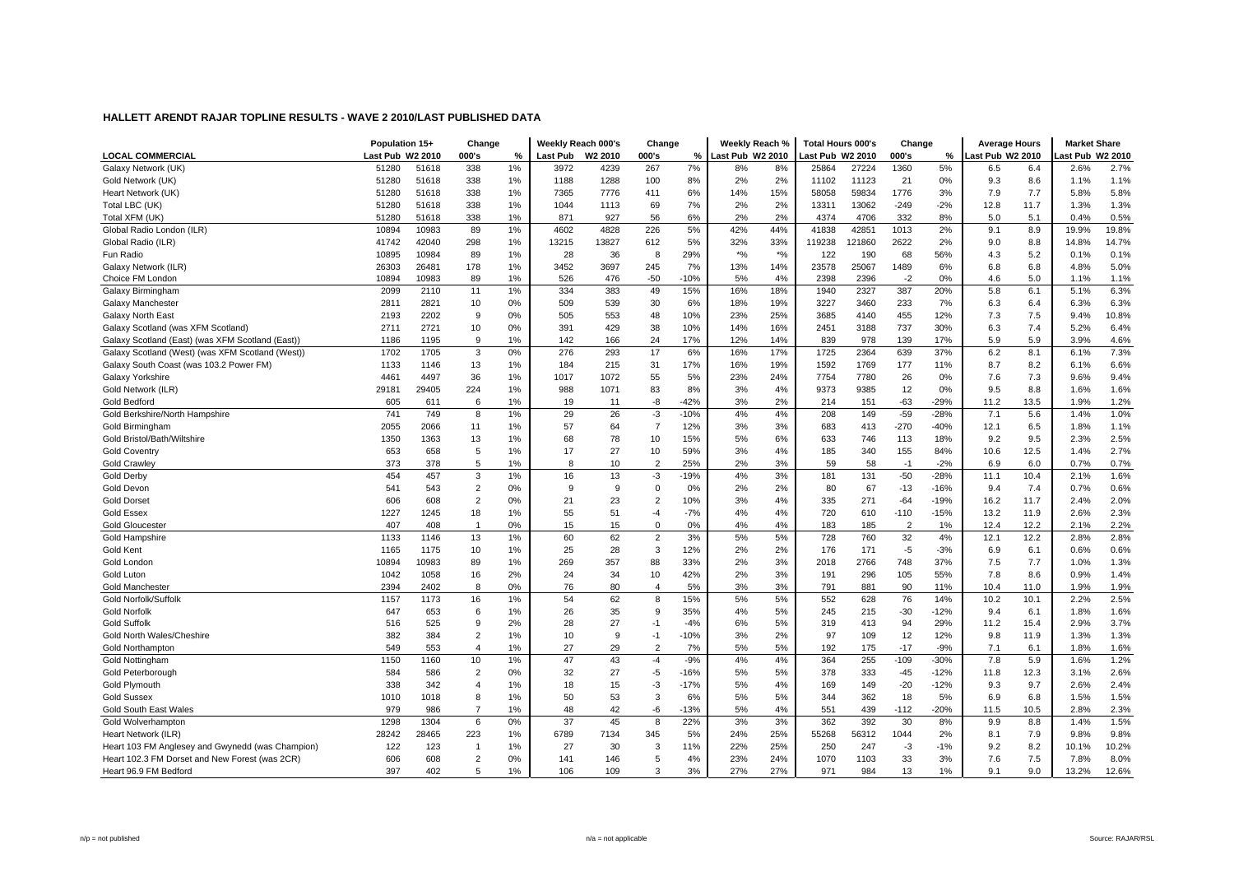|                                                  | Population 15+   |       | Change         |    | Weekly Reach 000's |                     | Change         |        | Weekly Reach %   |       | <b>Total Hours 000's</b> |        | Change         |        | <b>Average Hours</b> |      | <b>Market Share</b> |       |
|--------------------------------------------------|------------------|-------|----------------|----|--------------------|---------------------|----------------|--------|------------------|-------|--------------------------|--------|----------------|--------|----------------------|------|---------------------|-------|
| <b>LOCAL COMMERCIAL</b>                          | Last Pub W2 2010 |       | 000's          | %  | Last Pub           | W <sub>2</sub> 2010 | 000's          | %      | Last Pub W2 2010 |       | ast Pub W2 2010          |        | 000's          | %      | ast Pub W2 2010      |      | ast Pub W2 2010     |       |
| Galaxy Network (UK)                              | 51280            | 51618 | 338            | 1% | 3972               | 4239                | 267            | 7%     | 8%               | 8%    | 25864                    | 27224  | 1360           | 5%     | 6.5                  | 6.4  | 2.6%                | 2.7%  |
| Gold Network (UK)                                | 51280            | 51618 | 338            | 1% | 1188               | 1288                | 100            | 8%     | 2%               | 2%    | 11102                    | 11123  | 21             | 0%     | 9.3                  | 8.6  | 1.1%                | 1.1%  |
| Heart Network (UK)                               | 51280            | 51618 | 338            | 1% | 7365               | 7776                | 411            | 6%     | 14%              | 15%   | 58058                    | 59834  | 1776           | 3%     | 7.9                  | 7.7  | 5.8%                | 5.8%  |
| Total LBC (UK)                                   | 51280            | 51618 | 338            | 1% | 1044               | 1113                | 69             | 7%     | 2%               | 2%    | 13311                    | 13062  | $-249$         | $-2%$  | 12.8                 | 11.7 | 1.3%                | 1.3%  |
| Total XFM (UK)                                   | 51280            | 51618 | 338            | 1% | 871                | 927                 | 56             | 6%     | 2%               | 2%    | 4374                     | 4706   | 332            | 8%     | 5.0                  | 5.1  | 0.4%                | 0.5%  |
| Global Radio London (ILR)                        | 10894            | 10983 | 89             | 1% | 4602               | 4828                | 226            | 5%     | 42%              | 44%   | 41838                    | 42851  | 1013           | 2%     | 9.1                  | 8.9  | 19.9%               | 19.8% |
| Global Radio (ILR)                               | 41742            | 42040 | 298            | 1% | 13215              | 13827               | 612            | 5%     | 32%              | 33%   | 119238                   | 121860 | 2622           | 2%     | 9.0                  | 8.8  | 14.8%               | 14.7% |
| Fun Radio                                        | 10895            | 10984 | 89             | 1% | 28                 | 36                  | 8              | 29%    | $*$ %            | $*$ % | 122                      | 190    | 68             | 56%    | 4.3                  | 5.2  | 0.1%                | 0.1%  |
| Galaxy Network (ILR)                             | 26303            | 26481 | 178            | 1% | 3452               | 3697                | 245            | 7%     | 13%              | 14%   | 23578                    | 25067  | 1489           | 6%     | 6.8                  | 6.8  | 4.8%                | 5.0%  |
| Choice FM London                                 | 10894            | 10983 | 89             | 1% | 526                | 476                 | $-50$          | $-10%$ | 5%               | 4%    | 2398                     | 2396   | $-2$           | 0%     | 4.6                  | 5.0  | 1.1%                | 1.1%  |
| Galaxy Birmingham                                | 2099             | 2110  | 11             | 1% | 334                | 383                 | 49             | 15%    | 16%              | 18%   | 1940                     | 2327   | 387            | 20%    | 5.8                  | 6.1  | 5.1%                | 6.3%  |
| Galaxy Manchester                                | 2811             | 2821  | 10             | 0% | 509                | 539                 | 30             | 6%     | 18%              | 19%   | 3227                     | 3460   | 233            | 7%     | 6.3                  | 6.4  | 6.3%                | 6.3%  |
| Galaxy North East                                | 2193             | 2202  | 9              | 0% | 505                | 553                 | 48             | 10%    | 23%              | 25%   | 3685                     | 4140   | 455            | 12%    | 7.3                  | 7.5  | 9.4%                | 10.8% |
| Galaxy Scotland (was XFM Scotland)               | 2711             | 2721  | 10             | 0% | 391                | 429                 | 38             | 10%    | 14%              | 16%   | 2451                     | 3188   | 737            | 30%    | 6.3                  | 7.4  | 5.2%                | 6.4%  |
| Galaxy Scotland (East) (was XFM Scotland (East)  | 1186             | 1195  | 9              | 1% | 142                | 166                 | 24             | 17%    | 12%              | 14%   | 839                      | 978    | 139            | 17%    | 5.9                  | 5.9  | 3.9%                | 4.6%  |
| Galaxy Scotland (West) (was XFM Scotland (West)) | 1702             | 1705  | 3              | 0% | 276                | 293                 | 17             | 6%     | 16%              | 17%   | 1725                     | 2364   | 639            | 37%    | 6.2                  | 8.1  | 6.1%                | 7.3%  |
| Galaxy South Coast (was 103.2 Power FM)          | 1133             | 1146  | 13             | 1% | 184                | 215                 | 31             | 17%    | 16%              | 19%   | 1592                     | 1769   | 177            | 11%    | 8.7                  | 8.2  | 6.1%                | 6.6%  |
| Galaxy Yorkshire                                 | 4461             | 4497  | 36             | 1% | 1017               | 1072                | 55             | 5%     | 23%              | 24%   | 7754                     | 7780   | 26             | 0%     | 7.6                  | 7.3  | 9.6%                | 9.4%  |
| Gold Network (ILR)                               | 29181            | 29405 | 224            | 1% | 988                | 1071                | 83             | 8%     | 3%               | 4%    | 9373                     | 9385   | 12             | 0%     | 9.5                  | 8.8  | 1.6%                | 1.6%  |
| Gold Bedford                                     | 605              | 611   | 6              | 1% | 19                 | 11                  | -8             | $-42%$ | 3%               | 2%    | 214                      | 151    | -63            | $-29%$ | 11.2                 | 13.5 | 1.9%                | 1.2%  |
| Gold Berkshire/North Hampshire                   | 741              | 749   | 8              | 1% | 29                 | 26                  | $-3$           | $-10%$ | 4%               | 4%    | 208                      | 149    | $-59$          | $-28%$ | 7.1                  | 5.6  | 1.4%                | 1.0%  |
| Gold Birmingham                                  | 2055             | 2066  | 11             | 1% | 57                 | 64                  | $\overline{7}$ | 12%    | 3%               | 3%    | 683                      | 413    | $-270$         | $-40%$ | 12.1                 | 6.5  | 1.8%                | 1.1%  |
| Gold Bristol/Bath/Wiltshire                      | 1350             | 1363  | 13             | 1% | 68                 | 78                  | 10             | 15%    | 5%               | 6%    | 633                      | 746    | 113            | 18%    | 9.2                  | 9.5  | 2.3%                | 2.5%  |
| <b>Gold Coventry</b>                             | 653              | 658   | 5              | 1% | 17                 | 27                  | 10             | 59%    | 3%               | 4%    | 185                      | 340    | 155            | 84%    | 10.6                 | 12.5 | 1.4%                | 2.7%  |
| <b>Gold Crawley</b>                              | 373              | 378   | 5              | 1% | 8                  | 10                  | $\overline{2}$ | 25%    | 2%               | 3%    | 59                       | 58     | $-1$           | $-2%$  | 6.9                  | 6.0  | 0.7%                | 0.7%  |
| Gold Derby                                       | 454              | 457   | 3              | 1% | 16                 | 13                  | $-3$           | $-19%$ | 4%               | 3%    | 181                      | 131    | $-50$          | $-28%$ | 11.1                 | 10.4 | 2.1%                | 1.6%  |
| Gold Devon                                       | 541              | 543   | $\overline{2}$ | 0% | 9                  | 9                   | $\Omega$       | 0%     | 2%               | 2%    | 80                       | 67     | $-13$          | $-16%$ | 9.4                  | 7.4  | 0.7%                | 0.6%  |
| <b>Gold Dorset</b>                               | 606              | 608   | $\overline{2}$ | 0% | 21                 | 23                  | $\overline{2}$ | 10%    | 3%               | 4%    | 335                      | 271    | $-64$          | $-19%$ | 16.2                 | 11.7 | 2.4%                | 2.0%  |
| <b>Gold Essex</b>                                | 1227             | 1245  | 18             | 1% | 55                 | 51                  | $-4$           | $-7%$  | 4%               | 4%    | 720                      | 610    | $-110$         | $-15%$ | 13.2                 | 11.9 | 2.6%                | 2.3%  |
| <b>Gold Gloucester</b>                           | 407              | 408   | $\mathbf{1}$   | 0% | 15                 | 15                  | $\Omega$       | 0%     | 4%               | 4%    | 183                      | 185    | $\overline{2}$ | 1%     | 12.4                 | 12.2 | 2.1%                | 2.2%  |
| Gold Hampshire                                   | 1133             | 1146  | 13             | 1% | 60                 | 62                  | $\overline{2}$ | 3%     | 5%               | 5%    | 728                      | 760    | 32             | 4%     | 12.1                 | 12.2 | 2.8%                | 2.8%  |
| <b>Gold Kent</b>                                 | 1165             | 1175  | 10             | 1% | 25                 | 28                  | 3              | 12%    | 2%               | 2%    | 176                      | 171    | $-5$           | $-3%$  | 6.9                  | 6.1  | 0.6%                | 0.6%  |
| Gold London                                      | 10894            | 10983 | 89             | 1% | 269                | 357                 | 88             | 33%    | 2%               | 3%    | 2018                     | 2766   | 748            | 37%    | 7.5                  | 7.7  | 1.0%                | 1.3%  |
| Gold Luton                                       | 1042             | 1058  | 16             | 2% | 24                 | 34                  | 10             | 42%    | 2%               | 3%    | 191                      | 296    | 105            | 55%    | 7.8                  | 8.6  | 0.9%                | 1.4%  |
| <b>Gold Manchester</b>                           | 2394             | 2402  | 8              | 0% | 76                 | 80                  | $\overline{4}$ | 5%     | 3%               | 3%    | 791                      | 881    | 90             | 11%    | 10.4                 | 11.0 | 1.9%                | 1.9%  |
| Gold Norfolk/Suffolk                             | 1157             | 1173  | 16             | 1% | 54                 | 62                  | 8              | 15%    | 5%               | 5%    | 552                      | 628    | 76             | 14%    | 10.2                 | 10.1 | 2.2%                | 2.5%  |
| <b>Gold Norfolk</b>                              | 647              | 653   | 6              | 1% | 26                 | 35                  | 9              | 35%    | 4%               | 5%    | 245                      | 215    | $-30$          | $-12%$ | 9.4                  | 6.1  | 1.8%                | 1.6%  |
| <b>Gold Suffolk</b>                              | 516              | 525   | 9              | 2% | 28                 | 27                  | $-1$           | $-4%$  | 6%               | 5%    | 319                      | 413    | 94             | 29%    | 11.2                 | 15.4 | 2.9%                | 3.7%  |
| Gold North Wales/Cheshire                        | 382              | 384   | $\overline{2}$ | 1% | 10                 | 9                   | $-1$           | $-10%$ | 3%               | 2%    | 97                       | 109    | 12             | 12%    | 9.8                  | 11.9 | 1.3%                | 1.3%  |
| Gold Northampton                                 | 549              | 553   | $\overline{4}$ | 1% | 27                 | 29                  | $\overline{2}$ | 7%     | 5%               | 5%    | 192                      | 175    | $-17$          | $-9%$  | 7.1                  | 6.1  | 1.8%                | 1.6%  |
| <b>Gold Nottingham</b>                           | 1150             | 1160  | 10             | 1% | 47                 | 43                  | $-4$           | $-9%$  | 4%               | 4%    | 364                      | 255    | $-109$         | $-30%$ | 7.8                  | 5.9  | 1.6%                | 1.2%  |
| Gold Peterborough                                | 584              | 586   | $\overline{2}$ | 0% | 32                 | 27                  | -5             | $-16%$ | 5%               | 5%    | 378                      | 333    | -45            | $-12%$ | 11.8                 | 12.3 | 3.1%                | 2.6%  |
| <b>Gold Plymouth</b>                             | 338              | 342   | $\overline{4}$ | 1% | 18                 | 15                  | $-3$           | $-17%$ | 5%               | 4%    | 169                      | 149    | $-20$          | $-12%$ | 9.3                  | 9.7  | 2.6%                | 2.4%  |
| <b>Gold Sussex</b>                               | 1010             | 1018  | 8              | 1% | 50                 | 53                  | 3              | 6%     | 5%               | 5%    | 344                      | 362    | 18             | 5%     | 6.9                  | 6.8  | 1.5%                | 1.5%  |
| <b>Gold South East Wales</b>                     | 979              | 986   |                | 1% | 48                 | 42                  | -6             | $-13%$ | 5%               | 4%    | 551                      | 439    | $-112$         | $-20%$ | 11.5                 | 10.5 | 2.8%                | 2.3%  |
| Gold Wolverhampton                               | 1298             | 1304  | 6              | 0% | 37                 | 45                  | 8              | 22%    | 3%               | 3%    | 362                      | 392    | 30             | 8%     | 9.9                  | 8.8  | 1.4%                | 1.5%  |
| Heart Network (ILR)                              | 28242            | 28465 | 223            | 1% | 6789               | 7134                | 345            | 5%     | 24%              | 25%   | 55268                    | 56312  | 1044           | 2%     | 8.1                  | 7.9  | 9.8%                | 9.8%  |
| Heart 103 FM Anglesey and Gwynedd (was Champion) | 122              | 123   |                | 1% | 27                 | 30                  | 3              | 11%    | 22%              | 25%   | 250                      | 247    | $-3$           | $-1%$  | 9.2                  | 8.2  | 10.1%               | 10.2% |
| Heart 102.3 FM Dorset and New Forest (was 2CR)   | 606              | 608   | $\overline{2}$ | 0% | 141                | 146                 | 5              | 4%     | 23%              | 24%   | 1070                     | 1103   | 33             | 3%     | 7.6                  | 7.5  | 7.8%                | 8.0%  |
| Heart 96.9 FM Bedford                            | 397              | 402   | 5              | 1% | 106                | 109                 | $\mathcal{R}$  | 3%     | 27%              | 27%   | 971                      | 984    | 13             | 1%     | 9.1                  | 9.0  | 13.2%               | 12.6% |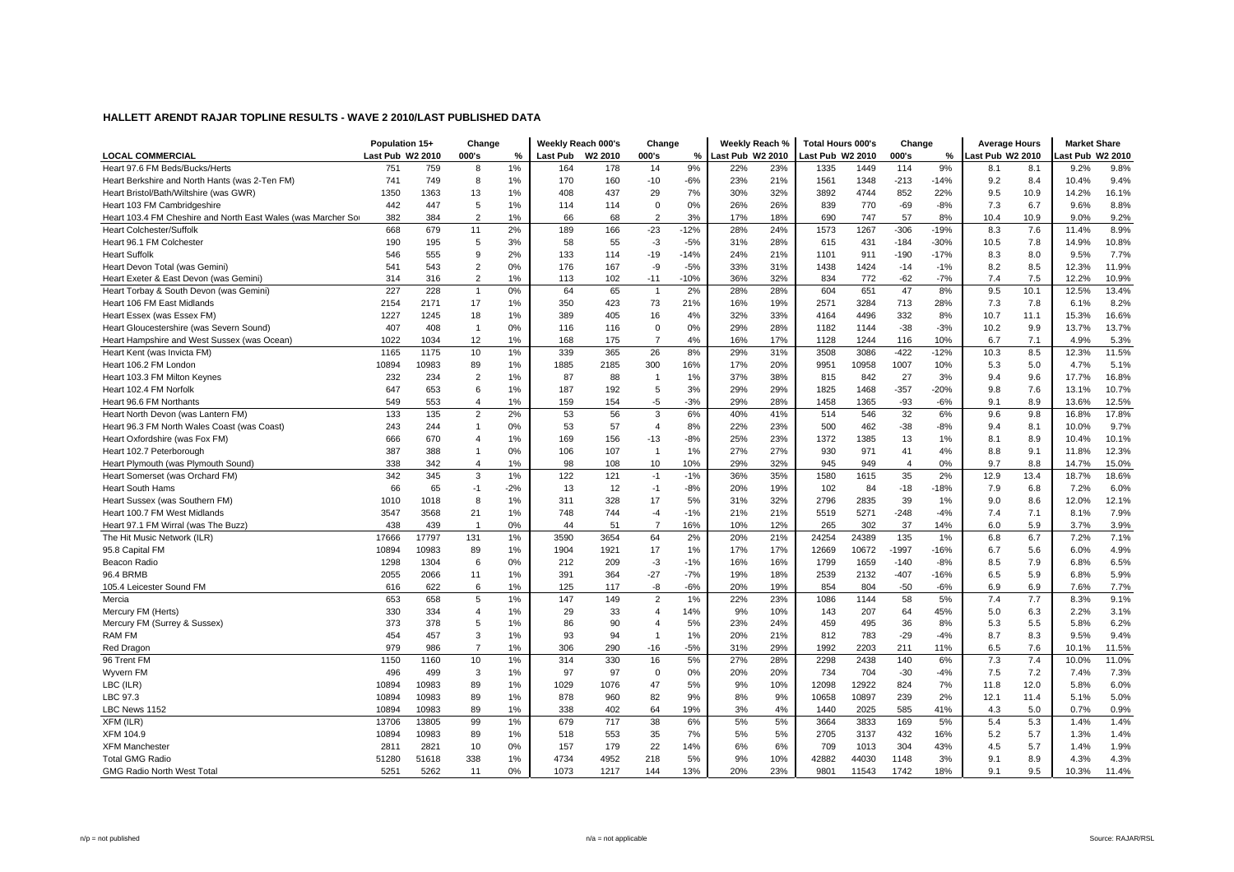|                                                               | Population 15+   |       | Change                  |       | Weekly Reach 000's |      | Change         |        | Weekly Reach %   |     | <b>Total Hours 000's</b> |       | Change         |        | <b>Average Hours</b> |      | <b>Market Share</b> |       |
|---------------------------------------------------------------|------------------|-------|-------------------------|-------|--------------------|------|----------------|--------|------------------|-----|--------------------------|-------|----------------|--------|----------------------|------|---------------------|-------|
| <b>LOCAL COMMERCIAL</b>                                       | Last Pub W2 2010 |       | 000's                   | %     | Last Pub W2 2010   |      | 000's          | %      | Last Pub W2 2010 |     | Last Pub W2 2010         |       | 000's          | %      | ast Pub W2 2010      |      | ast Pub W2 2010     |       |
| Heart 97.6 FM Beds/Bucks/Herts                                | 751              | 759   | 8                       | 1%    | 164                | 178  | 14             | 9%     | 22%              | 23% | 1335                     | 1449  | 114            | 9%     | 8.1                  | 8.1  | 9.2%                | 9.8%  |
| Heart Berkshire and North Hants (was 2-Ten FM)                | 741              | 749   | 8                       | 1%    | 170                | 160  | $-10$          | $-6%$  | 23%              | 21% | 1561                     | 1348  | $-213$         | $-14%$ | 9.2                  | 8.4  | 10.4%               | 9.4%  |
| Heart Bristol/Bath/Wiltshire (was GWR)                        | 1350             | 1363  | 13                      | 1%    | 408                | 437  | 29             | 7%     | 30%              | 32% | 3892                     | 4744  | 852            | 22%    | 9.5                  | 10.9 | 14.2%               | 16.1% |
| Heart 103 FM Cambridgeshire                                   | 442              | 447   | 5                       | 1%    | 114                | 114  | $\mathbf 0$    | 0%     | 26%              | 26% | 839                      | 770   | $-69$          | $-8%$  | 7.3                  | 6.7  | 9.6%                | 8.8%  |
| Heart 103.4 FM Cheshire and North East Wales (was Marcher Sor | 382              | 384   | $\overline{2}$          | 1%    | 66                 | 68   | $\overline{2}$ | 3%     | 17%              | 18% | 690                      | 747   | 57             | 8%     | 10.4                 | 10.9 | 9.0%                | 9.2%  |
| <b>Heart Colchester/Suffolk</b>                               | 668              | 679   | 11                      | 2%    | 189                | 166  | $-23$          | $-12%$ | 28%              | 24% | 1573                     | 1267  | $-306$         | $-19%$ | 8.3                  | 7.6  | 11.4%               | 8.9%  |
| Heart 96.1 FM Colchester                                      | 190              | 195   | 5                       | 3%    | 58                 | 55   | $-3$           | $-5%$  | 31%              | 28% | 615                      | 431   | $-184$         | $-30%$ | 10.5                 | 7.8  | 14.9%               | 10.8% |
| <b>Heart Suffolk</b>                                          | 546              | 555   | 9                       | 2%    | 133                | 114  | $-19$          | $-14%$ | 24%              | 21% | 1101                     | 911   | $-190$         | $-17%$ | 8.3                  | 8.0  | 9.5%                | 7.7%  |
| Heart Devon Total (was Gemini)                                | 541              | 543   | $\overline{2}$          | 0%    | 176                | 167  | -9             | $-5%$  | 33%              | 31% | 1438                     | 1424  | $-14$          | $-1%$  | 8.2                  | 8.5  | 12.3%               | 11.9% |
| Heart Exeter & East Devon (was Gemini)                        | 314              | 316   | $\overline{2}$          | 1%    | 113                | 102  | $-11$          | $-10%$ | 36%              | 32% | 834                      | 772   | $-62$          | $-7%$  | 7.4                  | 7.5  | 12.2%               | 10.9% |
| Heart Torbay & South Devon (was Gemini)                       | 227              | 228   | $\overline{1}$          | 0%    | 64                 | 65   | $\overline{1}$ | 2%     | 28%              | 28% | 604                      | 651   | 47             | 8%     | 9.5                  | 10.1 | 12.5%               | 13.4% |
| Heart 106 FM East Midlands                                    | 2154             | 2171  | 17                      | 1%    | 350                | 423  | 73             | 21%    | 16%              | 19% | 2571                     | 3284  | 713            | 28%    | 7.3                  | 7.8  | 6.1%                | 8.2%  |
| Heart Essex (was Essex FM)                                    | 1227             | 1245  | 18                      | 1%    | 389                | 405  | 16             | 4%     | 32%              | 33% | 4164                     | 4496  | 332            | 8%     | 10.7                 | 11.1 | 15.3%               | 16.6% |
| Heart Gloucestershire (was Severn Sound)                      | 407              | 408   | $\overline{1}$          | 0%    | 116                | 116  | $\mathbf 0$    | 0%     | 29%              | 28% | 1182                     | 1144  | $-38$          | $-3%$  | 10.2                 | 9.9  | 13.7%               | 13.7% |
| Heart Hampshire and West Sussex (was Ocean)                   | 1022             | 1034  | 12                      | 1%    | 168                | 175  | $\overline{7}$ | 4%     | 16%              | 17% | 1128                     | 1244  | 116            | 10%    | 6.7                  | 7.1  | 4.9%                | 5.3%  |
| Heart Kent (was Invicta FM)                                   | 1165             | 1175  | 10                      | 1%    | 339                | 365  | 26             | 8%     | 29%              | 31% | 3508                     | 3086  | $-422$         | $-12%$ | 10.3                 | 8.5  | 12.3%               | 11.5% |
| Heart 106.2 FM London                                         | 10894            | 10983 | 89                      | 1%    | 1885               | 2185 | 300            | 16%    | 17%              | 20% | 9951                     | 10958 | 1007           | 10%    | 5.3                  | 5.0  | 4.7%                | 5.1%  |
| Heart 103.3 FM Milton Keynes                                  | 232              | 234   | $\overline{c}$          | 1%    | 87                 | 88   | $\overline{1}$ | 1%     | 37%              | 38% | 815                      | 842   | 27             | 3%     | 9.4                  | 9.6  | 17.7%               | 16.8% |
| Heart 102.4 FM Norfolk                                        | 647              | 653   | 6                       | 1%    | 187                | 192  | 5              | 3%     | 29%              | 29% | 1825                     | 1468  | $-357$         | $-20%$ | 9.8                  | 7.6  | 13.1%               | 10.7% |
| Heart 96.6 FM Northants                                       | 549              | 553   | $\overline{4}$          | 1%    | 159                | 154  | -5             | $-3%$  | 29%              | 28% | 1458                     | 1365  | $-93$          | $-6%$  | 9.1                  | 8.9  | 13.6%               | 12.5% |
| Heart North Devon (was Lantern FM)                            | 133              | 135   | $\overline{2}$          | 2%    | 53                 | 56   | 3              | 6%     | 40%              | 41% | 514                      | 546   | 32             | 6%     | 9.6                  | 9.8  | 16.8%               | 17.8% |
| Heart 96.3 FM North Wales Coast (was Coast)                   | 243              | 244   | $\overline{1}$          | 0%    | 53                 | 57   | $\overline{4}$ | 8%     | 22%              | 23% | 500                      | 462   | $-38$          | -8%    | 9.4                  | 8.1  | 10.0%               | 9.7%  |
| Heart Oxfordshire (was Fox FM)                                | 666              | 670   | $\boldsymbol{\Delta}$   | 1%    | 169                | 156  | $-13$          | $-8%$  | 25%              | 23% | 1372                     | 1385  | 13             | 1%     | 8.1                  | 8.9  | 10.4%               | 10.1% |
| Heart 102.7 Peterborough                                      | 387              | 388   | $\overline{1}$          | 0%    | 106                | 107  | $\overline{1}$ | 1%     | 27%              | 27% | 930                      | 971   | 41             | 4%     | 8.8                  | 9.1  | 11.8%               | 12.3% |
| Heart Plymouth (was Plymouth Sound)                           | 338              | 342   | $\boldsymbol{\Delta}$   | 1%    | 98                 | 108  | 10             | 10%    | 29%              | 32% | 945                      | 949   | $\overline{4}$ | 0%     | 9.7                  | 8.8  | 14.7%               | 15.0% |
| Heart Somerset (was Orchard FM)                               | 342              | 345   | 3                       | 1%    | 122                | 121  | $-1$           | $-1%$  | 36%              | 35% | 1580                     | 1615  | 35             | 2%     | 12.9                 | 13.4 | 18.7%               | 18.6% |
| <b>Heart South Hams</b>                                       | 66               | 65    | $-1$                    | $-2%$ | 13                 | 12   | $-1$           | $-8%$  | 20%              | 19% | 102                      | 84    | $-18$          | $-18%$ | 7.9                  | 6.8  | 7.2%                | 6.0%  |
| Heart Sussex (was Southern FM)                                | 1010             | 1018  | 8                       | 1%    | 311                | 328  | 17             | 5%     | 31%              | 32% | 2796                     | 2835  | 39             | 1%     | 9.0                  | 8.6  | 12.0%               | 12.1% |
| Heart 100.7 FM West Midlands                                  | 3547             | 3568  | 21                      | 1%    | 748                | 744  | $-4$           | $-1%$  | 21%              | 21% | 5519                     | 5271  | $-248$         | $-4%$  | 7.4                  | 7.1  | 8.1%                | 7.9%  |
| Heart 97.1 FM Wirral (was The Buzz)                           | 438              | 439   | $\overline{1}$          | 0%    | 44                 | 51   | $\overline{7}$ | 16%    | 10%              | 12% | 265                      | 302   | 37             | 14%    | 6.0                  | 5.9  | 3.7%                | 3.9%  |
| The Hit Music Network (ILR)                                   | 17666            | 17797 | 131                     | 1%    | 3590               | 3654 | 64             | 2%     | 20%              | 21% | 24254                    | 24389 | 135            | 1%     | 6.8                  | 6.7  | 7.2%                | 7.1%  |
| 95.8 Capital FM                                               | 10894            | 10983 | 89                      | 1%    | 1904               | 1921 | 17             | 1%     | 17%              | 17% | 12669                    | 10672 | $-1997$        | $-16%$ | 6.7                  | 5.6  | 6.0%                | 4.9%  |
| Beacon Radio                                                  | 1298             | 1304  | 6                       | 0%    | 212                | 209  | $-3$           | $-1%$  | 16%              | 16% | 1799                     | 1659  | $-140$         | $-8%$  | 8.5                  | 7.9  | 6.8%                | 6.5%  |
| 96.4 BRMB                                                     | 2055             | 2066  | 11                      | 1%    | 391                | 364  | $-27$          | $-7%$  | 19%              | 18% | 2539                     | 2132  | $-407$         | $-16%$ | 6.5                  | 5.9  | 6.8%                | 5.9%  |
| 105.4 Leicester Sound FM                                      | 616              | 622   | 6                       | 1%    | 125                | 117  | -8             | $-6%$  | 20%              | 19% | 854                      | 804   | $-50$          | -6%    | 6.9                  | 6.9  | 7.6%                | 7.7%  |
| Mercia                                                        | 653              | 658   | 5                       | 1%    | 147                | 149  | $\overline{2}$ | 1%     | 22%              | 23% | 1086                     | 1144  | 58             | 5%     | 7.4                  | 7.7  | 8.3%                | 9.1%  |
| Mercury FM (Herts)                                            | 330              | 334   | $\overline{\mathbf{A}}$ | 1%    | 29                 | 33   | $\overline{4}$ | 14%    | 9%               | 10% | 143                      | 207   | 64             | 45%    | 5.0                  | 6.3  | 2.2%                | 3.1%  |
| Mercury FM (Surrey & Sussex)                                  | 373              | 378   | 5                       | 1%    | 86                 | 90   | $\overline{4}$ | 5%     | 23%              | 24% | 459                      | 495   | 36             | 8%     | 5.3                  | 5.5  | 5.8%                | 6.2%  |
| <b>RAM FM</b>                                                 | 454              | 457   | 3                       | 1%    | 93                 | 94   | $\overline{1}$ | 1%     | 20%              | 21% | 812                      | 783   | $-29$          | $-4%$  | 8.7                  | 8.3  | 9.5%                | 9.4%  |
| Red Dragon                                                    | 979              | 986   | $\overline{7}$          | 1%    | 306                | 290  | $-16$          | $-5%$  | 31%              | 29% | 1992                     | 2203  | 211            | 11%    | 6.5                  | 7.6  | 10.1%               | 11.5% |
| 96 Trent FM                                                   | 1150             | 1160  | 10                      | 1%    | 314                | 330  | 16             | 5%     | 27%              | 28% | 2298                     | 2438  | 140            | 6%     | 7.3                  | 7.4  | 10.0%               | 11.0% |
| Wyvern FM                                                     | 496              | 499   | 3                       | 1%    | 97                 | 97   | $\mathbf 0$    | 0%     | 20%              | 20% | 734                      | 704   | $-30$          | $-4%$  | 7.5                  | 7.2  | 7.4%                | 7.3%  |
| LBC (ILR)                                                     | 10894            | 10983 | 89                      | 1%    | 1029               | 1076 | 47             | 5%     | 9%               | 10% | 12098                    | 12922 | 824            | 7%     | 11.8                 | 12.0 | 5.8%                | 6.0%  |
| LBC 97.3                                                      | 10894            | 10983 | 89                      | 1%    | 878                | 960  | 82             | 9%     | 8%               | 9%  | 10658                    | 10897 | 239            | 2%     | 12.1                 | 11.4 | 5.1%                | 5.0%  |
| LBC News 1152                                                 | 10894            | 10983 | 89                      | 1%    | 338                | 402  | 64             | 19%    | 3%               | 4%  | 1440                     | 2025  | 585            | 41%    | 4.3                  | 5.0  | 0.7%                | 0.9%  |
| XFM (ILR)                                                     | 13706            | 13805 | 99                      | 1%    | 679                | 717  | 38             | 6%     | 5%               | 5%  | 3664                     | 3833  | 169            | 5%     | 5.4                  | 5.3  | 1.4%                | 1.4%  |
| XFM 104.9                                                     | 10894            | 10983 | 89                      | 1%    | 518                | 553  | 35             | 7%     | 5%               | 5%  | 2705                     | 3137  | 432            | 16%    | 5.2                  | 5.7  | 1.3%                | 1.4%  |
| <b>XFM Manchester</b>                                         | 2811             | 2821  | 10                      | 0%    | 157                | 179  | 22             | 14%    | 6%               | 6%  | 709                      | 1013  | 304            | 43%    | 4.5                  | 5.7  | 1.4%                | 1.9%  |
| <b>Total GMG Radio</b>                                        | 51280            | 51618 | 338                     | 1%    | 4734               | 4952 | 218            | 5%     | 9%               | 10% | 42882                    | 44030 | 1148           | 3%     | 9.1                  | 8.9  | 4.3%                | 4.3%  |
| <b>GMG Radio North West Total</b>                             | 5251             | 5262  | 11                      | 0%    | 1073               | 1217 | 144            | 13%    | 20%              | 23% | 9801                     | 11543 | 1742           | 18%    | 9.1                  | 9.5  | 10.3%               | 11.4% |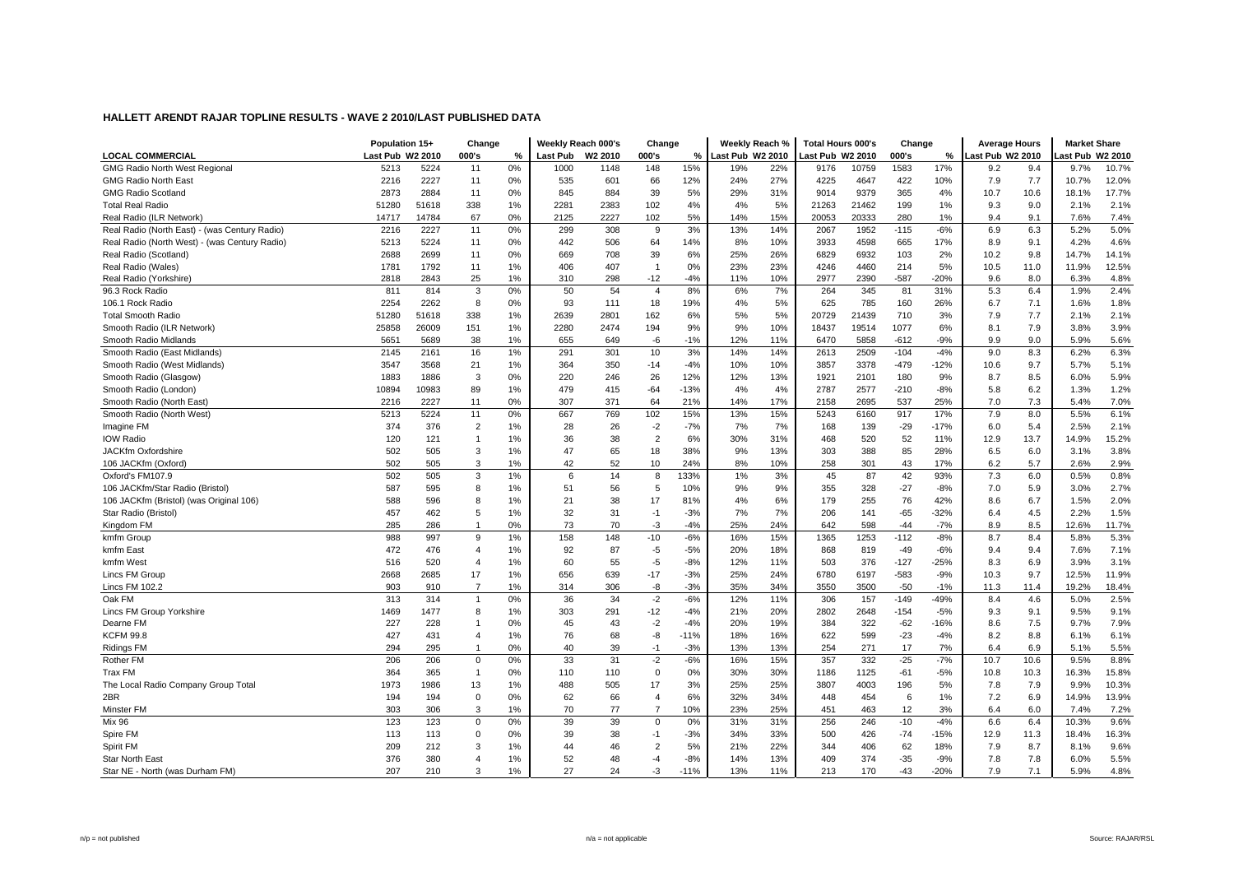|                                               | Population 15+   |       | Change         |    | Weekly Reach 000's |                     | Change         |        |                  | Weekly Reach % | <b>Total Hours 000's</b> |       | Change |        | <b>Average Hours</b> |      | <b>Market Share</b> |       |
|-----------------------------------------------|------------------|-------|----------------|----|--------------------|---------------------|----------------|--------|------------------|----------------|--------------------------|-------|--------|--------|----------------------|------|---------------------|-------|
| <b>LOCAL COMMERCIAL</b>                       | Last Pub W2 2010 |       | 000's          | %  | <b>Last Pub</b>    | W <sub>2</sub> 2010 | 000's          | %      | Last Pub W2 2010 |                | ast Pub W2 2010          |       | 000's  | %      | ast Pub W2 2010      |      | ast Pub W2 2010     |       |
| <b>GMG Radio North West Regional</b>          | 5213             | 5224  | 11             | 0% | 1000               | 1148                | 148            | 15%    | 19%              | 22%            | 9176                     | 10759 | 1583   | 17%    | 9.2                  | 9.4  | 9.7%                | 10.7% |
| <b>GMG Radio North East</b>                   | 2216             | 2227  | 11             | 0% | 535                | 601                 | 66             | 12%    | 24%              | 27%            | 4225                     | 4647  | 422    | 10%    | 7.9                  | 7.7  | 10.7%               | 12.0% |
| <b>GMG Radio Scotland</b>                     | 2873             | 2884  | 11             | 0% | 845                | 884                 | 39             | 5%     | 29%              | 31%            | 9014                     | 9379  | 365    | 4%     | 10.7                 | 10.6 | 18.1%               | 17.7% |
| <b>Total Real Radio</b>                       | 51280            | 51618 | 338            | 1% | 2281               | 2383                | 102            | 4%     | 4%               | 5%             | 21263                    | 21462 | 199    | 1%     | 9.3                  | 9.0  | 2.1%                | 2.1%  |
| Real Radio (ILR Network)                      | 14717            | 14784 | 67             | 0% | 2125               | 2227                | 102            | 5%     | 14%              | 15%            | 20053                    | 20333 | 280    | 1%     | 9.4                  | 9.1  | 7.6%                | 7.4%  |
| Real Radio (North East) - (was Century Radio) | 2216             | 2227  | 11             | 0% | 299                | 308                 | 9              | 3%     | 13%              | 14%            | 2067                     | 1952  | $-115$ | $-6%$  | 6.9                  | 6.3  | 5.2%                | 5.0%  |
| Real Radio (North West) - (was Century Radio) | 5213             | 5224  | 11             | 0% | 442                | 506                 | 64             | 14%    | 8%               | 10%            | 3933                     | 4598  | 665    | 17%    | 8.9                  | 9.1  | 4.2%                | 4.6%  |
| Real Radio (Scotland)                         | 2688             | 2699  | 11             | 0% | 669                | 708                 | 39             | 6%     | 25%              | 26%            | 6829                     | 6932  | 103    | 2%     | 10.2                 | 9.8  | 14.7%               | 14.1% |
| Real Radio (Wales)                            | 1781             | 1792  | 11             | 1% | 406                | 407                 | $\overline{1}$ | 0%     | 23%              | 23%            | 4246                     | 4460  | 214    | 5%     | 10.5                 | 11.0 | 11.9%               | 12.5% |
| Real Radio (Yorkshire)                        | 2818             | 2843  | 25             | 1% | 310                | 298                 | $-12$          | $-4%$  | 11%              | 10%            | 2977                     | 2390  | $-587$ | $-20%$ | 9.6                  | 8.0  | 6.3%                | 4.8%  |
| 96.3 Rock Radio                               | 811              | 814   | 3              | 0% | 50                 | 54                  | 4              | 8%     | 6%               | 7%             | 264                      | 345   | 81     | 31%    | 5.3                  | 6.4  | 1.9%                | 2.4%  |
| 106.1 Rock Radio                              | 2254             | 2262  | 8              | 0% | 93                 | 111                 | 18             | 19%    | 4%               | 5%             | 625                      | 785   | 160    | 26%    | 6.7                  | 7.1  | 1.6%                | 1.8%  |
| <b>Total Smooth Radio</b>                     | 51280            | 51618 | 338            | 1% | 2639               | 2801                | 162            | 6%     | 5%               | 5%             | 20729                    | 21439 | 710    | 3%     | 7.9                  | 7.7  | 2.1%                | 2.1%  |
| Smooth Radio (ILR Network)                    | 25858            | 26009 | 151            | 1% | 2280               | 2474                | 194            | 9%     | 9%               | 10%            | 18437                    | 19514 | 1077   | 6%     | 8.1                  | 7.9  | 3.8%                | 3.9%  |
| Smooth Radio Midlands                         | 5651             | 5689  | 38             | 1% | 655                | 649                 | -6             | $-1%$  | 12%              | 11%            | 6470                     | 5858  | $-612$ | $-9%$  | 9.9                  | 9.0  | 5.9%                | 5.6%  |
| Smooth Radio (East Midlands)                  | 2145             | 2161  | 16             | 1% | 291                | 301                 | 10             | 3%     | 14%              | 14%            | 2613                     | 2509  | $-104$ | $-4%$  | 9.0                  | 8.3  | 6.2%                | 6.3%  |
| Smooth Radio (West Midlands)                  | 3547             | 3568  | 21             | 1% | 364                | 350                 | $-14$          | $-4%$  | 10%              | 10%            | 3857                     | 3378  | $-479$ | $-12%$ | 10.6                 | 9.7  | 5.7%                | 5.1%  |
| Smooth Radio (Glasgow)                        | 1883             | 1886  | 3              | 0% | 220                | 246                 | 26             | 12%    | 12%              | 13%            | 1921                     | 2101  | 180    | 9%     | 8.7                  | 8.5  | 6.0%                | 5.9%  |
| Smooth Radio (London)                         | 10894            | 10983 | 89             | 1% | 479                | 415                 | $-64$          | $-13%$ | 4%               | 4%             | 2787                     | 2577  | $-210$ | $-8%$  | 5.8                  | 6.2  | 1.3%                | 1.2%  |
| Smooth Radio (North East)                     | 2216             | 2227  | 11             | 0% | 307                | 371                 | 64             | 21%    | 14%              | 17%            | 2158                     | 2695  | 537    | 25%    | 7.0                  | 7.3  | 5.4%                | 7.0%  |
| Smooth Radio (North West)                     | 5213             | 5224  | 11             | 0% | 667                | 769                 | 102            | 15%    | 13%              | 15%            | 5243                     | 6160  | 917    | 17%    | 7.9                  | 8.0  | 5.5%                | 6.1%  |
| Imagine FM                                    | 374              | 376   | $\overline{c}$ | 1% | 28                 | 26                  | $-2$           | $-7%$  | 7%               | 7%             | 168                      | 139   | $-29$  | $-17%$ | 6.0                  | 5.4  | 2.5%                | 2.1%  |
| <b>IOW Radio</b>                              | 120              | 121   | $\overline{1}$ | 1% | 36                 | 38                  | $\overline{2}$ | 6%     | 30%              | 31%            | 468                      | 520   | 52     | 11%    | 12.9                 | 13.7 | 14.9%               | 15.2% |
| JACKfm Oxfordshire                            | 502              | 505   | 3              | 1% | 47                 | 65                  | 18             | 38%    | 9%               | 13%            | 303                      | 388   | 85     | 28%    | 6.5                  | 6.0  | 3.1%                | 3.8%  |
| 106 JACKfm (Oxford)                           | 502              | 505   | 3              | 1% | 42                 | 52                  | 10             | 24%    | 8%               | 10%            | 258                      | 301   | 43     | 17%    | 6.2                  | 5.7  | 2.6%                | 2.9%  |
| Oxford's FM107.9                              | 502              | 505   | 3              | 1% | 6                  | 14                  | 8              | 133%   | 1%               | 3%             | 45                       | 87    | 42     | 93%    | 7.3                  | 6.0  | 0.5%                | 0.8%  |
| 106 JACKfm/Star Radio (Bristol)               | 587              | 595   | 8              | 1% | 51                 | 56                  | 5              | 10%    | 9%               | 9%             | 355                      | 328   | $-27$  | $-8%$  | 7.0                  | 5.9  | 3.0%                | 2.7%  |
| 106 JACKfm (Bristol) (was Original 106)       | 588              | 596   | 8              | 1% | 21                 | 38                  | 17             | 81%    | 4%               | 6%             | 179                      | 255   | 76     | 42%    | 8.6                  | 6.7  | 1.5%                | 2.0%  |
| Star Radio (Bristol)                          | 457              | 462   | 5              | 1% | 32                 | 31                  | $-1$           | $-3%$  | 7%               | 7%             | 206                      | 141   | $-65$  | $-32%$ | 6.4                  | 4.5  | 2.2%                | 1.5%  |
| Kingdom FM                                    | 285              | 286   |                | 0% | 73                 | 70                  | $-3$           | $-4%$  | 25%              | 24%            | 642                      | 598   | $-44$  | $-7%$  | 8.9                  | 8.5  | 12.6%               | 11.7% |
| kmfm Group                                    | 988              | 997   | 9              | 1% | 158                | 148                 | $-10$          | $-6%$  | 16%              | 15%            | 1365                     | 1253  | $-112$ | $-8%$  | 8.7                  | 8.4  | 5.8%                | 5.3%  |
| kmfm East                                     | 472              | 476   | $\overline{4}$ | 1% | 92                 | 87                  | -5             | $-5%$  | 20%              | 18%            | 868                      | 819   | $-49$  | $-6%$  | 9.4                  | 9.4  | 7.6%                | 7.1%  |
| kmfm West                                     | 516              | 520   | $\overline{4}$ | 1% | 60                 | 55                  | $-5$           | $-8%$  | 12%              | 11%            | 503                      | 376   | $-127$ | $-25%$ | 8.3                  | 6.9  | 3.9%                | 3.1%  |
| Lincs FM Group                                | 2668             | 2685  | 17             | 1% | 656                | 639                 | $-17$          | $-3%$  | 25%              | 24%            | 6780                     | 6197  | $-583$ | $-9%$  | 10.3                 | 9.7  | 12.5%               | 11.9% |
| Lincs FM 102.2                                | 903              | 910   | $\overline{7}$ | 1% | 314                | 306                 | -8             | $-3%$  | 35%              | 34%            | 3550                     | 3500  | $-50$  | $-1%$  | 11.3                 | 11.4 | 19.2%               | 18.4% |
| Oak FM                                        | 313              | 314   | $\overline{1}$ | 0% | 36                 | 34                  | $-2$           | $-6%$  | 12%              | 11%            | 306                      | 157   | $-149$ | $-49%$ | 8.4                  | 4.6  | 5.0%                | 2.5%  |
| Lincs FM Group Yorkshire                      | 1469             | 1477  | 8              | 1% | 303                | 291                 | $-12$          | $-4%$  | 21%              | 20%            | 2802                     | 2648  | $-154$ | $-5%$  | 9.3                  | 9.1  | 9.5%                | 9.1%  |
| Dearne FM                                     | 227              | 228   |                | 0% | 45                 | 43                  | $-2$           | $-4%$  | 20%              | 19%            | 384                      | 322   | $-62$  | $-16%$ | 8.6                  | 7.5  | 9.7%                | 7.9%  |
| <b>KCFM 99.8</b>                              | 427              | 431   | $\overline{4}$ | 1% | 76                 | 68                  | -8             | $-11%$ | 18%              | 16%            | 622                      | 599   | $-23$  | $-4%$  | 8.2                  | 8.8  | 6.1%                | 6.1%  |
| <b>Ridings FM</b>                             | 294              | 295   | $\overline{1}$ | 0% | 40                 | 39                  | $-1$           | $-3%$  | 13%              | 13%            | 254                      | 271   | 17     | 7%     | 6.4                  | 6.9  | 5.1%                | 5.5%  |
| Rother FM                                     | 206              | 206   | $\mathbf 0$    | 0% | 33                 | 31                  | $-2$           | $-6%$  | 16%              | 15%            | 357                      | 332   | $-25$  | $-7%$  | 10.7                 | 10.6 | 9.5%                | 8.8%  |
| Trax FM                                       | 364              | 365   | $\overline{1}$ | 0% | 110                | 110                 | $\mathbf 0$    | 0%     | 30%              | 30%            | 1186                     | 1125  | $-61$  | $-5%$  | 10.8                 | 10.3 | 16.3%               | 15.8% |
| The Local Radio Company Group Total           | 1973             | 1986  | 13             | 1% | 488                | 505                 | 17             | 3%     | 25%              | 25%            | 3807                     | 4003  | 196    | 5%     | 7.8                  | 7.9  | 9.9%                | 10.3% |
| 2BR                                           | 194              | 194   | $\mathbf 0$    | 0% | 62                 | 66                  | $\overline{4}$ | 6%     | 32%              | 34%            | 448                      | 454   | 6      | 1%     | 7.2                  | 6.9  | 14.9%               | 13.9% |
| Minster FM                                    | 303              | 306   | 3              | 1% | 70                 | 77                  | $\overline{7}$ | 10%    | 23%              | 25%            | 451                      | 463   | 12     | 3%     | 6.4                  | 6.0  | 7.4%                | 7.2%  |
| <b>Mix 96</b>                                 | 123              | 123   | $\mathbf 0$    | 0% | 39                 | 39                  | $\mathbf 0$    | 0%     | 31%              | 31%            | 256                      | 246   | $-10$  | $-4%$  | 6.6                  | 6.4  | 10.3%               | 9.6%  |
| Spire FM                                      | 113              | 113   | $\mathbf 0$    | 0% | 39                 | 38                  | $-1$           | $-3%$  | 34%              | 33%            | 500                      | 426   | $-74$  | -15%   | 12.9                 | 11.3 | 18.4%               | 16.3% |
| Spirit FM                                     | 209              | 212   | 3              | 1% | 44                 | 46                  | $\overline{2}$ | 5%     | 21%              | 22%            | 344                      | 406   | 62     | 18%    | 7.9                  | 8.7  | 8.1%                | 9.6%  |
| Star North East                               | 376              | 380   | $\overline{4}$ | 1% | 52                 | 48                  | $-4$           | $-8%$  | 14%              | 13%            | 409                      | 374   | $-35$  | -9%    | 7.8                  | 7.8  | 6.0%                | 5.5%  |
| Star NE - North (was Durham FM)               | 207              | 210   | 3              | 1% | 27                 | 24                  | $-3$           | $-11%$ | 13%              | 11%            | 213                      | 170   | $-43$  | $-20%$ | 7.9                  | 7.1  | 5.9%                | 4.8%  |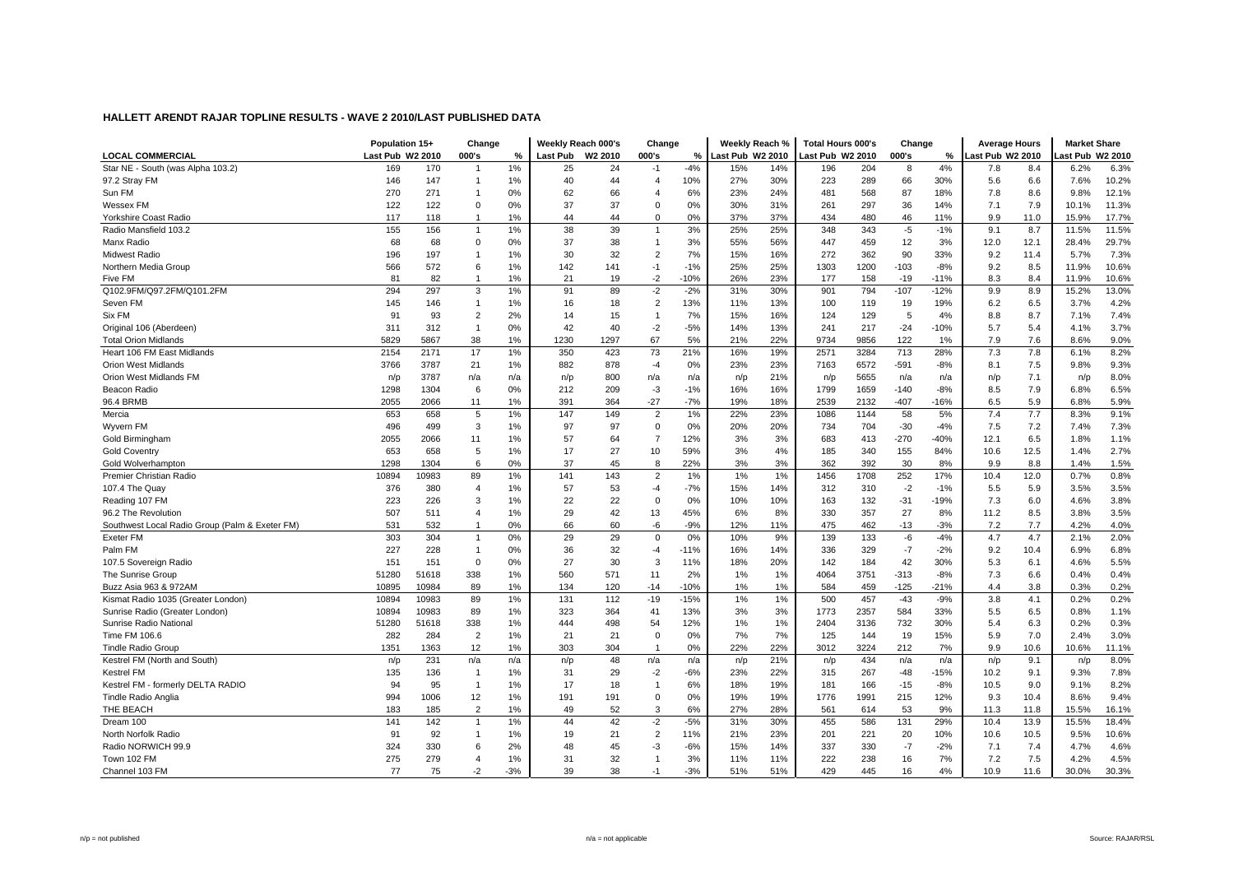| Last Pub W2 2010<br><b>LOCAL COMMERCIAL</b><br>Last Pub W2 2010<br>000's<br>000's<br>Last Pub W2 2010<br>Last Pub W2 2010<br>000's<br>ast Pub W2 2010<br>ast Pub W2 2010<br>%<br>%<br>%<br>Star NE - South (was Alpha 103.2)<br>169<br>170<br>1%<br>25<br>$-4%$<br>14%<br>4%<br>6.2%<br>24<br>$-1$<br>15%<br>196<br>204<br>8<br>7.8<br>8.4<br>10%<br>27%<br>30%<br>66<br>30%<br>97.2 Stray FM<br>146<br>147<br>1%<br>40<br>44<br>$\overline{4}$<br>223<br>289<br>5.6<br>6.6<br>7.6%<br>$\overline{1}$<br>Sun FM<br>270<br>271<br>0%<br>6%<br>23%<br>24%<br>481<br>568<br>87<br>18%<br>7.8<br>8.6<br>9.8%<br>$\overline{1}$<br>62<br>66<br>$\overline{4}$<br>37<br>261<br>297<br>36<br>7.1<br>7.9<br>Wessex FM<br>122<br>122<br>$\Omega$<br>0%<br>37<br>0%<br>30%<br>31%<br>14%<br>10.1%<br>$\Omega$<br>Yorkshire Coast Radio<br>117<br>118<br>1%<br>44<br>$\Omega$<br>0%<br>37%<br>37%<br>434<br>480<br>46<br>11%<br>9.9<br>11.0<br>15.9%<br>$\overline{1}$<br>44<br>3%<br>348<br>343<br>9.1<br>8.7<br>Radio Mansfield 103.2<br>155<br>156<br>1%<br>38<br>39<br>25%<br>25%<br>-5<br>11.5%<br>$-1%$<br>$\overline{1}$<br>$\mathbf{1}$<br>Manx Radio<br>68<br>$\mathbf 0$<br>37<br>3%<br>447<br>459<br>12<br>12.0<br>12.1<br>68<br>0%<br>38<br>55%<br>56%<br>3%<br>28.4%<br>$\mathbf{1}$<br>7%<br>16%<br>362<br>90<br><b>Midwest Radio</b><br>196<br>197<br>1%<br>30<br>32<br>$\overline{2}$<br>15%<br>272<br>33%<br>9.2<br>11.4<br>5.7%<br>566<br>572<br>6<br>1%<br>142<br>$-1$<br>$-1%$<br>25%<br>25%<br>1303<br>1200<br>$-103$<br>$-8%$<br>9.2<br>8.5<br>11.9%<br>Northern Media Group<br>141<br>$-2$<br>23%<br>Five FM<br>81<br>82<br>1%<br>21<br>19<br>$-10%$<br>26%<br>177<br>158<br>$-19$<br>$-11%$<br>8.3<br>8.4<br>11.9%<br>$\overline{1}$<br>Q102.9FM/Q97.2FM/Q101.2FM<br>297<br>$-2$<br>$-2%$<br>901<br>794<br>$-12%$<br>9.9<br>294<br>3<br>1%<br>91<br>89<br>31%<br>30%<br>$-107$<br>8.9<br>15.2%<br>145<br>1%<br>$\overline{2}$<br>13%<br>13%<br>119<br>19%<br>6.5<br>Seven FM<br>146<br>16<br>18<br>11%<br>100<br>19<br>6.2<br>3.7%<br>$\overline{1}$<br>Six FM<br>93<br>$\overline{2}$<br>2%<br>7%<br>124<br>129<br>5<br>8.8<br>8.7<br>7.1%<br>91<br>14<br>15<br>15%<br>16%<br>4%<br>$\mathbf{1}$<br>Original 106 (Aberdeen)<br>311<br>312<br>0%<br>42<br>40<br>$-2$<br>$-5%$<br>14%<br>13%<br>241<br>217<br>$-24$<br>$-10%$<br>5.7<br>5.4<br>4.1%<br>$\overline{1}$ |                             | Population 15+ |      | Change |    |      | Weekly Reach 000's | Change |    | Weekly Reach % |     | <b>Total Hours 000's</b> |      | Change |    | <b>Average Hours</b> |     | <b>Market Share</b> |       |
|-----------------------------------------------------------------------------------------------------------------------------------------------------------------------------------------------------------------------------------------------------------------------------------------------------------------------------------------------------------------------------------------------------------------------------------------------------------------------------------------------------------------------------------------------------------------------------------------------------------------------------------------------------------------------------------------------------------------------------------------------------------------------------------------------------------------------------------------------------------------------------------------------------------------------------------------------------------------------------------------------------------------------------------------------------------------------------------------------------------------------------------------------------------------------------------------------------------------------------------------------------------------------------------------------------------------------------------------------------------------------------------------------------------------------------------------------------------------------------------------------------------------------------------------------------------------------------------------------------------------------------------------------------------------------------------------------------------------------------------------------------------------------------------------------------------------------------------------------------------------------------------------------------------------------------------------------------------------------------------------------------------------------------------------------------------------------------------------------------------------------------------------------------------------------------------------------------------------------------------------------------------------------------------------------------------------------------------------------------------------------------------|-----------------------------|----------------|------|--------|----|------|--------------------|--------|----|----------------|-----|--------------------------|------|--------|----|----------------------|-----|---------------------|-------|
|                                                                                                                                                                                                                                                                                                                                                                                                                                                                                                                                                                                                                                                                                                                                                                                                                                                                                                                                                                                                                                                                                                                                                                                                                                                                                                                                                                                                                                                                                                                                                                                                                                                                                                                                                                                                                                                                                                                                                                                                                                                                                                                                                                                                                                                                                                                                                                                   |                             |                |      |        |    |      |                    |        |    |                |     |                          |      |        |    |                      |     |                     |       |
|                                                                                                                                                                                                                                                                                                                                                                                                                                                                                                                                                                                                                                                                                                                                                                                                                                                                                                                                                                                                                                                                                                                                                                                                                                                                                                                                                                                                                                                                                                                                                                                                                                                                                                                                                                                                                                                                                                                                                                                                                                                                                                                                                                                                                                                                                                                                                                                   |                             |                |      |        |    |      |                    |        |    |                |     |                          |      |        |    |                      |     |                     | 6.3%  |
|                                                                                                                                                                                                                                                                                                                                                                                                                                                                                                                                                                                                                                                                                                                                                                                                                                                                                                                                                                                                                                                                                                                                                                                                                                                                                                                                                                                                                                                                                                                                                                                                                                                                                                                                                                                                                                                                                                                                                                                                                                                                                                                                                                                                                                                                                                                                                                                   |                             |                |      |        |    |      |                    |        |    |                |     |                          |      |        |    |                      |     |                     | 10.2% |
|                                                                                                                                                                                                                                                                                                                                                                                                                                                                                                                                                                                                                                                                                                                                                                                                                                                                                                                                                                                                                                                                                                                                                                                                                                                                                                                                                                                                                                                                                                                                                                                                                                                                                                                                                                                                                                                                                                                                                                                                                                                                                                                                                                                                                                                                                                                                                                                   |                             |                |      |        |    |      |                    |        |    |                |     |                          |      |        |    |                      |     |                     | 12.1% |
|                                                                                                                                                                                                                                                                                                                                                                                                                                                                                                                                                                                                                                                                                                                                                                                                                                                                                                                                                                                                                                                                                                                                                                                                                                                                                                                                                                                                                                                                                                                                                                                                                                                                                                                                                                                                                                                                                                                                                                                                                                                                                                                                                                                                                                                                                                                                                                                   |                             |                |      |        |    |      |                    |        |    |                |     |                          |      |        |    |                      |     |                     | 11.3% |
|                                                                                                                                                                                                                                                                                                                                                                                                                                                                                                                                                                                                                                                                                                                                                                                                                                                                                                                                                                                                                                                                                                                                                                                                                                                                                                                                                                                                                                                                                                                                                                                                                                                                                                                                                                                                                                                                                                                                                                                                                                                                                                                                                                                                                                                                                                                                                                                   |                             |                |      |        |    |      |                    |        |    |                |     |                          |      |        |    |                      |     |                     | 17.7% |
|                                                                                                                                                                                                                                                                                                                                                                                                                                                                                                                                                                                                                                                                                                                                                                                                                                                                                                                                                                                                                                                                                                                                                                                                                                                                                                                                                                                                                                                                                                                                                                                                                                                                                                                                                                                                                                                                                                                                                                                                                                                                                                                                                                                                                                                                                                                                                                                   |                             |                |      |        |    |      |                    |        |    |                |     |                          |      |        |    |                      |     |                     | 11.5% |
|                                                                                                                                                                                                                                                                                                                                                                                                                                                                                                                                                                                                                                                                                                                                                                                                                                                                                                                                                                                                                                                                                                                                                                                                                                                                                                                                                                                                                                                                                                                                                                                                                                                                                                                                                                                                                                                                                                                                                                                                                                                                                                                                                                                                                                                                                                                                                                                   |                             |                |      |        |    |      |                    |        |    |                |     |                          |      |        |    |                      |     |                     | 29.7% |
|                                                                                                                                                                                                                                                                                                                                                                                                                                                                                                                                                                                                                                                                                                                                                                                                                                                                                                                                                                                                                                                                                                                                                                                                                                                                                                                                                                                                                                                                                                                                                                                                                                                                                                                                                                                                                                                                                                                                                                                                                                                                                                                                                                                                                                                                                                                                                                                   |                             |                |      |        |    |      |                    |        |    |                |     |                          |      |        |    |                      |     |                     | 7.3%  |
|                                                                                                                                                                                                                                                                                                                                                                                                                                                                                                                                                                                                                                                                                                                                                                                                                                                                                                                                                                                                                                                                                                                                                                                                                                                                                                                                                                                                                                                                                                                                                                                                                                                                                                                                                                                                                                                                                                                                                                                                                                                                                                                                                                                                                                                                                                                                                                                   |                             |                |      |        |    |      |                    |        |    |                |     |                          |      |        |    |                      |     |                     | 10.6% |
|                                                                                                                                                                                                                                                                                                                                                                                                                                                                                                                                                                                                                                                                                                                                                                                                                                                                                                                                                                                                                                                                                                                                                                                                                                                                                                                                                                                                                                                                                                                                                                                                                                                                                                                                                                                                                                                                                                                                                                                                                                                                                                                                                                                                                                                                                                                                                                                   |                             |                |      |        |    |      |                    |        |    |                |     |                          |      |        |    |                      |     |                     | 10.6% |
|                                                                                                                                                                                                                                                                                                                                                                                                                                                                                                                                                                                                                                                                                                                                                                                                                                                                                                                                                                                                                                                                                                                                                                                                                                                                                                                                                                                                                                                                                                                                                                                                                                                                                                                                                                                                                                                                                                                                                                                                                                                                                                                                                                                                                                                                                                                                                                                   |                             |                |      |        |    |      |                    |        |    |                |     |                          |      |        |    |                      |     |                     | 13.0% |
|                                                                                                                                                                                                                                                                                                                                                                                                                                                                                                                                                                                                                                                                                                                                                                                                                                                                                                                                                                                                                                                                                                                                                                                                                                                                                                                                                                                                                                                                                                                                                                                                                                                                                                                                                                                                                                                                                                                                                                                                                                                                                                                                                                                                                                                                                                                                                                                   |                             |                |      |        |    |      |                    |        |    |                |     |                          |      |        |    |                      |     |                     | 4.2%  |
|                                                                                                                                                                                                                                                                                                                                                                                                                                                                                                                                                                                                                                                                                                                                                                                                                                                                                                                                                                                                                                                                                                                                                                                                                                                                                                                                                                                                                                                                                                                                                                                                                                                                                                                                                                                                                                                                                                                                                                                                                                                                                                                                                                                                                                                                                                                                                                                   |                             |                |      |        |    |      |                    |        |    |                |     |                          |      |        |    |                      |     |                     | 7.4%  |
|                                                                                                                                                                                                                                                                                                                                                                                                                                                                                                                                                                                                                                                                                                                                                                                                                                                                                                                                                                                                                                                                                                                                                                                                                                                                                                                                                                                                                                                                                                                                                                                                                                                                                                                                                                                                                                                                                                                                                                                                                                                                                                                                                                                                                                                                                                                                                                                   |                             |                |      |        |    |      |                    |        |    |                |     |                          |      |        |    |                      |     |                     | 3.7%  |
|                                                                                                                                                                                                                                                                                                                                                                                                                                                                                                                                                                                                                                                                                                                                                                                                                                                                                                                                                                                                                                                                                                                                                                                                                                                                                                                                                                                                                                                                                                                                                                                                                                                                                                                                                                                                                                                                                                                                                                                                                                                                                                                                                                                                                                                                                                                                                                                   | <b>Total Orion Midlands</b> | 5829           | 5867 | 38     | 1% | 1230 | 1297               | 67     | 5% | 21%            | 22% | 9734                     | 9856 | 122    | 1% | 7.9                  | 7.6 | 8.6%                | 9.0%  |
| 73<br>7.3<br>Heart 106 FM East Midlands<br>2154<br>2171<br>17<br>1%<br>350<br>423<br>21%<br>16%<br>19%<br>2571<br>3284<br>713<br>28%<br>7.8<br>6.1%                                                                                                                                                                                                                                                                                                                                                                                                                                                                                                                                                                                                                                                                                                                                                                                                                                                                                                                                                                                                                                                                                                                                                                                                                                                                                                                                                                                                                                                                                                                                                                                                                                                                                                                                                                                                                                                                                                                                                                                                                                                                                                                                                                                                                               |                             |                |      |        |    |      |                    |        |    |                |     |                          |      |        |    |                      |     |                     | 8.2%  |
| 3787<br>21<br>23%<br>6572<br>9.8%<br><b>Orion West Midlands</b><br>3766<br>1%<br>882<br>878<br>$-4$<br>0%<br>23%<br>7163<br>$-591$<br>$-8%$<br>8.1<br>7.5                                                                                                                                                                                                                                                                                                                                                                                                                                                                                                                                                                                                                                                                                                                                                                                                                                                                                                                                                                                                                                                                                                                                                                                                                                                                                                                                                                                                                                                                                                                                                                                                                                                                                                                                                                                                                                                                                                                                                                                                                                                                                                                                                                                                                         |                             |                |      |        |    |      |                    |        |    |                |     |                          |      |        |    |                      |     |                     | 9.3%  |
| Orion West Midlands FM<br>3787<br>21%<br>5655<br>n/p<br>7.1<br>n/p<br>n/a<br>n/a<br>n/p<br>800<br>n/a<br>n/a<br>n/p<br>n/p<br>n/a<br>n/a<br>n/p                                                                                                                                                                                                                                                                                                                                                                                                                                                                                                                                                                                                                                                                                                                                                                                                                                                                                                                                                                                                                                                                                                                                                                                                                                                                                                                                                                                                                                                                                                                                                                                                                                                                                                                                                                                                                                                                                                                                                                                                                                                                                                                                                                                                                                   |                             |                |      |        |    |      |                    |        |    |                |     |                          |      |        |    |                      |     |                     | 8.0%  |
| 6<br>0%<br>$-1%$<br>16%<br>1659<br>$-8%$<br>7.9<br>Beacon Radio<br>1298<br>1304<br>212<br>209<br>-3<br>16%<br>1799<br>$-140$<br>8.5<br>6.8%                                                                                                                                                                                                                                                                                                                                                                                                                                                                                                                                                                                                                                                                                                                                                                                                                                                                                                                                                                                                                                                                                                                                                                                                                                                                                                                                                                                                                                                                                                                                                                                                                                                                                                                                                                                                                                                                                                                                                                                                                                                                                                                                                                                                                                       |                             |                |      |        |    |      |                    |        |    |                |     |                          |      |        |    |                      |     |                     | 6.5%  |
| 96.4 BRMB<br>391<br>$-27$<br>$-7%$<br>5.9<br>2055<br>2066<br>1%<br>364<br>19%<br>18%<br>2539<br>2132<br>$-407$<br>$-16%$<br>6.5<br>6.8%<br>11                                                                                                                                                                                                                                                                                                                                                                                                                                                                                                                                                                                                                                                                                                                                                                                                                                                                                                                                                                                                                                                                                                                                                                                                                                                                                                                                                                                                                                                                                                                                                                                                                                                                                                                                                                                                                                                                                                                                                                                                                                                                                                                                                                                                                                     |                             |                |      |        |    |      |                    |        |    |                |     |                          |      |        |    |                      |     |                     | 5.9%  |
| 7.4<br>Mercia<br>653<br>658<br>5<br>1%<br>147<br>149<br>$\overline{2}$<br>1%<br>22%<br>23%<br>1086<br>1144<br>58<br>5%<br>7.7<br>8.3%                                                                                                                                                                                                                                                                                                                                                                                                                                                                                                                                                                                                                                                                                                                                                                                                                                                                                                                                                                                                                                                                                                                                                                                                                                                                                                                                                                                                                                                                                                                                                                                                                                                                                                                                                                                                                                                                                                                                                                                                                                                                                                                                                                                                                                             |                             |                |      |        |    |      |                    |        |    |                |     |                          |      |        |    |                      |     |                     | 9.1%  |
| 7.2<br>496<br>3<br>1%<br>97<br>0%<br>20%<br>704<br>7.5<br>Wyvern FM<br>499<br>97<br>$\Omega$<br>20%<br>734<br>$-30$<br>$-4%$<br>7.4%                                                                                                                                                                                                                                                                                                                                                                                                                                                                                                                                                                                                                                                                                                                                                                                                                                                                                                                                                                                                                                                                                                                                                                                                                                                                                                                                                                                                                                                                                                                                                                                                                                                                                                                                                                                                                                                                                                                                                                                                                                                                                                                                                                                                                                              |                             |                |      |        |    |      |                    |        |    |                |     |                          |      |        |    |                      |     |                     | 7.3%  |
| 12%<br>683<br>$-270$<br>12.1<br>6.5<br>Gold Birmingham<br>2055<br>2066<br>11<br>1%<br>57<br>64<br>$\overline{7}$<br>3%<br>3%<br>413<br>$-40%$<br>1.8%                                                                                                                                                                                                                                                                                                                                                                                                                                                                                                                                                                                                                                                                                                                                                                                                                                                                                                                                                                                                                                                                                                                                                                                                                                                                                                                                                                                                                                                                                                                                                                                                                                                                                                                                                                                                                                                                                                                                                                                                                                                                                                                                                                                                                             |                             |                |      |        |    |      |                    |        |    |                |     |                          |      |        |    |                      |     |                     | 1.1%  |
| 653<br>658<br>5<br>1%<br>17<br>27<br>10<br>59%<br>3%<br>4%<br>185<br>340<br>155<br>84%<br>10.6<br>12.5<br>1.4%<br><b>Gold Coventry</b>                                                                                                                                                                                                                                                                                                                                                                                                                                                                                                                                                                                                                                                                                                                                                                                                                                                                                                                                                                                                                                                                                                                                                                                                                                                                                                                                                                                                                                                                                                                                                                                                                                                                                                                                                                                                                                                                                                                                                                                                                                                                                                                                                                                                                                            |                             |                |      |        |    |      |                    |        |    |                |     |                          |      |        |    |                      |     |                     | 2.7%  |
| 37<br>22%<br>3%<br>Gold Wolverhampton<br>1298<br>1304<br>6<br>0%<br>45<br>8<br>3%<br>362<br>392<br>30<br>8%<br>9.9<br>8.8<br>1.4%                                                                                                                                                                                                                                                                                                                                                                                                                                                                                                                                                                                                                                                                                                                                                                                                                                                                                                                                                                                                                                                                                                                                                                                                                                                                                                                                                                                                                                                                                                                                                                                                                                                                                                                                                                                                                                                                                                                                                                                                                                                                                                                                                                                                                                                 |                             |                |      |        |    |      |                    |        |    |                |     |                          |      |        |    |                      |     |                     | 1.5%  |
| Premier Christian Radio<br>10894<br>10983<br>89<br>143<br>252<br>17%<br>0.7%<br>1%<br>141<br>2<br>1%<br>1%<br>1%<br>1456<br>1708<br>10.4<br>12.0                                                                                                                                                                                                                                                                                                                                                                                                                                                                                                                                                                                                                                                                                                                                                                                                                                                                                                                                                                                                                                                                                                                                                                                                                                                                                                                                                                                                                                                                                                                                                                                                                                                                                                                                                                                                                                                                                                                                                                                                                                                                                                                                                                                                                                  |                             |                |      |        |    |      |                    |        |    |                |     |                          |      |        |    |                      |     |                     | 0.8%  |
| 57<br>$-7%$<br>$-2$<br>107.4 The Quay<br>376<br>380<br>1%<br>53<br>$-4$<br>15%<br>14%<br>312<br>310<br>$-1%$<br>5.5<br>5.9<br>3.5%<br>$\overline{4}$                                                                                                                                                                                                                                                                                                                                                                                                                                                                                                                                                                                                                                                                                                                                                                                                                                                                                                                                                                                                                                                                                                                                                                                                                                                                                                                                                                                                                                                                                                                                                                                                                                                                                                                                                                                                                                                                                                                                                                                                                                                                                                                                                                                                                              |                             |                |      |        |    |      |                    |        |    |                |     |                          |      |        |    |                      |     |                     | 3.5%  |
| 223<br>226<br>3<br>1%<br>22<br>22<br>0%<br>10%<br>10%<br>163<br>132<br>$-31$<br>$-19%$<br>7.3<br>6.0<br>Reading 107 FM<br>$\Omega$<br>4.6%                                                                                                                                                                                                                                                                                                                                                                                                                                                                                                                                                                                                                                                                                                                                                                                                                                                                                                                                                                                                                                                                                                                                                                                                                                                                                                                                                                                                                                                                                                                                                                                                                                                                                                                                                                                                                                                                                                                                                                                                                                                                                                                                                                                                                                        |                             |                |      |        |    |      |                    |        |    |                |     |                          |      |        |    |                      |     |                     | 3.8%  |
| 96.2 The Revolution<br>507<br>511<br>1%<br>29<br>42<br>13<br>45%<br>6%<br>8%<br>330<br>357<br>27<br>8%<br>11.2<br>8.5<br>3.8%<br>$\overline{4}$                                                                                                                                                                                                                                                                                                                                                                                                                                                                                                                                                                                                                                                                                                                                                                                                                                                                                                                                                                                                                                                                                                                                                                                                                                                                                                                                                                                                                                                                                                                                                                                                                                                                                                                                                                                                                                                                                                                                                                                                                                                                                                                                                                                                                                   |                             |                |      |        |    |      |                    |        |    |                |     |                          |      |        |    |                      |     |                     | 3.5%  |
| 0%<br>66<br>$-9%$<br>12%<br>475<br>$-13$<br>7.2<br>7.7<br>Southwest Local Radio Group (Palm & Exeter FM<br>531<br>532<br>60<br>-6<br>11%<br>462<br>$-3%$<br>4.2%                                                                                                                                                                                                                                                                                                                                                                                                                                                                                                                                                                                                                                                                                                                                                                                                                                                                                                                                                                                                                                                                                                                                                                                                                                                                                                                                                                                                                                                                                                                                                                                                                                                                                                                                                                                                                                                                                                                                                                                                                                                                                                                                                                                                                  |                             |                |      |        |    |      |                    |        |    |                |     |                          |      |        |    |                      |     |                     | 4.0%  |
| 9%<br>Exeter FM<br>303<br>304<br>0%<br>29<br>29<br>$\Omega$<br>0%<br>10%<br>139<br>133<br>-6<br>$-4%$<br>4.7<br>4.7<br>2.1%<br>$\overline{1}$                                                                                                                                                                                                                                                                                                                                                                                                                                                                                                                                                                                                                                                                                                                                                                                                                                                                                                                                                                                                                                                                                                                                                                                                                                                                                                                                                                                                                                                                                                                                                                                                                                                                                                                                                                                                                                                                                                                                                                                                                                                                                                                                                                                                                                     |                             |                |      |        |    |      |                    |        |    |                |     |                          |      |        |    |                      |     |                     | 2.0%  |
| Palm FM<br>227<br>336<br>329<br>$-7$<br>$-2%$<br>6.9%<br>228<br>0%<br>36<br>32<br>$-4$<br>$-11%$<br>16%<br>14%<br>9.2<br>10.4<br>$\overline{1}$                                                                                                                                                                                                                                                                                                                                                                                                                                                                                                                                                                                                                                                                                                                                                                                                                                                                                                                                                                                                                                                                                                                                                                                                                                                                                                                                                                                                                                                                                                                                                                                                                                                                                                                                                                                                                                                                                                                                                                                                                                                                                                                                                                                                                                   |                             |                |      |        |    |      |                    |        |    |                |     |                          |      |        |    |                      |     |                     | 6.8%  |
| 151<br>151<br>$\mathbf 0$<br>0%<br>27<br>30<br>11%<br>20%<br>142<br>184<br>42<br>30%<br>5.3<br>6.1<br>107.5 Sovereign Radio<br>3<br>18%<br>4.6%                                                                                                                                                                                                                                                                                                                                                                                                                                                                                                                                                                                                                                                                                                                                                                                                                                                                                                                                                                                                                                                                                                                                                                                                                                                                                                                                                                                                                                                                                                                                                                                                                                                                                                                                                                                                                                                                                                                                                                                                                                                                                                                                                                                                                                   |                             |                |      |        |    |      |                    |        |    |                |     |                          |      |        |    |                      |     |                     | 5.5%  |
| 560<br>571<br>11<br>2%<br>3751<br>$-313$<br>The Sunrise Group<br>51280<br>51618<br>338<br>1%<br>1%<br>1%<br>4064<br>$-8%$<br>7.3<br>6.6<br>0.4%                                                                                                                                                                                                                                                                                                                                                                                                                                                                                                                                                                                                                                                                                                                                                                                                                                                                                                                                                                                                                                                                                                                                                                                                                                                                                                                                                                                                                                                                                                                                                                                                                                                                                                                                                                                                                                                                                                                                                                                                                                                                                                                                                                                                                                   |                             |                |      |        |    |      |                    |        |    |                |     |                          |      |        |    |                      |     |                     | 0.4%  |
| 89<br>1%<br>$-10%$<br>1%<br>$-21%$<br>3.8<br>Buzz Asia 963 & 972AM<br>10984<br>134<br>120<br>$-14$<br>1%<br>584<br>459<br>$-125$<br>4.4<br>0.3%<br>10895                                                                                                                                                                                                                                                                                                                                                                                                                                                                                                                                                                                                                                                                                                                                                                                                                                                                                                                                                                                                                                                                                                                                                                                                                                                                                                                                                                                                                                                                                                                                                                                                                                                                                                                                                                                                                                                                                                                                                                                                                                                                                                                                                                                                                          |                             |                |      |        |    |      |                    |        |    |                |     |                          |      |        |    |                      |     |                     | 0.2%  |
| 3.8<br>Kismat Radio 1035 (Greater London)<br>10983<br>89<br>1%<br>131<br>112<br>$-19$<br>$-15%$<br>1%<br>1%<br>500<br>457<br>$-43$<br>$-9%$<br>4.1<br>0.2%<br>10894                                                                                                                                                                                                                                                                                                                                                                                                                                                                                                                                                                                                                                                                                                                                                                                                                                                                                                                                                                                                                                                                                                                                                                                                                                                                                                                                                                                                                                                                                                                                                                                                                                                                                                                                                                                                                                                                                                                                                                                                                                                                                                                                                                                                               |                             |                |      |        |    |      |                    |        |    |                |     |                          |      |        |    |                      |     |                     | 0.2%  |
| 89<br>323<br>3%<br>3%<br>1773<br>2357<br>5.5<br>Sunrise Radio (Greater London)<br>10894<br>10983<br>1%<br>364<br>41<br>13%<br>584<br>33%<br>6.5<br>0.8%                                                                                                                                                                                                                                                                                                                                                                                                                                                                                                                                                                                                                                                                                                                                                                                                                                                                                                                                                                                                                                                                                                                                                                                                                                                                                                                                                                                                                                                                                                                                                                                                                                                                                                                                                                                                                                                                                                                                                                                                                                                                                                                                                                                                                           |                             |                |      |        |    |      |                    |        |    |                |     |                          |      |        |    |                      |     |                     | 1.1%  |
| 1%<br>30%<br>6.3<br>0.2%<br>Sunrise Radio National<br>51280<br>51618<br>338<br>1%<br>444<br>498<br>54<br>12%<br>1%<br>2404<br>3136<br>732<br>5.4                                                                                                                                                                                                                                                                                                                                                                                                                                                                                                                                                                                                                                                                                                                                                                                                                                                                                                                                                                                                                                                                                                                                                                                                                                                                                                                                                                                                                                                                                                                                                                                                                                                                                                                                                                                                                                                                                                                                                                                                                                                                                                                                                                                                                                  |                             |                |      |        |    |      |                    |        |    |                |     |                          |      |        |    |                      |     |                     | 0.3%  |
| Time FM 106.6<br>282<br>284<br>$\overline{2}$<br>1%<br>21<br>21<br>0%<br>7%<br>7%<br>125<br>144<br>19<br>15%<br>5.9<br>7.0<br>2.4%<br>$\mathbf 0$                                                                                                                                                                                                                                                                                                                                                                                                                                                                                                                                                                                                                                                                                                                                                                                                                                                                                                                                                                                                                                                                                                                                                                                                                                                                                                                                                                                                                                                                                                                                                                                                                                                                                                                                                                                                                                                                                                                                                                                                                                                                                                                                                                                                                                 |                             |                |      |        |    |      |                    |        |    |                |     |                          |      |        |    |                      |     |                     | 3.0%  |
| 12<br>1%<br>0%<br>22%<br>22%<br>3224<br>7%<br>10.6<br><b>Tindle Radio Group</b><br>1351<br>1363<br>303<br>304<br>$\overline{1}$<br>3012<br>212<br>9.9<br>10.6%                                                                                                                                                                                                                                                                                                                                                                                                                                                                                                                                                                                                                                                                                                                                                                                                                                                                                                                                                                                                                                                                                                                                                                                                                                                                                                                                                                                                                                                                                                                                                                                                                                                                                                                                                                                                                                                                                                                                                                                                                                                                                                                                                                                                                    |                             |                |      |        |    |      |                    |        |    |                |     |                          |      |        |    |                      |     |                     | 11.1% |
| Kestrel FM (North and South)<br>231<br>48<br>21%<br>434<br>9.1<br>n/p<br>n/a<br>n/a<br>n/p<br>n/a<br>n/a<br>n/p<br>n/p<br>n/a<br>n/a<br>n/p<br>n/p                                                                                                                                                                                                                                                                                                                                                                                                                                                                                                                                                                                                                                                                                                                                                                                                                                                                                                                                                                                                                                                                                                                                                                                                                                                                                                                                                                                                                                                                                                                                                                                                                                                                                                                                                                                                                                                                                                                                                                                                                                                                                                                                                                                                                                |                             |                |      |        |    |      |                    |        |    |                |     |                          |      |        |    |                      |     |                     | 8.0%  |
| $-6%$<br>22%<br>267<br>$-15%$<br><b>Kestrel FM</b><br>135<br>136<br>1%<br>31<br>29<br>$-2$<br>23%<br>315<br>$-48$<br>10.2<br>9.1<br>9.3%<br>-1                                                                                                                                                                                                                                                                                                                                                                                                                                                                                                                                                                                                                                                                                                                                                                                                                                                                                                                                                                                                                                                                                                                                                                                                                                                                                                                                                                                                                                                                                                                                                                                                                                                                                                                                                                                                                                                                                                                                                                                                                                                                                                                                                                                                                                    |                             |                |      |        |    |      |                    |        |    |                |     |                          |      |        |    |                      |     |                     | 7.8%  |
| Kestrel FM - formerly DELTA RADIO<br>95<br>1%<br>17<br>6%<br>18%<br>19%<br>181<br>166<br>$-15$<br>$-8%$<br>10.5<br>9.0<br>9.1%<br>94<br>$\overline{1}$<br>18<br>$\mathbf{1}$                                                                                                                                                                                                                                                                                                                                                                                                                                                                                                                                                                                                                                                                                                                                                                                                                                                                                                                                                                                                                                                                                                                                                                                                                                                                                                                                                                                                                                                                                                                                                                                                                                                                                                                                                                                                                                                                                                                                                                                                                                                                                                                                                                                                      |                             |                |      |        |    |      |                    |        |    |                |     |                          |      |        |    |                      |     |                     | 8.2%  |
| Tindle Radio Anglia<br>994<br>1006<br>12<br>1%<br>191<br>191<br>$\mathbf 0$<br>0%<br>19%<br>19%<br>1776<br>1991<br>215<br>12%<br>9.3<br>10.4<br>8.6%                                                                                                                                                                                                                                                                                                                                                                                                                                                                                                                                                                                                                                                                                                                                                                                                                                                                                                                                                                                                                                                                                                                                                                                                                                                                                                                                                                                                                                                                                                                                                                                                                                                                                                                                                                                                                                                                                                                                                                                                                                                                                                                                                                                                                              |                             |                |      |        |    |      |                    |        |    |                |     |                          |      |        |    |                      |     |                     | 9.4%  |
| $\mathcal{P}$<br>THE BEACH<br>1%<br>49<br>52<br>6%<br>27%<br>28%<br>53<br>9%<br>11.8<br>183<br>185<br>3<br>561<br>614<br>11.3<br>15.5%                                                                                                                                                                                                                                                                                                                                                                                                                                                                                                                                                                                                                                                                                                                                                                                                                                                                                                                                                                                                                                                                                                                                                                                                                                                                                                                                                                                                                                                                                                                                                                                                                                                                                                                                                                                                                                                                                                                                                                                                                                                                                                                                                                                                                                            |                             |                |      |        |    |      |                    |        |    |                |     |                          |      |        |    |                      |     |                     | 16.1% |
| Dream 100<br>141<br>142<br>1%<br>42<br>$-2$<br>$-5%$<br>31%<br>30%<br>455<br>586<br>131<br>29%<br>10.4<br>13.9<br>15.5%<br>44                                                                                                                                                                                                                                                                                                                                                                                                                                                                                                                                                                                                                                                                                                                                                                                                                                                                                                                                                                                                                                                                                                                                                                                                                                                                                                                                                                                                                                                                                                                                                                                                                                                                                                                                                                                                                                                                                                                                                                                                                                                                                                                                                                                                                                                     |                             |                |      |        |    |      |                    |        |    |                |     |                          |      |        |    |                      |     |                     | 18.4% |
| $\overline{2}$<br>23%<br>221<br>10%<br>North Norfolk Radio<br>91<br>92<br>1%<br>19<br>21<br>11%<br>21%<br>201<br>20<br>10.6<br>10.5<br>9.5%<br>$\overline{1}$                                                                                                                                                                                                                                                                                                                                                                                                                                                                                                                                                                                                                                                                                                                                                                                                                                                                                                                                                                                                                                                                                                                                                                                                                                                                                                                                                                                                                                                                                                                                                                                                                                                                                                                                                                                                                                                                                                                                                                                                                                                                                                                                                                                                                     |                             |                |      |        |    |      |                    |        |    |                |     |                          |      |        |    |                      |     |                     | 10.6% |
| Radio NORWICH 99.9<br>324<br>330<br>2%<br>$-3$<br>$-6%$<br>337<br>330<br>$-7$<br>7.1<br>7.4<br>6<br>48<br>45<br>15%<br>14%<br>$-2%$<br>4.7%                                                                                                                                                                                                                                                                                                                                                                                                                                                                                                                                                                                                                                                                                                                                                                                                                                                                                                                                                                                                                                                                                                                                                                                                                                                                                                                                                                                                                                                                                                                                                                                                                                                                                                                                                                                                                                                                                                                                                                                                                                                                                                                                                                                                                                       |                             |                |      |        |    |      |                    |        |    |                |     |                          |      |        |    |                      |     |                     | 4.6%  |
| Town 102 FM<br>275<br>279<br>32<br>3%<br>222<br>238<br>16<br>7.2<br>7.5<br>1%<br>31<br>11%<br>11%<br>7%<br>4.2%<br>4<br>$\overline{1}$                                                                                                                                                                                                                                                                                                                                                                                                                                                                                                                                                                                                                                                                                                                                                                                                                                                                                                                                                                                                                                                                                                                                                                                                                                                                                                                                                                                                                                                                                                                                                                                                                                                                                                                                                                                                                                                                                                                                                                                                                                                                                                                                                                                                                                            |                             |                |      |        |    |      |                    |        |    |                |     |                          |      |        |    |                      |     |                     | 4.5%  |
| 77<br>75<br>$-2$<br>$-3%$<br>38<br>$-3%$<br>51%<br>429<br>16<br>30.0%<br>Channel 103 FM<br>39<br>$-1$<br>51%<br>445<br>4%<br>10.9<br>11.6                                                                                                                                                                                                                                                                                                                                                                                                                                                                                                                                                                                                                                                                                                                                                                                                                                                                                                                                                                                                                                                                                                                                                                                                                                                                                                                                                                                                                                                                                                                                                                                                                                                                                                                                                                                                                                                                                                                                                                                                                                                                                                                                                                                                                                         |                             |                |      |        |    |      |                    |        |    |                |     |                          |      |        |    |                      |     |                     | 30.3% |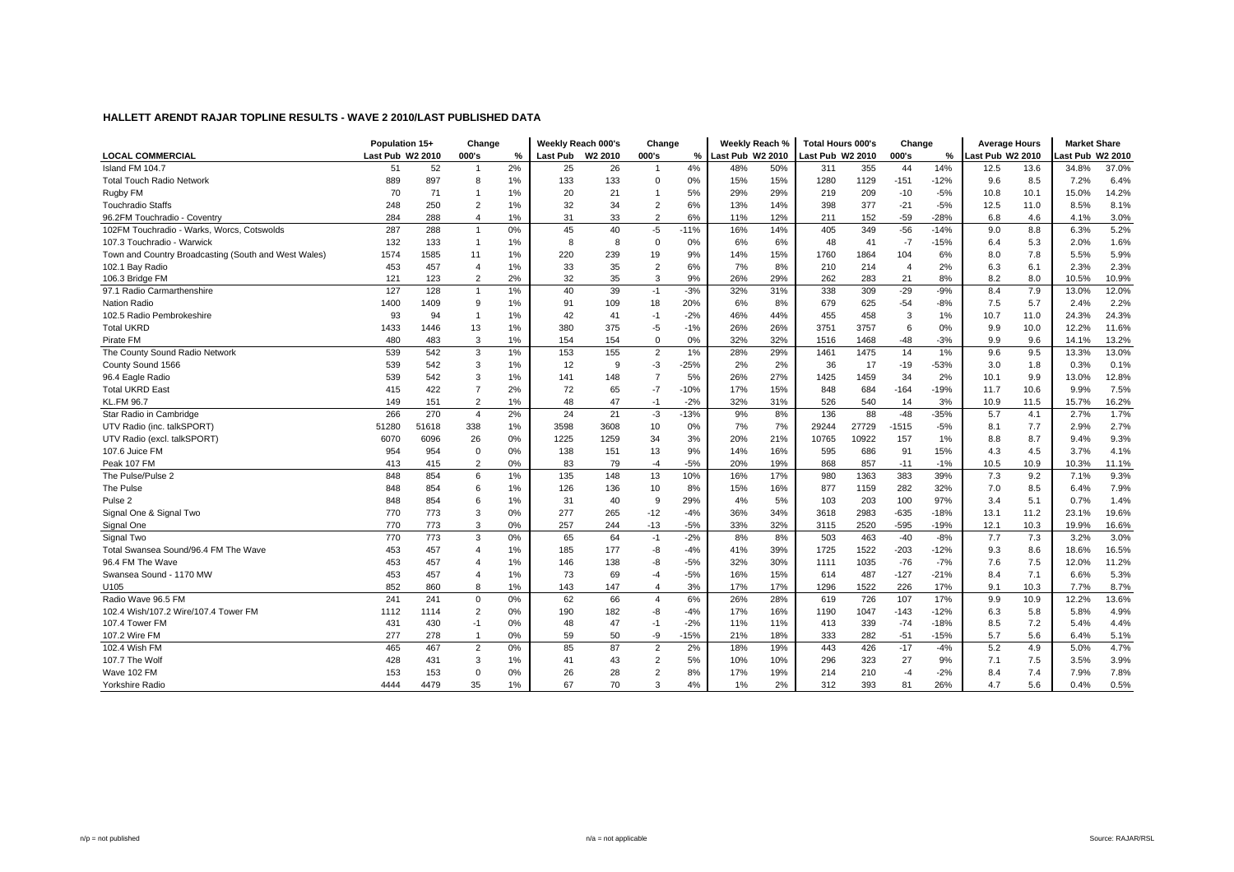|                                                      | Population 15+   |       | Change         |       | Weekly Reach 000's |      | Change                   |        | Weekly Reach %   |     | <b>Total Hours 000's</b> |       | Change         |        | <b>Average Hours</b> |      | <b>Market Share</b> |       |
|------------------------------------------------------|------------------|-------|----------------|-------|--------------------|------|--------------------------|--------|------------------|-----|--------------------------|-------|----------------|--------|----------------------|------|---------------------|-------|
| <b>LOCAL COMMERCIAL</b>                              | Last Pub W2 2010 |       | 000's          | %     | Last Pub W2 2010   |      | 000's                    | %      | Last Pub W2 2010 |     | Last Pub W2 2010         |       | 000's          | %      | ast Pub W2 2010      |      | ast Pub W2 2010     |       |
| Island FM 104.7                                      | 51               | 52    | $\overline{1}$ | 2%    | 25                 | 26   | $\overline{1}$           | 4%     | 48%              | 50% | 311                      | 355   | 44             | 14%    | 12.5                 | 13.6 | 34.8%               | 37.0% |
| Total Touch Radio Network                            | 889              | 897   | 8              | 1%    | 133                | 133  | $\Omega$                 | 0%     | 15%              | 15% | 1280                     | 1129  | $-151$         | $-12%$ | 9.6                  | 8.5  | 7.2%                | 6.4%  |
| Rugby FM                                             | 70               | 71    | -1             | 1%    | 20                 | 21   | $\overline{\phantom{a}}$ | 5%     | 29%              | 29% | 219                      | 209   | $-10$          | $-5%$  | 10.8                 | 10.1 | 15.0%               | 14.2% |
| <b>Touchradio Staffs</b>                             | 248              | 250   | $\overline{2}$ | 1%    | 32                 | 34   | $\overline{2}$           | 6%     | 13%              | 14% | 398                      | 377   | $-21$          | $-5%$  | 12.5                 | 11.0 | 8.5%                | 8.1%  |
| 96.2FM Touchradio - Coventry                         | 284              | 288   | $\overline{4}$ | 1%    | 31                 | 33   | $\overline{2}$           | 6%     | 11%              | 12% | 211                      | 152   | $-59$          | $-28%$ | 6.8                  | 4.6  | 4.1%                | 3.0%  |
| 102FM Touchradio - Warks, Worcs, Cotswolds           | 287              | 288   | $\overline{1}$ | 0%    | 45                 | 40   | $-5$                     | $-11%$ | 16%              | 14% | 405                      | 349   | $-56$          | $-14%$ | 9.0                  | 8.8  | 6.3%                | 5.2%  |
| 107.3 Touchradio - Warwick                           | 132              | 133   | $\overline{1}$ | 1%    | 8                  | 8    | $\mathbf 0$              | 0%     | 6%               | 6%  | 48                       | 41    | $-7$           | $-15%$ | 6.4                  | 5.3  | 2.0%                | 1.6%  |
| Town and Country Broadcasting (South and West Wales) | 1574             | 1585  | 11             | 1%    | 220                | 239  | 19                       | 9%     | 14%              | 15% | 1760                     | 1864  | 104            | 6%     | 8.0                  | 7.8  | 5.5%                | 5.9%  |
| 102.1 Bay Radio                                      | 453              | 457   | $\overline{4}$ | 1%    | 33                 | 35   | $\overline{2}$           | 6%     | 7%               | 8%  | 210                      | 214   | $\overline{4}$ | 2%     | 6.3                  | 6.1  | 2.3%                | 2.3%  |
| 106.3 Bridge FM                                      | 121              | 123   | 2              | 2%    | 32                 | 35   | 3                        | 9%     | 26%              | 29% | 262                      | 283   | 21             | 8%     | 8.2                  | 8.0  | 10.5%               | 10.9% |
| 97.1 Radio Carmarthenshire                           | 127              | 128   | $\overline{1}$ | 1%    | 40                 | 39   | $-1$                     | $-3%$  | 32%              | 31% | 338                      | 309   | $-29$          | $-9%$  | 8.4                  | 7.9  | 13.0%               | 12.0% |
| <b>Nation Radio</b>                                  | 1400             | 1409  | 9              | 1%    | 91                 | 109  | 18                       | 20%    | 6%               | 8%  | 679                      | 625   | $-54$          | $-8%$  | 7.5                  | 5.7  | 2.4%                | 2.2%  |
| 102.5 Radio Pembrokeshire                            | 93               | 94    | -1             | 1%    | 42                 | 41   | $-1$                     | $-2%$  | 46%              | 44% | 455                      | 458   | 3              | 1%     | 10.7                 | 11.0 | 24.3%               | 24.3% |
| <b>Total UKRD</b>                                    | 1433             | 1446  | 13             | 1%    | 380                | 375  | $-5$                     | $-1%$  | 26%              | 26% | 3751                     | 3757  | 6              | 0%     | 9.9                  | 10.0 | 12.2%               | 11.6% |
| Pirate FM                                            | 480              | 483   | 3              | 1%    | 154                | 154  | $\Omega$                 | 0%     | 32%              | 32% | 1516                     | 1468  | $-48$          | $-3%$  | 9.9                  | 9.6  | 14.1%               | 13.2% |
| The County Sound Radio Network                       | 539              | 542   | 3              | 1%    | 153                | 155  | $\overline{2}$           | 1%     | 28%              | 29% | 1461                     | 1475  | 14             | 1%     | 9.6                  | 9.5  | 13.3%               | 13.0% |
| County Sound 1566                                    | 539              | 542   | 3              | 1%    | 12                 | 9    | $-3$                     | $-25%$ | 2%               | 2%  | 36                       | 17    | $-19$          | $-53%$ | 3.0                  | 1.8  | 0.3%                | 0.1%  |
| 96.4 Eagle Radio                                     | 539              | 542   | 3              | 1%    | 141                | 148  | $\overline{7}$           | 5%     | 26%              | 27% | 1425                     | 1459  | 34             | 2%     | 10.1                 | 9.9  | 13.0%               | 12.8% |
| <b>Total UKRD East</b>                               | 415              | 422   | $\overline{7}$ | 2%    | 72                 | 65   | $-7$                     | $-10%$ | 17%              | 15% | 848                      | 684   | $-164$         | $-19%$ | 11.7                 | 10.6 | 9.9%                | 7.5%  |
| KL.FM 96.7                                           | 149              | 151   | $\overline{2}$ | 1%    | 48                 | 47   | $-1$                     | $-2%$  | 32%              | 31% | 526                      | 540   | 14             | 3%     | 10.9                 | 11.5 | 15.7%               | 16.2% |
| Star Radio in Cambridge                              | 266              | 270   | $\overline{4}$ | 2%    | 24                 | 21   | $-3$                     | $-13%$ | 9%               | 8%  | 136                      | 88    | $-48$          | $-35%$ | 5.7                  | 4.1  | 2.7%                | 1.7%  |
| UTV Radio (inc. talkSPORT)                           | 51280            | 51618 | 338            | 1%    | 3598               | 3608 | 10                       | 0%     | 7%               | 7%  | 29244                    | 27729 | $-1515$        | $-5%$  | 8.1                  | 7.7  | 2.9%                | 2.7%  |
| UTV Radio (excl. talkSPORT)                          | 6070             | 6096  | 26             | 0%    | 1225               | 1259 | 34                       | 3%     | 20%              | 21% | 10765                    | 10922 | 157            | 1%     | 8.8                  | 8.7  | 9.4%                | 9.3%  |
| 107.6 Juice FM                                       | 954              | 954   | $\mathbf 0$    | 0%    | 138                | 151  | 13                       | 9%     | 14%              | 16% | 595                      | 686   | 91             | 15%    | 4.3                  | 4.5  | 3.7%                | 4.1%  |
| Peak 107 FM                                          | 413              | 415   | $\overline{2}$ | 0%    | 83                 | 79   | $-4$                     | $-5%$  | 20%              | 19% | 868                      | 857   | $-11$          | $-1%$  | 10.5                 | 10.9 | 10.3%               | 11.1% |
| The Pulse/Pulse 2                                    | 848              | 854   | 6              | $1\%$ | 135                | 148  | 13                       | 10%    | 16%              | 17% | 980                      | 1363  | 383            | 39%    | 7.3                  | 9.2  | 7.1%                | 9.3%  |
| The Pulse                                            | 848              | 854   | 6              | 1%    | 126                | 136  | 10                       | 8%     | 15%              | 16% | 877                      | 1159  | 282            | 32%    | 7.0                  | 8.5  | 6.4%                | 7.9%  |
| Pulse <sub>2</sub>                                   | 848              | 854   | 6              | 1%    | 31                 | 40   | 9                        | 29%    | 4%               | 5%  | 103                      | 203   | 100            | 97%    | 3.4                  | 5.1  | 0.7%                | 1.4%  |
| Signal One & Signal Two                              | 770              | 773   | 3              | 0%    | 277                | 265  | $-12$                    | $-4%$  | 36%              | 34% | 3618                     | 2983  | $-635$         | $-18%$ | 13.1                 | 11.2 | 23.1%               | 19.6% |
| Signal One                                           | 770              | 773   | 3              | 0%    | 257                | 244  | $-13$                    | $-5%$  | 33%              | 32% | 3115                     | 2520  | $-595$         | $-19%$ | 12.1                 | 10.3 | 19.9%               | 16.6% |
| Signal Two                                           | 770              | 773   | 3              | 0%    | 65                 | 64   | $-1$                     | $-2%$  | 8%               | 8%  | 503                      | 463   | $-40$          | $-8%$  | 7.7                  | 7.3  | 3.2%                | 3.0%  |
| Total Swansea Sound/96.4 FM The Wave                 | 453              | 457   | $\overline{4}$ | 1%    | 185                | 177  | -8                       | $-4%$  | 41%              | 39% | 1725                     | 1522  | $-203$         | $-12%$ | 9.3                  | 8.6  | 18.6%               | 16.5% |
| 96.4 FM The Wave                                     | 453              | 457   | $\overline{4}$ | 1%    | 146                | 138  | -8                       | $-5%$  | 32%              | 30% | 1111                     | 1035  | $-76$          | $-7%$  | 7.6                  | 7.5  | 12.0%               | 11.2% |
| Swansea Sound - 1170 MW                              | 453              | 457   | 4              | 1%    | 73                 | 69   | $-4$                     | $-5%$  | 16%              | 15% | 614                      | 487   | $-127$         | $-21%$ | 8.4                  | 7.1  | 6.6%                | 5.3%  |
| U105                                                 | 852              | 860   | 8              | 1%    | 143                | 147  | $\overline{4}$           | 3%     | 17%              | 17% | 1296                     | 1522  | 226            | 17%    | 9.1                  | 10.3 | 7.7%                | 8.7%  |
| Radio Wave 96.5 FM                                   | 241              | 241   | $\mathbf 0$    | 0%    | 62                 | 66   | $\overline{4}$           | 6%     | 26%              | 28% | 619                      | 726   | 107            | 17%    | 9.9                  | 10.9 | 12.2%               | 13.6% |
| 102.4 Wish/107.2 Wire/107.4 Tower FM                 | 1112             | 1114  | $\overline{2}$ | 0%    | 190                | 182  | -8                       | $-4%$  | 17%              | 16% | 1190                     | 1047  | $-143$         | $-12%$ | 6.3                  | 5.8  | 5.8%                | 4.9%  |
| 107.4 Tower FM                                       | 431              | 430   | $-1$           | 0%    | 48                 | 47   | $-1$                     | $-2%$  | 11%              | 11% | 413                      | 339   | $-74$          | $-18%$ | 8.5                  | 7.2  | 5.4%                | 4.4%  |
| 107.2 Wire FM                                        | 277              | 278   | -1             | 0%    | 59                 | 50   | -9                       | $-15%$ | 21%              | 18% | 333                      | 282   | $-51$          | $-15%$ | 5.7                  | 5.6  | 6.4%                | 5.1%  |
| 102.4 Wish FM                                        | 465              | 467   | 2              | 0%    | 85                 | 87   | $\overline{2}$           | 2%     | 18%              | 19% | 443                      | 426   | $-17$          | $-4%$  | 5.2                  | 4.9  | 5.0%                | 4.7%  |
| 107.7 The Wolf                                       | 428              | 431   | 3              | 1%    | 41                 | 43   | $\overline{2}$           | 5%     | 10%              | 10% | 296                      | 323   | 27             | 9%     | 7.1                  | 7.5  | 3.5%                | 3.9%  |
| Wave 102 FM                                          | 153              | 153   | $\Omega$       | 0%    | 26                 | 28   | $\overline{2}$           | 8%     | 17%              | 19% | 214                      | 210   | $-4$           | $-2%$  | 8.4                  | 7.4  | 7.9%                | 7.8%  |
| Yorkshire Radio                                      | 4444             | 4479  | 35             | 1%    | 67                 | 70   | 3                        | 4%     | 1%               | 2%  | 312                      | 393   | 81             | 26%    | 4.7                  | 5.6  | 0.4%                | 0.5%  |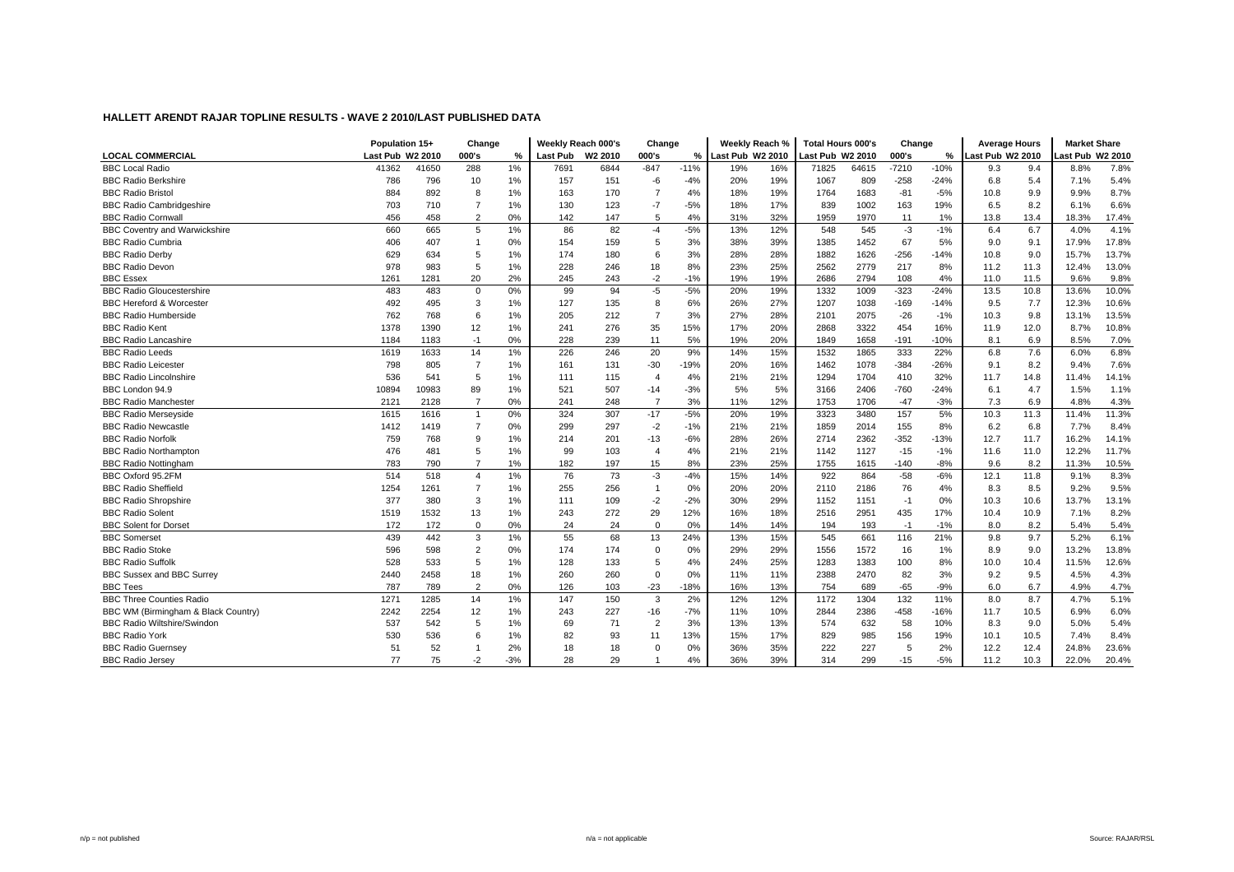|                                      | Population 15+   |       | Change         |       | Weekly Reach 000's |      | Change         |        |                    | Weekly Reach % | <b>Total Hours 000's</b> |       | Change  |        |                  | <b>Average Hours</b> | <b>Market Share</b> |       |
|--------------------------------------|------------------|-------|----------------|-------|--------------------|------|----------------|--------|--------------------|----------------|--------------------------|-------|---------|--------|------------------|----------------------|---------------------|-------|
| <b>LOCAL COMMERCIAL</b>              | Last Pub W2 2010 |       | 000's          | %     | Last Pub W2 2010   |      | 000's          |        | % Last Pub W2 2010 |                | Last Pub W2 2010         |       | 000's   | %      | Last Pub W2 2010 |                      | ast Pub W2 2010     |       |
| <b>BBC Local Radio</b>               | 41362            | 41650 | 288            | 1%    | 7691               | 6844 | $-847$         | $-11%$ | 19%                | 16%            | 71825                    | 64615 | $-7210$ | $-10%$ | 9.3              | 9.4                  | 8.8%                | 7.8%  |
| <b>BBC Radio Berkshire</b>           | 786              | 796   | 10             | 1%    | 157                | 151  | $-6$           | $-4%$  | 20%                | 19%            | 1067                     | 809   | $-258$  | $-24%$ | 6.8              | 5.4                  | 7.1%                | 5.4%  |
| <b>BBC Radio Bristol</b>             | 884              | 892   | 8              | 1%    | 163                | 170  | 7              | 4%     | 18%                | 19%            | 1764                     | 1683  | $-81$   | $-5%$  | 10.8             | 9.9                  | 9.9%                | 8.7%  |
| <b>BBC Radio Cambridgeshire</b>      | 703              | 710   | $\overline{7}$ | 1%    | 130                | 123  | $-7$           | $-5%$  | 18%                | 17%            | 839                      | 1002  | 163     | 19%    | 6.5              | 8.2                  | 6.1%                | 6.6%  |
| <b>BBC Radio Cornwall</b>            | 456              | 458   | $\overline{2}$ | 0%    | 142                | 147  | 5              | 4%     | 31%                | 32%            | 1959                     | 1970  | 11      | 1%     | 13.8             | 13.4                 | 18.3%               | 17.4% |
| <b>BBC Coventry and Warwickshire</b> | 660              | 665   | 5              | 1%    | 86                 | 82   | $-4$           | $-5%$  | 13%                | 12%            | 548                      | 545   | $-3$    | $-1%$  | 6.4              | 6.7                  | 4.0%                | 4.1%  |
| <b>BBC Radio Cumbria</b>             | 406              | 407   |                | 0%    | 154                | 159  | 5              | 3%     | 38%                | 39%            | 1385                     | 1452  | 67      | 5%     | 9.0              | 9.1                  | 17.9%               | 17.8% |
| <b>BBC Radio Derby</b>               | 629              | 634   | 5              | 1%    | 174                | 180  | 6              | 3%     | 28%                | 28%            | 1882                     | 1626  | $-256$  | $-14%$ | 10.8             | 9.0                  | 15.7%               | 13.7% |
| <b>BBC Radio Devon</b>               | 978              | 983   | 5              | 1%    | 228                | 246  | 18             | 8%     | 23%                | 25%            | 2562                     | 2779  | 217     | 8%     | 11.2             | 11.3                 | 12.4%               | 13.0% |
| <b>BBC Essex</b>                     | 1261             | 1281  | 20             | 2%    | 245                | 243  | $-2$           | $-1%$  | 19%                | 19%            | 2686                     | 2794  | 108     | 4%     | 11.0             | 11.5                 | 9.6%                | 9.8%  |
| <b>BBC Radio Gloucestershire</b>     | 483              | 483   | $\mathbf 0$    | 0%    | 99                 | 94   | $-5$           | $-5%$  | 20%                | 19%            | 1332                     | 1009  | $-323$  | $-24%$ | 13.5             | 10.8                 | 13.6%               | 10.0% |
| <b>BBC Hereford &amp; Worcester</b>  | 492              | 495   | 3              | 1%    | 127                | 135  | 8              | 6%     | 26%                | 27%            | 1207                     | 1038  | $-169$  | $-14%$ | 9.5              | 7.7                  | 12.3%               | 10.6% |
| <b>BBC Radio Humberside</b>          | 762              | 768   | 6              | 1%    | 205                | 212  | $\overline{7}$ | 3%     | 27%                | 28%            | 2101                     | 2075  | $-26$   | $-1%$  | 10.3             | 9.8                  | 13.1%               | 13.5% |
| <b>BBC Radio Kent</b>                | 1378             | 1390  | 12             | 1%    | 241                | 276  | 35             | 15%    | 17%                | 20%            | 2868                     | 3322  | 454     | 16%    | 11.9             | 12.0                 | 8.7%                | 10.8% |
| <b>BBC Radio Lancashire</b>          | 1184             | 1183  | $-1$           | 0%    | 228                | 239  | 11             | 5%     | 19%                | 20%            | 1849                     | 1658  | $-191$  | $-10%$ | 8.1              | 6.9                  | 8.5%                | 7.0%  |
| <b>BBC Radio Leeds</b>               | 1619             | 1633  | 14             | 1%    | 226                | 246  | 20             | 9%     | 14%                | 15%            | 1532                     | 1865  | 333     | 22%    | 6.8              | 7.6                  | 6.0%                | 6.8%  |
| <b>BBC Radio Leicester</b>           | 798              | 805   | $\overline{7}$ | 1%    | 161                | 131  | $-30$          | -19%   | 20%                | 16%            | 1462                     | 1078  | $-384$  | $-26%$ | 9.1              | 8.2                  | 9.4%                | 7.6%  |
| <b>BBC Radio Lincolnshire</b>        | 536              | 541   | 5              | 1%    | 111                | 115  | $\overline{4}$ | 4%     | 21%                | 21%            | 1294                     | 1704  | 410     | 32%    | 11.7             | 14.8                 | 11.4%               | 14.1% |
| BBC London 94.9                      | 10894            | 10983 | 89             | 1%    | 521                | 507  | $-14$          | $-3%$  | 5%                 | 5%             | 3166                     | 2406  | $-760$  | $-24%$ | 6.1              | 4.7                  | 1.5%                | 1.1%  |
| <b>BBC Radio Manchester</b>          | 2121             | 2128  | 7              | 0%    | 241                | 248  | $\overline{7}$ | 3%     | 11%                | 12%            | 1753                     | 1706  | -47     | $-3%$  | 7.3              | 6.9                  | 4.8%                | 4.3%  |
| <b>BBC Radio Mersevside</b>          | 1615             | 1616  | $\overline{1}$ | 0%    | 324                | 307  | $-17$          | $-5%$  | 20%                | 19%            | 3323                     | 3480  | 157     | 5%     | 10.3             | 11.3                 | 11.4%               | 11.3% |
| <b>BBC Radio Newcastle</b>           | 1412             | 1419  | $\overline{7}$ | 0%    | 299                | 297  | $-2$           | $-1%$  | 21%                | 21%            | 1859                     | 2014  | 155     | 8%     | 6.2              | 6.8                  | 7.7%                | 8.4%  |
| <b>BBC Radio Norfolk</b>             | 759              | 768   | 9              | 1%    | 214                | 201  | $-13$          | $-6%$  | 28%                | 26%            | 2714                     | 2362  | $-352$  | $-13%$ | 12.7             | 11.7                 | 16.2%               | 14.1% |
| <b>BBC Radio Northampton</b>         | 476              | 481   | 5              | 1%    | 99                 | 103  | $\overline{4}$ | 4%     | 21%                | 21%            | 1142                     | 1127  | $-15$   | $-1%$  | 11.6             | 11.0                 | 12.2%               | 11.7% |
| <b>BBC Radio Nottingham</b>          | 783              | 790   | $\overline{7}$ | 1%    | 182                | 197  | 15             | 8%     | 23%                | 25%            | 1755                     | 1615  | $-140$  | $-8%$  | 9.6              | 8.2                  | 11.3%               | 10.5% |
| BBC Oxford 95.2FM                    | 514              | 518   | $\overline{4}$ | 1%    | 76                 | 73   | $-3$           | $-4%$  | 15%                | 14%            | 922                      | 864   | $-58$   | $-6%$  | 12.1             | 11.8                 | 9.1%                | 8.3%  |
| <b>BBC Radio Sheffield</b>           | 1254             | 1261  | $\overline{7}$ | 1%    | 255                | 256  | $\mathbf{1}$   | 0%     | 20%                | 20%            | 2110                     | 2186  | 76      | 4%     | 8.3              | 8.5                  | 9.2%                | 9.5%  |
| <b>BBC Radio Shropshire</b>          | 377              | 380   | 3              | 1%    | 111                | 109  | $-2$           | $-2%$  | 30%                | 29%            | 1152                     | 1151  | $-1$    | 0%     | 10.3             | 10.6                 | 13.7%               | 13.1% |
| <b>BBC Radio Solent</b>              | 1519             | 1532  | 13             | $1\%$ | 243                | 272  | 29             | 12%    | 16%                | 18%            | 2516                     | 2951  | 435     | 17%    | 10.4             | 10.9                 | 7.1%                | 8.2%  |
| <b>BBC Solent for Dorset</b>         | 172              | 172   | $\mathbf 0$    | 0%    | 24                 | 24   | $\Omega$       | 0%     | 14%                | 14%            | 194                      | 193   | $-1$    | $-1%$  | 8.0              | 8.2                  | 5.4%                | 5.4%  |
| <b>BBC Somerset</b>                  | 439              | 442   | 3              | 1%    | 55                 | 68   | 13             | 24%    | 13%                | 15%            | 545                      | 661   | 116     | 21%    | 9.8              | 9.7                  | 5.2%                | 6.1%  |
| <b>BBC Radio Stoke</b>               | 596              | 598   | $\overline{2}$ | 0%    | 174                | 174  | $\Omega$       | 0%     | 29%                | 29%            | 1556                     | 1572  | 16      | 1%     | 8.9              | 9.0                  | 13.2%               | 13.8% |
| <b>BBC Radio Suffolk</b>             | 528              | 533   | 5              | 1%    | 128                | 133  | 5              | 4%     | 24%                | 25%            | 1283                     | 1383  | 100     | 8%     | 10.0             | 10.4                 | 11.5%               | 12.6% |
| <b>BBC Sussex and BBC Surrey</b>     | 2440             | 2458  | 18             | 1%    | 260                | 260  | $\Omega$       | 0%     | 11%                | 11%            | 2388                     | 2470  | 82      | 3%     | 9.2              | 9.5                  | 4.5%                | 4.3%  |
| <b>BBC Tees</b>                      | 787              | 789   | $\overline{2}$ | 0%    | 126                | 103  | $-23$          | $-18%$ | 16%                | 13%            | 754                      | 689   | $-65$   | $-9%$  | 6.0              | 6.7                  | 4.9%                | 4.7%  |
| <b>BBC Three Counties Radio</b>      | 1271             | 1285  | 14             | 1%    | 147                | 150  | 3              | 2%     | 12%                | 12%            | 1172                     | 1304  | 132     | 11%    | 8.0              | 8.7                  | 4.7%                | 5.1%  |
| BBC WM (Birmingham & Black Country)  | 2242             | 2254  | 12             | $1\%$ | 243                | 227  | $-16$          | $-7%$  | 11%                | 10%            | 2844                     | 2386  | $-458$  | $-16%$ | 11.7             | 10.5                 | 6.9%                | 6.0%  |
| <b>BBC Radio Wiltshire/Swindon</b>   | 537              | 542   | 5              | 1%    | 69                 | 71   | $\overline{2}$ | 3%     | 13%                | 13%            | 574                      | 632   | 58      | 10%    | 8.3              | 9.0                  | 5.0%                | 5.4%  |
| <b>BBC Radio York</b>                | 530              | 536   | 6              | $1\%$ | 82                 | 93   | 11             | 13%    | 15%                | 17%            | 829                      | 985   | 156     | 19%    | 10.1             | 10.5                 | 7.4%                | 8.4%  |
| <b>BBC Radio Guernsey</b>            | 51               | 52    |                | 2%    | 18                 | 18   | $\mathbf 0$    | 0%     | 36%                | 35%            | 222                      | 227   | 5       | 2%     | 12.2             | 12.4                 | 24.8%               | 23.6% |
| <b>BBC Radio Jersey</b>              | 77               | 75    | $-2$           | $-3%$ | 28                 | 29   |                | 4%     | 36%                | 39%            | 314                      | 299   | $-15$   | $-5%$  | 11.2             | 10.3                 | 22.0%               | 20.4% |